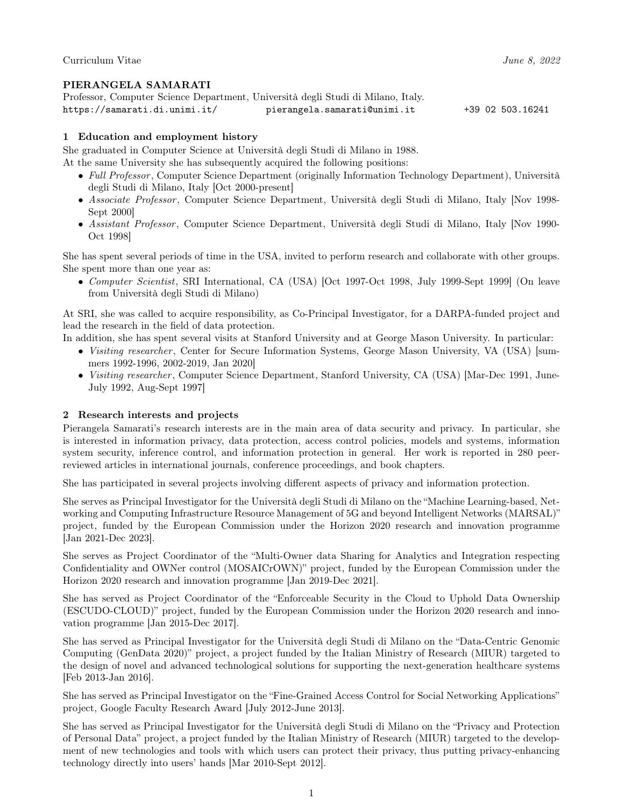### PIERANGELA SAMARATI

| Professor, Computer Science Department, Università degli Studi di Milano, Italy. |                              |                  |
|----------------------------------------------------------------------------------|------------------------------|------------------|
| https://samarati.di.unimi.it/                                                    | pierangela.samarati@unimi.it | +39 02 503.16241 |

### 1 Education and employment history

She graduated in Computer Science at Università degli Studi di Milano in 1988.

At the same University she has subsequently acquired the following positions:

- Full Professor, Computer Science Department (originally Information Technology Department), Università degli Studi di Milano, Italy [Oct 2000-present]
- Associate Professor, Computer Science Department, Università degli Studi di Milano, Italy [Nov 1998- Sept 2000]
- Assistant Professor, Computer Science Department, Università degli Studi di Milano, Italy [Nov 1990-Oct 1998]

She has spent several periods of time in the USA, invited to perform research and collaborate with other groups. She spent more than one year as:

• Computer Scientist, SRI International, CA (USA) [Oct 1997-Oct 1998, July 1999-Sept 1999] (On leave from Università degli Studi di Milano)

At SRI, she was called to acquire responsibility, as Co-Principal Investigator, for a DARPA-funded project and lead the research in the field of data protection.

In addition, she has spent several visits at Stanford University and at George Mason University. In particular:

- Visiting researcher, Center for Secure Information Systems, George Mason University, VA (USA) [summers 1992-1996, 2002-2019, Jan 2020]
- Visiting researcher, Computer Science Department, Stanford University, CA (USA) [Mar-Dec 1991, June-July 1992, Aug-Sept 1997]

#### 2 Research interests and projects

Pierangela Samarati's research interests are in the main area of data security and privacy. In particular, she is interested in information privacy, data protection, access control policies, models and systems, information system security, inference control, and information protection in general. Her work is reported in 280 peerreviewed articles in international journals, conference proceedings, and book chapters.

She has participated in several projects involving different aspects of privacy and information protection.

She serves as Principal Investigator for the Università degli Studi di Milano on the "Machine Learning-based, Networking and Computing Infrastructure Resource Management of 5G and beyond Intelligent Networks (MARSAL)" project, funded by the European Commission under the Horizon 2020 research and innovation programme [Jan 2021-Dec 2023].

She serves as Project Coordinator of the "Multi-Owner data Sharing for Analytics and Integration respecting Confidentiality and OWNer control (MOSAICrOWN)" project, funded by the European Commission under the Horizon 2020 research and innovation programme [Jan 2019-Dec 2021].

She has served as Project Coordinator of the "Enforceable Security in the Cloud to Uphold Data Ownership (ESCUDO-CLOUD)" project, funded by the European Commission under the Horizon 2020 research and innovation programme [Jan 2015-Dec 2017].

She has served as Principal Investigator for the Università degli Studi di Milano on the "Data-Centric Genomic Computing (GenData 2020)" project, a project funded by the Italian Ministry of Research (MIUR) targeted to the design of novel and advanced technological solutions for supporting the next-generation healthcare systems [Feb 2013-Jan 2016].

She has served as Principal Investigator on the "Fine-Grained Access Control for Social Networking Applications" project, Google Faculty Research Award [July 2012-June 2013].

She has served as Principal Investigator for the Università degli Studi di Milano on the "Privacy and Protection of Personal Data" project, a project funded by the Italian Ministry of Research (MIUR) targeted to the development of new technologies and tools with which users can protect their privacy, thus putting privacy-enhancing technology directly into users' hands [Mar 2010-Sept 2012].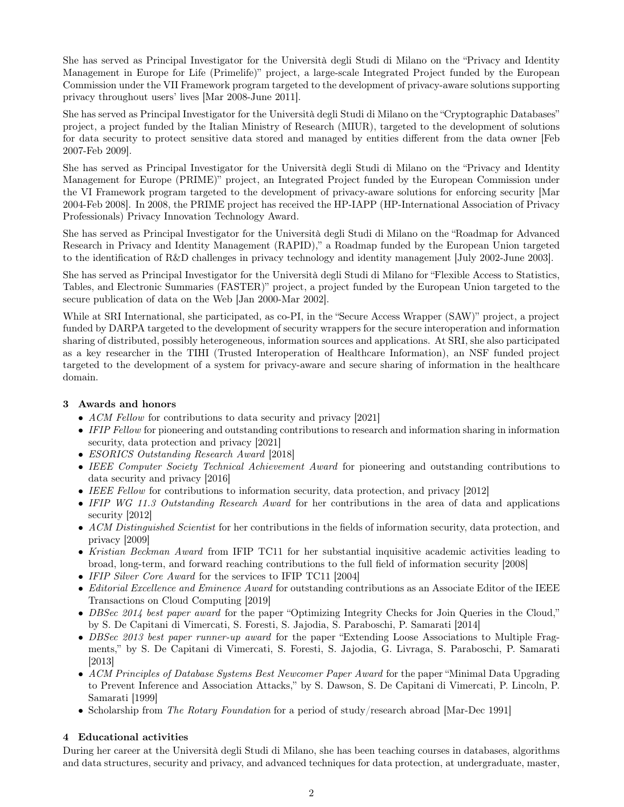She has served as Principal Investigator for the Università degli Studi di Milano on the "Privacy and Identity Management in Europe for Life (Primelife)" project, a large-scale Integrated Project funded by the European Commission under the VII Framework program targeted to the development of privacy-aware solutions supporting privacy throughout users' lives [Mar 2008-June 2011].

She has served as Principal Investigator for the Università degli Studi di Milano on the "Cryptographic Databases" project, a project funded by the Italian Ministry of Research (MIUR), targeted to the development of solutions for data security to protect sensitive data stored and managed by entities different from the data owner [Feb 2007-Feb 2009].

She has served as Principal Investigator for the Università degli Studi di Milano on the "Privacy and Identity Management for Europe (PRIME)" project, an Integrated Project funded by the European Commission under the VI Framework program targeted to the development of privacy-aware solutions for enforcing security [Mar 2004-Feb 2008]. In 2008, the PRIME project has received the HP-IAPP (HP-International Association of Privacy Professionals) Privacy Innovation Technology Award.

She has served as Principal Investigator for the Università degli Studi di Milano on the "Roadmap for Advanced Research in Privacy and Identity Management (RAPID)," a Roadmap funded by the European Union targeted to the identification of R&D challenges in privacy technology and identity management [July 2002-June 2003].

She has served as Principal Investigator for the Università degli Studi di Milano for "Flexible Access to Statistics, Tables, and Electronic Summaries (FASTER)" project, a project funded by the European Union targeted to the secure publication of data on the Web [Jan 2000-Mar 2002].

While at SRI International, she participated, as co-PI, in the "Secure Access Wrapper (SAW)" project, a project funded by DARPA targeted to the development of security wrappers for the secure interoperation and information sharing of distributed, possibly heterogeneous, information sources and applications. At SRI, she also participated as a key researcher in the TIHI (Trusted Interoperation of Healthcare Information), an NSF funded project targeted to the development of a system for privacy-aware and secure sharing of information in the healthcare domain.

# 3 Awards and honors

- ACM Fellow for contributions to data security and privacy [2021]
- IFIP Fellow for pioneering and outstanding contributions to research and information sharing in information security, data protection and privacy [2021]
- ESORICS Outstanding Research Award [2018]
- IEEE Computer Society Technical Achievement Award for pioneering and outstanding contributions to data security and privacy [2016]
- IEEE Fellow for contributions to information security, data protection, and privacy [2012]
- IFIP WG 11.3 Outstanding Research Award for her contributions in the area of data and applications security [2012]
- ACM Distinguished Scientist for her contributions in the fields of information security, data protection, and privacy [2009]
- Kristian Beckman Award from IFIP TC11 for her substantial inquisitive academic activities leading to broad, long-term, and forward reaching contributions to the full field of information security [2008]
- IFIP Silver Core Award for the services to IFIP TC11 [2004]
- Editorial Excellence and Eminence Award for outstanding contributions as an Associate Editor of the IEEE Transactions on Cloud Computing [2019]
- DBSec 2014 best paper award for the paper "Optimizing Integrity Checks for Join Queries in the Cloud," by S. De Capitani di Vimercati, S. Foresti, S. Jajodia, S. Paraboschi, P. Samarati [2014]
- DBSec 2013 best paper runner-up award for the paper "Extending Loose Associations to Multiple Fragments," by S. De Capitani di Vimercati, S. Foresti, S. Jajodia, G. Livraga, S. Paraboschi, P. Samarati [2013]
- ACM Principles of Database Systems Best Newcomer Paper Award for the paper "Minimal Data Upgrading" to Prevent Inference and Association Attacks," by S. Dawson, S. De Capitani di Vimercati, P. Lincoln, P. Samarati [1999]
- Scholarship from The Rotary Foundation for a period of study/research abroad [Mar-Dec 1991]

# 4 Educational activities

During her career at the Università degli Studi di Milano, she has been teaching courses in databases, algorithms and data structures, security and privacy, and advanced techniques for data protection, at undergraduate, master,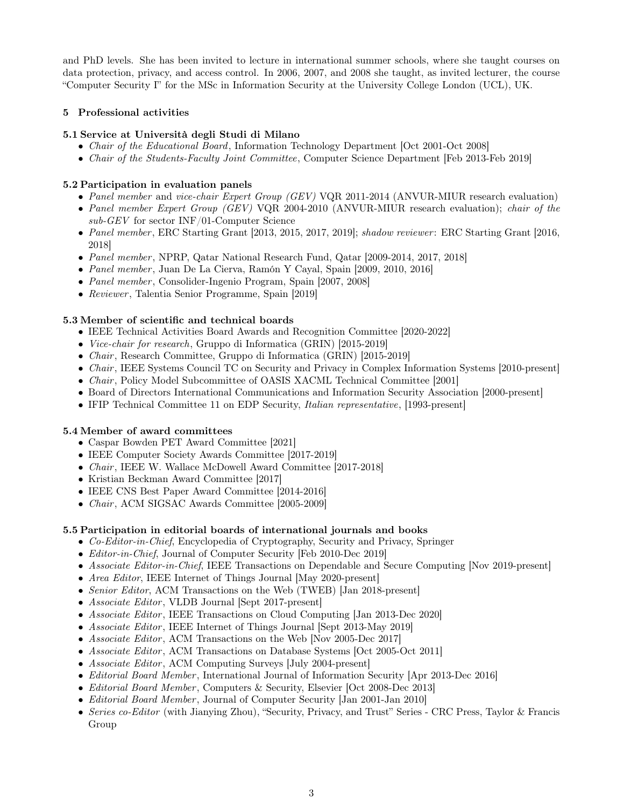and PhD levels. She has been invited to lecture in international summer schools, where she taught courses on data protection, privacy, and access control. In 2006, 2007, and 2008 she taught, as invited lecturer, the course "Computer Security I" for the MSc in Information Security at the University College London (UCL), UK.

## 5 Professional activities

## 5.1 Service at Università degli Studi di Milano

- Chair of the Educational Board, Information Technology Department [Oct 2001-Oct 2008]
- Chair of the Students-Faculty Joint Committee, Computer Science Department [Feb 2013-Feb 2019]

## 5.2 Participation in evaluation panels

- Panel member and vice-chair Expert Group (GEV) VQR 2011-2014 (ANVUR-MIUR research evaluation)
- Panel member Expert Group (GEV) VQR 2004-2010 (ANVUR-MIUR research evaluation); chair of the sub-GEV for sector INF/01-Computer Science
- Panel member, ERC Starting Grant [2013, 2015, 2017, 2019]; shadow reviewer: ERC Starting Grant [2016, 2018]
- Panel member, NPRP, Qatar National Research Fund, Qatar [2009-2014, 2017, 2018]
- Panel member , Juan De La Cierva, Ramón Y Cayal, Spain [2009, 2010, 2016]
- *Panel member*, Consolider-Ingenio Program, Spain [2007, 2008]
- Reviewer, Talentia Senior Programme, Spain [2019]

## 5.3 Member of scientific and technical boards

- IEEE Technical Activities Board Awards and Recognition Committee [2020-2022]
- Vice-chair for research, Gruppo di Informatica (GRIN) [2015-2019]
- *Chair*, Research Committee, Gruppo di Informatica (GRIN) [2015-2019]
- *Chair*, IEEE Systems Council TC on Security and Privacy in Complex Information Systems [2010-present]
- *Chair*, Policy Model Subcommittee of OASIS XACML Technical Committee [2001]
- Board of Directors International Communications and Information Security Association [2000-present]
- IFIP Technical Committee 11 on EDP Security, *Italian representative*, [1993-present]

## 5.4 Member of award committees

- Caspar Bowden PET Award Committee [2021]
- IEEE Computer Society Awards Committee [2017-2019]
- *Chair*, IEEE W. Wallace McDowell Award Committee [2017-2018]
- Kristian Beckman Award Committee [2017]
- IEEE CNS Best Paper Award Committee [2014-2016]
- *Chair*, ACM SIGSAC Awards Committee [2005-2009]

# 5.5 Participation in editorial boards of international journals and books

- Co-Editor-in-Chief, Encyclopedia of Cryptography, Security and Privacy, Springer
- *Editor-in-Chief*, Journal of Computer Security [Feb 2010-Dec 2019]
- Associate Editor-in-Chief, IEEE Transactions on Dependable and Secure Computing [Nov 2019-present]
- Area Editor, IEEE Internet of Things Journal [May 2020-present]
- Senior Editor, ACM Transactions on the Web (TWEB) [Jan 2018-present]
- Associate Editor, VLDB Journal [Sept 2017-present]
- Associate Editor, IEEE Transactions on Cloud Computing [Jan 2013-Dec 2020]
- Associate Editor, IEEE Internet of Things Journal Sept 2013-May 2019
- Associate Editor, ACM Transactions on the Web [Nov 2005-Dec 2017]
- Associate Editor, ACM Transactions on Database Systems [Oct 2005-Oct 2011]
- Associate Editor, ACM Computing Surveys [July 2004-present]
- *Editorial Board Member*, International Journal of Information Security [Apr 2013-Dec 2016]
- Editorial Board Member, Computers & Security, Elsevier [Oct 2008-Dec 2013]
- Editorial Board Member, Journal of Computer Security [Jan 2001-Jan 2010]
- Series co-Editor (with Jianying Zhou), "Security, Privacy, and Trust" Series CRC Press, Taylor & Francis Group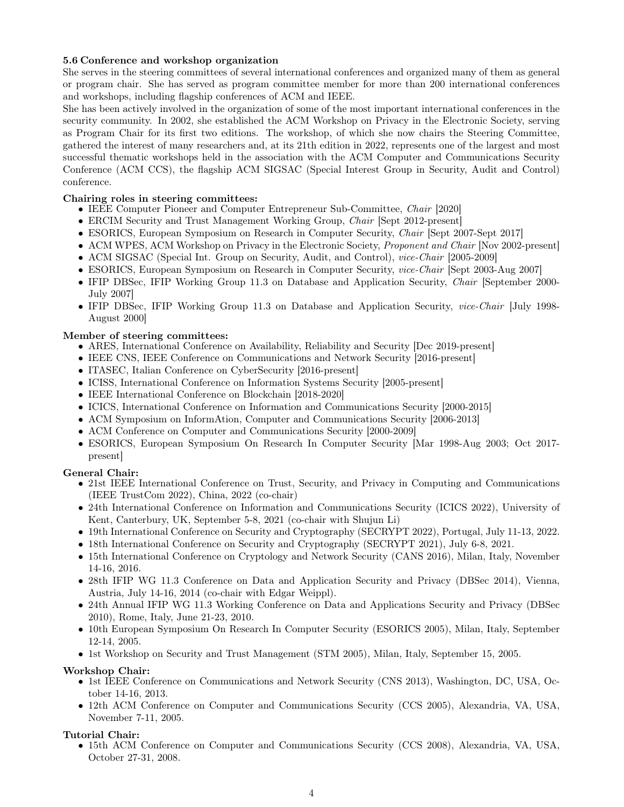### 5.6 Conference and workshop organization

She serves in the steering committees of several international conferences and organized many of them as general or program chair. She has served as program committee member for more than 200 international conferences and workshops, including flagship conferences of ACM and IEEE.

She has been actively involved in the organization of some of the most important international conferences in the security community. In 2002, she established the ACM Workshop on Privacy in the Electronic Society, serving as Program Chair for its first two editions. The workshop, of which she now chairs the Steering Committee, gathered the interest of many researchers and, at its 21th edition in 2022, represents one of the largest and most successful thematic workshops held in the association with the ACM Computer and Communications Security Conference (ACM CCS), the flagship ACM SIGSAC (Special Interest Group in Security, Audit and Control) conference.

### Chairing roles in steering committees:

- IEEE Computer Pioneer and Computer Entrepreneur Sub-Committee, Chair [2020]
- ERCIM Security and Trust Management Working Group, *Chair* [Sept 2012-present]
- ESORICS, European Symposium on Research in Computer Security, Chair [Sept 2007-Sept 2017]
- ACM WPES, ACM Workshop on Privacy in the Electronic Society, Proponent and Chair [Nov 2002-present]
- ACM SIGSAC (Special Int. Group on Security, Audit, and Control), vice-Chair [2005-2009]
- ESORICS, European Symposium on Research in Computer Security, vice-Chair [Sept 2003-Aug 2007]
- IFIP DBSec, IFIP Working Group 11.3 on Database and Application Security, *Chair* [September 2000-July 2007]
- IFIP DBSec, IFIP Working Group 11.3 on Database and Application Security, *vice-Chair* [July 1998-August 2000]

### Member of steering committees:

- ARES, International Conference on Availability, Reliability and Security [Dec 2019-present]
- IEEE CNS, IEEE Conference on Communications and Network Security [2016-present]
- ITASEC, Italian Conference on CyberSecurity [2016-present]
- ICISS, International Conference on Information Systems Security [2005-present]
- IEEE International Conference on Blockchain [2018-2020]
- ICICS, International Conference on Information and Communications Security [2000-2015]
- ACM Symposium on InformAtion, Computer and Communications Security [2006-2013]
- ACM Conference on Computer and Communications Security [2000-2009]
- ESORICS, European Symposium On Research In Computer Security [Mar 1998-Aug 2003; Oct 2017 present]

### General Chair:

- 21st IEEE International Conference on Trust, Security, and Privacy in Computing and Communications (IEEE TrustCom 2022), China, 2022 (co-chair)
- 24th International Conference on Information and Communications Security (ICICS 2022), University of Kent, Canterbury, UK, September 5-8, 2021 (co-chair with Shujun Li)
- 19th International Conference on Security and Cryptography (SECRYPT 2022), Portugal, July 11-13, 2022.
- 18th International Conference on Security and Cryptography (SECRYPT 2021), July 6-8, 2021.
- 15th International Conference on Cryptology and Network Security (CANS 2016), Milan, Italy, November 14-16, 2016.
- 28th IFIP WG 11.3 Conference on Data and Application Security and Privacy (DBSec 2014), Vienna, Austria, July 14-16, 2014 (co-chair with Edgar Weippl).
- 24th Annual IFIP WG 11.3 Working Conference on Data and Applications Security and Privacy (DBSec 2010), Rome, Italy, June 21-23, 2010.
- 10th European Symposium On Research In Computer Security (ESORICS 2005), Milan, Italy, September 12-14, 2005.
- 1st Workshop on Security and Trust Management (STM 2005), Milan, Italy, September 15, 2005.

### Workshop Chair:

- 1st IEEE Conference on Communications and Network Security (CNS 2013), Washington, DC, USA, October 14-16, 2013.
- 12th ACM Conference on Computer and Communications Security (CCS 2005), Alexandria, VA, USA, November 7-11, 2005.

### Tutorial Chair:

• 15th ACM Conference on Computer and Communications Security (CCS 2008), Alexandria, VA, USA, October 27-31, 2008.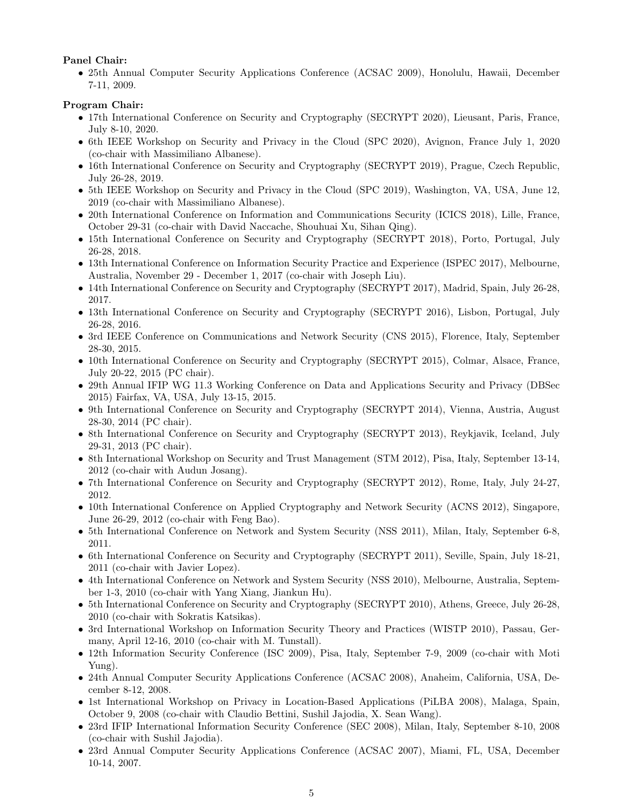## Panel Chair:

• 25th Annual Computer Security Applications Conference (ACSAC 2009), Honolulu, Hawaii, December 7-11, 2009.

# Program Chair:

- 17th International Conference on Security and Cryptography (SECRYPT 2020), Lieusant, Paris, France, July 8-10, 2020.
- 6th IEEE Workshop on Security and Privacy in the Cloud (SPC 2020), Avignon, France July 1, 2020 (co-chair with Massimiliano Albanese).
- 16th International Conference on Security and Cryptography (SECRYPT 2019), Prague, Czech Republic, July 26-28, 2019.
- 5th IEEE Workshop on Security and Privacy in the Cloud (SPC 2019), Washington, VA, USA, June 12, 2019 (co-chair with Massimiliano Albanese).
- 20th International Conference on Information and Communications Security (ICICS 2018), Lille, France, October 29-31 (co-chair with David Naccache, Shouhuai Xu, Sihan Qing).
- 15th International Conference on Security and Cryptography (SECRYPT 2018), Porto, Portugal, July 26-28, 2018.
- 13th International Conference on Information Security Practice and Experience (ISPEC 2017), Melbourne, Australia, November 29 - December 1, 2017 (co-chair with Joseph Liu).
- 14th International Conference on Security and Cryptography (SECRYPT 2017), Madrid, Spain, July 26-28, 2017.
- 13th International Conference on Security and Cryptography (SECRYPT 2016), Lisbon, Portugal, July 26-28, 2016.
- 3rd IEEE Conference on Communications and Network Security (CNS 2015), Florence, Italy, September 28-30, 2015.
- 10th International Conference on Security and Cryptography (SECRYPT 2015), Colmar, Alsace, France, July 20-22, 2015 (PC chair).
- 29th Annual IFIP WG 11.3 Working Conference on Data and Applications Security and Privacy (DBSec 2015) Fairfax, VA, USA, July 13-15, 2015.
- 9th International Conference on Security and Cryptography (SECRYPT 2014), Vienna, Austria, August 28-30, 2014 (PC chair).
- 8th International Conference on Security and Cryptography (SECRYPT 2013), Reykjavik, Iceland, July 29-31, 2013 (PC chair).
- 8th International Workshop on Security and Trust Management (STM 2012), Pisa, Italy, September 13-14, 2012 (co-chair with Audun Josang).
- 7th International Conference on Security and Cryptography (SECRYPT 2012), Rome, Italy, July 24-27, 2012.
- 10th International Conference on Applied Cryptography and Network Security (ACNS 2012), Singapore, June 26-29, 2012 (co-chair with Feng Bao).
- 5th International Conference on Network and System Security (NSS 2011), Milan, Italy, September 6-8, 2011.
- 6th International Conference on Security and Cryptography (SECRYPT 2011), Seville, Spain, July 18-21, 2011 (co-chair with Javier Lopez).
- 4th International Conference on Network and System Security (NSS 2010), Melbourne, Australia, September 1-3, 2010 (co-chair with Yang Xiang, Jiankun Hu).
- 5th International Conference on Security and Cryptography (SECRYPT 2010), Athens, Greece, July 26-28, 2010 (co-chair with Sokratis Katsikas).
- 3rd International Workshop on Information Security Theory and Practices (WISTP 2010), Passau, Germany, April 12-16, 2010 (co-chair with M. Tunstall).
- 12th Information Security Conference (ISC 2009), Pisa, Italy, September 7-9, 2009 (co-chair with Moti Yung).
- 24th Annual Computer Security Applications Conference (ACSAC 2008), Anaheim, California, USA, December 8-12, 2008.
- 1st International Workshop on Privacy in Location-Based Applications (PiLBA 2008), Malaga, Spain, October 9, 2008 (co-chair with Claudio Bettini, Sushil Jajodia, X. Sean Wang).
- 23rd IFIP International Information Security Conference (SEC 2008), Milan, Italy, September 8-10, 2008 (co-chair with Sushil Jajodia).
- 23rd Annual Computer Security Applications Conference (ACSAC 2007), Miami, FL, USA, December 10-14, 2007.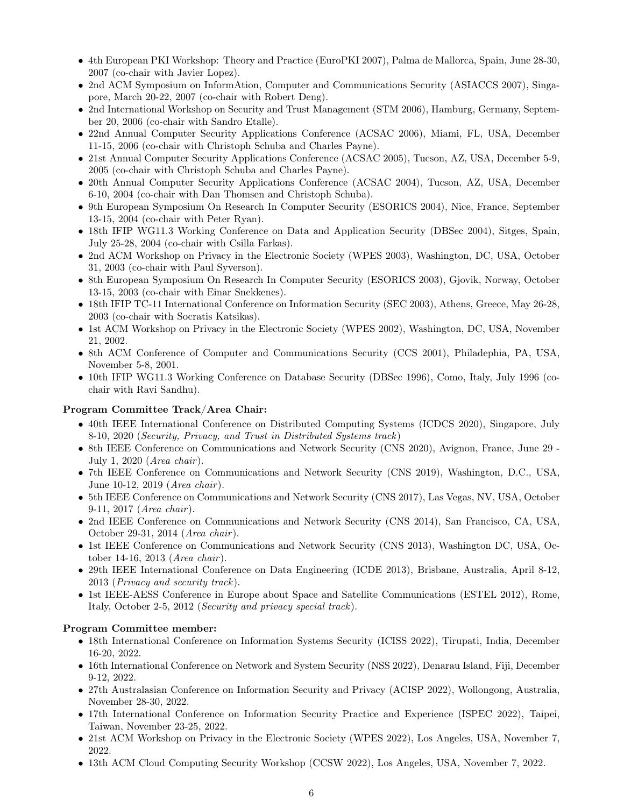- 4th European PKI Workshop: Theory and Practice (EuroPKI 2007), Palma de Mallorca, Spain, June 28-30, 2007 (co-chair with Javier Lopez).
- 2nd ACM Symposium on InformAtion, Computer and Communications Security (ASIACCS 2007), Singapore, March 20-22, 2007 (co-chair with Robert Deng).
- 2nd International Workshop on Security and Trust Management (STM 2006), Hamburg, Germany, September 20, 2006 (co-chair with Sandro Etalle).
- 22nd Annual Computer Security Applications Conference (ACSAC 2006), Miami, FL, USA, December 11-15, 2006 (co-chair with Christoph Schuba and Charles Payne).
- 21st Annual Computer Security Applications Conference (ACSAC 2005), Tucson, AZ, USA, December 5-9, 2005 (co-chair with Christoph Schuba and Charles Payne).
- 20th Annual Computer Security Applications Conference (ACSAC 2004), Tucson, AZ, USA, December 6-10, 2004 (co-chair with Dan Thomsen and Christoph Schuba).
- 9th European Symposium On Research In Computer Security (ESORICS 2004), Nice, France, September 13-15, 2004 (co-chair with Peter Ryan).
- 18th IFIP WG11.3 Working Conference on Data and Application Security (DBSec 2004), Sitges, Spain, July 25-28, 2004 (co-chair with Csilla Farkas).
- 2nd ACM Workshop on Privacy in the Electronic Society (WPES 2003), Washington, DC, USA, October 31, 2003 (co-chair with Paul Syverson).
- 8th European Symposium On Research In Computer Security (ESORICS 2003), Gjovik, Norway, October 13-15, 2003 (co-chair with Einar Snekkenes).
- 18th IFIP TC-11 International Conference on Information Security (SEC 2003), Athens, Greece, May 26-28, 2003 (co-chair with Socratis Katsikas).
- 1st ACM Workshop on Privacy in the Electronic Society (WPES 2002), Washington, DC, USA, November 21, 2002.
- 8th ACM Conference of Computer and Communications Security (CCS 2001), Philadephia, PA, USA, November 5-8, 2001.
- 10th IFIP WG11.3 Working Conference on Database Security (DBSec 1996), Como, Italy, July 1996 (cochair with Ravi Sandhu).

#### Program Committee Track/Area Chair:

- 40th IEEE International Conference on Distributed Computing Systems (ICDCS 2020), Singapore, July 8-10, 2020 (Security, Privacy, and Trust in Distributed Systems track)
- 8th IEEE Conference on Communications and Network Security (CNS 2020), Avignon, France, June 29 July 1, 2020 (Area chair ).
- 7th IEEE Conference on Communications and Network Security (CNS 2019), Washington, D.C., USA, June 10-12, 2019 (*Area chair*).
- 5th IEEE Conference on Communications and Network Security (CNS 2017), Las Vegas, NV, USA, October 9-11, 2017 (*Area chair*).
- 2nd IEEE Conference on Communications and Network Security (CNS 2014), San Francisco, CA, USA, October 29-31, 2014 (Area chair ).
- 1st IEEE Conference on Communications and Network Security (CNS 2013), Washington DC, USA, October 14-16, 2013 (Area chair ).
- 29th IEEE International Conference on Data Engineering (ICDE 2013), Brisbane, Australia, April 8-12, 2013 (Privacy and security track).
- 1st IEEE-AESS Conference in Europe about Space and Satellite Communications (ESTEL 2012), Rome, Italy, October 2-5, 2012 (Security and privacy special track).

#### Program Committee member:

- 18th International Conference on Information Systems Security (ICISS 2022), Tirupati, India, December 16-20, 2022.
- 16th International Conference on Network and System Security (NSS 2022), Denarau Island, Fiji, December 9-12, 2022.
- 27th Australasian Conference on Information Security and Privacy (ACISP 2022), Wollongong, Australia, November 28-30, 2022.
- 17th International Conference on Information Security Practice and Experience (ISPEC 2022), Taipei, Taiwan, November 23-25, 2022.
- 21st ACM Workshop on Privacy in the Electronic Society (WPES 2022), Los Angeles, USA, November 7, 2022.
- 13th ACM Cloud Computing Security Workshop (CCSW 2022), Los Angeles, USA, November 7, 2022.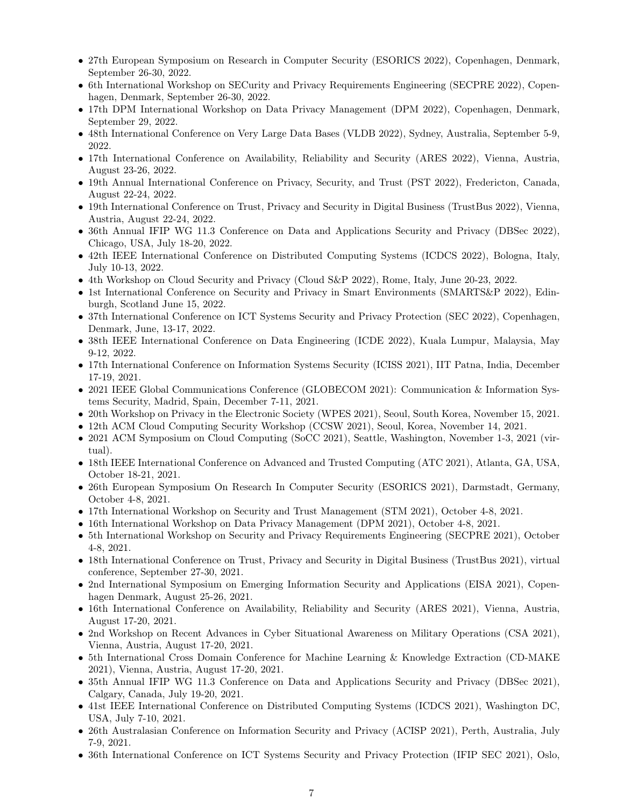- 27th European Symposium on Research in Computer Security (ESORICS 2022), Copenhagen, Denmark, September 26-30, 2022.
- 6th International Workshop on SECurity and Privacy Requirements Engineering (SECPRE 2022), Copenhagen, Denmark, September 26-30, 2022.
- 17th DPM International Workshop on Data Privacy Management (DPM 2022), Copenhagen, Denmark, September 29, 2022.
- 48th International Conference on Very Large Data Bases (VLDB 2022), Sydney, Australia, September 5-9, 2022.
- 17th International Conference on Availability, Reliability and Security (ARES 2022), Vienna, Austria, August 23-26, 2022.
- 19th Annual International Conference on Privacy, Security, and Trust (PST 2022), Fredericton, Canada, August 22-24, 2022.
- 19th International Conference on Trust, Privacy and Security in Digital Business (TrustBus 2022), Vienna, Austria, August 22-24, 2022.
- 36th Annual IFIP WG 11.3 Conference on Data and Applications Security and Privacy (DBSec 2022), Chicago, USA, July 18-20, 2022.
- 42th IEEE International Conference on Distributed Computing Systems (ICDCS 2022), Bologna, Italy, July 10-13, 2022.
- 4th Workshop on Cloud Security and Privacy (Cloud S&P 2022), Rome, Italy, June 20-23, 2022.
- 1st International Conference on Security and Privacy in Smart Environments (SMARTS&P 2022), Edinburgh, Scotland June 15, 2022.
- 37th International Conference on ICT Systems Security and Privacy Protection (SEC 2022), Copenhagen, Denmark, June, 13-17, 2022.
- 38th IEEE International Conference on Data Engineering (ICDE 2022), Kuala Lumpur, Malaysia, May 9-12, 2022.
- 17th International Conference on Information Systems Security (ICISS 2021), IIT Patna, India, December 17-19, 2021.
- 2021 IEEE Global Communications Conference (GLOBECOM 2021): Communication & Information Systems Security, Madrid, Spain, December 7-11, 2021.
- 20th Workshop on Privacy in the Electronic Society (WPES 2021), Seoul, South Korea, November 15, 2021.
- 12th ACM Cloud Computing Security Workshop (CCSW 2021), Seoul, Korea, November 14, 2021.
- 2021 ACM Symposium on Cloud Computing (SoCC 2021), Seattle, Washington, November 1-3, 2021 (virtual).
- 18th IEEE International Conference on Advanced and Trusted Computing (ATC 2021), Atlanta, GA, USA, October 18-21, 2021.
- 26th European Symposium On Research In Computer Security (ESORICS 2021), Darmstadt, Germany, October 4-8, 2021.
- 17th International Workshop on Security and Trust Management (STM 2021), October 4-8, 2021.
- 16th International Workshop on Data Privacy Management (DPM 2021), October 4-8, 2021.
- 5th International Workshop on Security and Privacy Requirements Engineering (SECPRE 2021), October 4-8, 2021.
- 18th International Conference on Trust, Privacy and Security in Digital Business (TrustBus 2021), virtual conference, September 27-30, 2021.
- 2nd International Symposium on Emerging Information Security and Applications (EISA 2021), Copenhagen Denmark, August 25-26, 2021.
- 16th International Conference on Availability, Reliability and Security (ARES 2021), Vienna, Austria, August 17-20, 2021.
- 2nd Workshop on Recent Advances in Cyber Situational Awareness on Military Operations (CSA 2021), Vienna, Austria, August 17-20, 2021.
- 5th International Cross Domain Conference for Machine Learning & Knowledge Extraction (CD-MAKE 2021), Vienna, Austria, August 17-20, 2021.
- 35th Annual IFIP WG 11.3 Conference on Data and Applications Security and Privacy (DBSec 2021), Calgary, Canada, July 19-20, 2021.
- 41st IEEE International Conference on Distributed Computing Systems (ICDCS 2021), Washington DC, USA, July 7-10, 2021.
- 26th Australasian Conference on Information Security and Privacy (ACISP 2021), Perth, Australia, July 7-9, 2021.
- 36th International Conference on ICT Systems Security and Privacy Protection (IFIP SEC 2021), Oslo,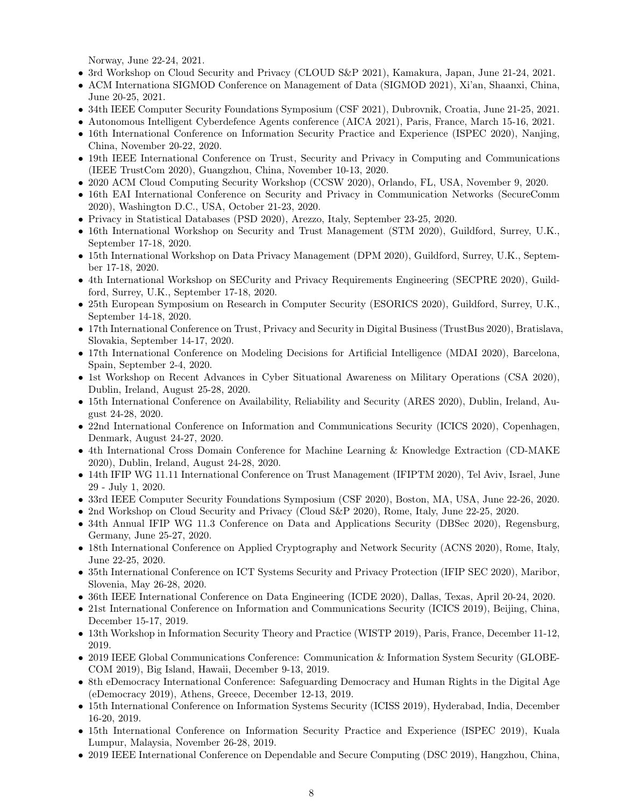Norway, June 22-24, 2021.

- 3rd Workshop on Cloud Security and Privacy (CLOUD S&P 2021), Kamakura, Japan, June 21-24, 2021.
- ACM Internationa SIGMOD Conference on Management of Data (SIGMOD 2021), Xi'an, Shaanxi, China, June 20-25, 2021.
- 34th IEEE Computer Security Foundations Symposium (CSF 2021), Dubrovnik, Croatia, June 21-25, 2021.
- Autonomous Intelligent Cyberdefence Agents conference (AICA 2021), Paris, France, March 15-16, 2021.
- 16th International Conference on Information Security Practice and Experience (ISPEC 2020), Nanjing, China, November 20-22, 2020.
- 19th IEEE International Conference on Trust, Security and Privacy in Computing and Communications (IEEE TrustCom 2020), Guangzhou, China, November 10-13, 2020.
- 2020 ACM Cloud Computing Security Workshop (CCSW 2020), Orlando, FL, USA, November 9, 2020.
- 16th EAI International Conference on Security and Privacy in Communication Networks (SecureComm 2020), Washington D.C., USA, October 21-23, 2020.
- Privacy in Statistical Databases (PSD 2020), Arezzo, Italy, September 23-25, 2020.
- 16th International Workshop on Security and Trust Management (STM 2020), Guildford, Surrey, U.K., September 17-18, 2020.
- 15th International Workshop on Data Privacy Management (DPM 2020), Guildford, Surrey, U.K., September 17-18, 2020.
- 4th International Workshop on SECurity and Privacy Requirements Engineering (SECPRE 2020), Guildford, Surrey, U.K., September 17-18, 2020.
- 25th European Symposium on Research in Computer Security (ESORICS 2020), Guildford, Surrey, U.K., September 14-18, 2020.
- 17th International Conference on Trust, Privacy and Security in Digital Business (TrustBus 2020), Bratislava, Slovakia, September 14-17, 2020.
- 17th International Conference on Modeling Decisions for Artificial Intelligence (MDAI 2020), Barcelona, Spain, September 2-4, 2020.
- 1st Workshop on Recent Advances in Cyber Situational Awareness on Military Operations (CSA 2020), Dublin, Ireland, August 25-28, 2020.
- 15th International Conference on Availability, Reliability and Security (ARES 2020), Dublin, Ireland, August 24-28, 2020.
- 22nd International Conference on Information and Communications Security (ICICS 2020), Copenhagen, Denmark, August 24-27, 2020.
- 4th International Cross Domain Conference for Machine Learning & Knowledge Extraction (CD-MAKE 2020), Dublin, Ireland, August 24-28, 2020.
- 14th IFIP WG 11.11 International Conference on Trust Management (IFIPTM 2020), Tel Aviv, Israel, June 29 - July 1, 2020.
- 33rd IEEE Computer Security Foundations Symposium (CSF 2020), Boston, MA, USA, June 22-26, 2020.
- 2nd Workshop on Cloud Security and Privacy (Cloud S&P 2020), Rome, Italy, June 22-25, 2020.
- 34th Annual IFIP WG 11.3 Conference on Data and Applications Security (DBSec 2020), Regensburg, Germany, June 25-27, 2020.
- 18th International Conference on Applied Cryptography and Network Security (ACNS 2020), Rome, Italy, June 22-25, 2020.
- 35th International Conference on ICT Systems Security and Privacy Protection (IFIP SEC 2020), Maribor, Slovenia, May 26-28, 2020.
- 36th IEEE International Conference on Data Engineering (ICDE 2020), Dallas, Texas, April 20-24, 2020.
- 21st International Conference on Information and Communications Security (ICICS 2019), Beijing, China, December 15-17, 2019.
- 13th Workshop in Information Security Theory and Practice (WISTP 2019), Paris, France, December 11-12, 2019.
- 2019 IEEE Global Communications Conference: Communication & Information System Security (GLOBE-COM 2019), Big Island, Hawaii, December 9-13, 2019.
- 8th eDemocracy International Conference: Safeguarding Democracy and Human Rights in the Digital Age (eDemocracy 2019), Athens, Greece, December 12-13, 2019.
- 15th International Conference on Information Systems Security (ICISS 2019), Hyderabad, India, December 16-20, 2019.
- 15th International Conference on Information Security Practice and Experience (ISPEC 2019), Kuala Lumpur, Malaysia, November 26-28, 2019.
- 2019 IEEE International Conference on Dependable and Secure Computing (DSC 2019), Hangzhou, China,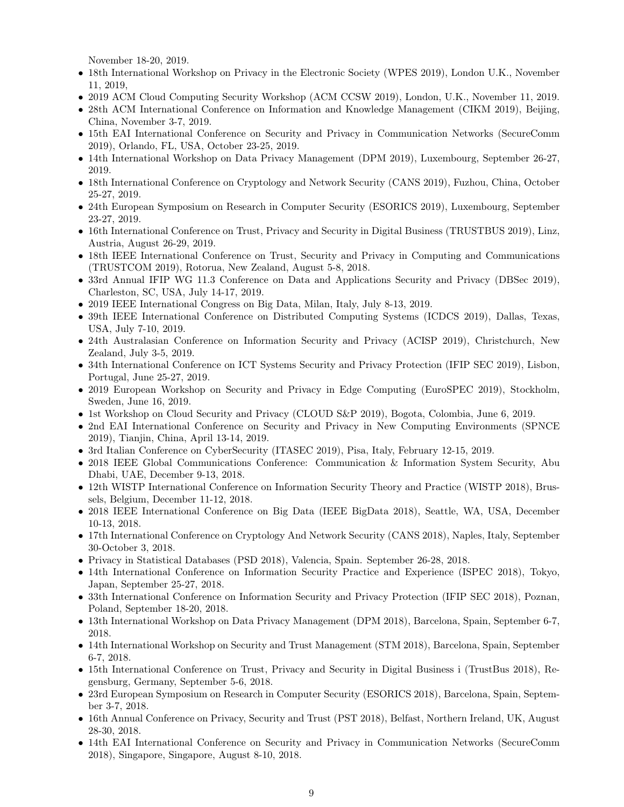November 18-20, 2019.

- 18th International Workshop on Privacy in the Electronic Society (WPES 2019), London U.K., November 11, 2019,
- 2019 ACM Cloud Computing Security Workshop (ACM CCSW 2019), London, U.K., November 11, 2019.
- 28th ACM International Conference on Information and Knowledge Management (CIKM 2019), Beijing, China, November 3-7, 2019.
- 15th EAI International Conference on Security and Privacy in Communication Networks (SecureComm 2019), Orlando, FL, USA, October 23-25, 2019.
- 14th International Workshop on Data Privacy Management (DPM 2019), Luxembourg, September 26-27, 2019.
- 18th International Conference on Cryptology and Network Security (CANS 2019), Fuzhou, China, October 25-27, 2019.
- 24th European Symposium on Research in Computer Security (ESORICS 2019), Luxembourg, September 23-27, 2019.
- 16th International Conference on Trust, Privacy and Security in Digital Business (TRUSTBUS 2019), Linz, Austria, August 26-29, 2019.
- 18th IEEE International Conference on Trust, Security and Privacy in Computing and Communications (TRUSTCOM 2019), Rotorua, New Zealand, August 5-8, 2018.
- 33rd Annual IFIP WG 11.3 Conference on Data and Applications Security and Privacy (DBSec 2019), Charleston, SC, USA, July 14-17, 2019.
- 2019 IEEE International Congress on Big Data, Milan, Italy, July 8-13, 2019.
- 39th IEEE International Conference on Distributed Computing Systems (ICDCS 2019), Dallas, Texas, USA, July 7-10, 2019.
- 24th Australasian Conference on Information Security and Privacy (ACISP 2019), Christchurch, New Zealand, July 3-5, 2019.
- 34th International Conference on ICT Systems Security and Privacy Protection (IFIP SEC 2019), Lisbon, Portugal, June 25-27, 2019.
- 2019 European Workshop on Security and Privacy in Edge Computing (EuroSPEC 2019), Stockholm, Sweden, June 16, 2019.
- 1st Workshop on Cloud Security and Privacy (CLOUD S&P 2019), Bogota, Colombia, June 6, 2019.
- 2nd EAI International Conference on Security and Privacy in New Computing Environments (SPNCE) 2019), Tianjin, China, April 13-14, 2019.
- 3rd Italian Conference on CyberSecurity (ITASEC 2019), Pisa, Italy, February 12-15, 2019.
- 2018 IEEE Global Communications Conference: Communication & Information System Security, Abu Dhabi, UAE, December 9-13, 2018.
- 12th WISTP International Conference on Information Security Theory and Practice (WISTP 2018), Brussels, Belgium, December 11-12, 2018.
- 2018 IEEE International Conference on Big Data (IEEE BigData 2018), Seattle, WA, USA, December 10-13, 2018.
- 17th International Conference on Cryptology And Network Security (CANS 2018), Naples, Italy, September 30-October 3, 2018.
- Privacy in Statistical Databases (PSD 2018), Valencia, Spain. September 26-28, 2018.
- 14th International Conference on Information Security Practice and Experience (ISPEC 2018), Tokyo, Japan, September 25-27, 2018.
- 33th International Conference on Information Security and Privacy Protection (IFIP SEC 2018), Poznan, Poland, September 18-20, 2018.
- 13th International Workshop on Data Privacy Management (DPM 2018), Barcelona, Spain, September 6-7, 2018.
- 14th International Workshop on Security and Trust Management (STM 2018), Barcelona, Spain, September 6-7, 2018.
- 15th International Conference on Trust, Privacy and Security in Digital Business i (TrustBus 2018), Regensburg, Germany, September 5-6, 2018.
- 23rd European Symposium on Research in Computer Security (ESORICS 2018), Barcelona, Spain, September 3-7, 2018.
- 16th Annual Conference on Privacy, Security and Trust (PST 2018), Belfast, Northern Ireland, UK, August 28-30, 2018.
- 14th EAI International Conference on Security and Privacy in Communication Networks (SecureComm 2018), Singapore, Singapore, August 8-10, 2018.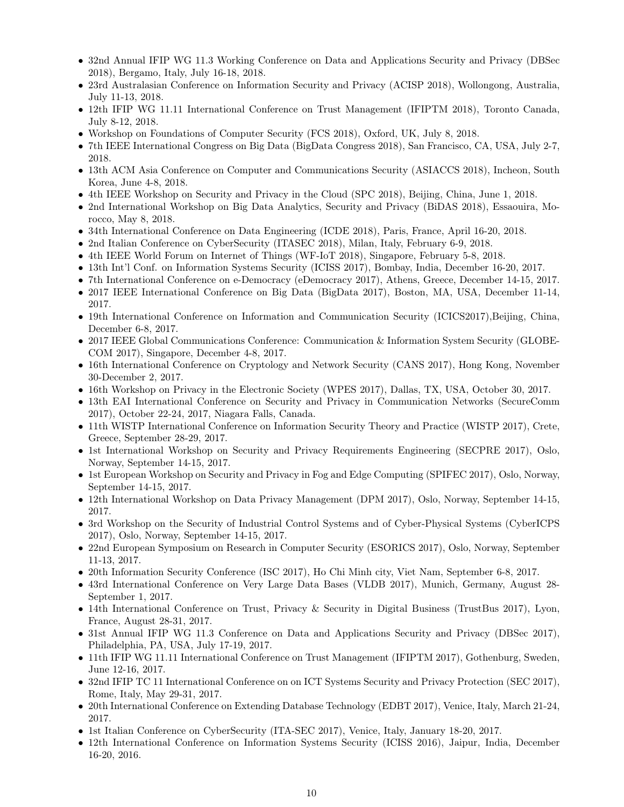- 32nd Annual IFIP WG 11.3 Working Conference on Data and Applications Security and Privacy (DBSec 2018), Bergamo, Italy, July 16-18, 2018.
- 23rd Australasian Conference on Information Security and Privacy (ACISP 2018), Wollongong, Australia, July 11-13, 2018.
- 12th IFIP WG 11.11 International Conference on Trust Management (IFIPTM 2018), Toronto Canada, July 8-12, 2018.
- Workshop on Foundations of Computer Security (FCS 2018), Oxford, UK, July 8, 2018.
- 7th IEEE International Congress on Big Data (BigData Congress 2018), San Francisco, CA, USA, July 2-7, 2018.
- 13th ACM Asia Conference on Computer and Communications Security (ASIACCS 2018), Incheon, South Korea, June 4-8, 2018.
- 4th IEEE Workshop on Security and Privacy in the Cloud (SPC 2018), Beijing, China, June 1, 2018.
- 2nd International Workshop on Big Data Analytics, Security and Privacy (BiDAS 2018), Essaouira, Morocco, May 8, 2018.
- 34th International Conference on Data Engineering (ICDE 2018), Paris, France, April 16-20, 2018.
- 2nd Italian Conference on CyberSecurity (ITASEC 2018), Milan, Italy, February 6-9, 2018.
- 4th IEEE World Forum on Internet of Things (WF-IoT 2018), Singapore, February 5-8, 2018.
- 13th Int'l Conf. on Information Systems Security (ICISS 2017), Bombay, India, December 16-20, 2017.
- 7th International Conference on e-Democracy (eDemocracy 2017), Athens, Greece, December 14-15, 2017.
- 2017 IEEE International Conference on Big Data (BigData 2017), Boston, MA, USA, December 11-14, 2017.
- 19th International Conference on Information and Communication Security (ICICS2017), Beijing, China, December 6-8, 2017.
- 2017 IEEE Global Communications Conference: Communication & Information System Security (GLOBE-COM 2017), Singapore, December 4-8, 2017.
- 16th International Conference on Cryptology and Network Security (CANS 2017), Hong Kong, November 30-December 2, 2017.
- 16th Workshop on Privacy in the Electronic Society (WPES 2017), Dallas, TX, USA, October 30, 2017.
- 13th EAI International Conference on Security and Privacy in Communication Networks (SecureComm 2017), October 22-24, 2017, Niagara Falls, Canada.
- 11th WISTP International Conference on Information Security Theory and Practice (WISTP 2017), Crete, Greece, September 28-29, 2017.
- 1st International Workshop on Security and Privacy Requirements Engineering (SECPRE 2017), Oslo, Norway, September 14-15, 2017.
- 1st European Workshop on Security and Privacy in Fog and Edge Computing (SPIFEC 2017), Oslo, Norway, September 14-15, 2017.
- 12th International Workshop on Data Privacy Management (DPM 2017), Oslo, Norway, September 14-15, 2017.
- 3rd Workshop on the Security of Industrial Control Systems and of Cyber-Physical Systems (CyberICPS 2017), Oslo, Norway, September 14-15, 2017.
- 22nd European Symposium on Research in Computer Security (ESORICS 2017), Oslo, Norway, September 11-13, 2017.
- 20th Information Security Conference (ISC 2017), Ho Chi Minh city, Viet Nam, September 6-8, 2017.
- 43rd International Conference on Very Large Data Bases (VLDB 2017), Munich, Germany, August 28- September 1, 2017.
- 14th International Conference on Trust, Privacy & Security in Digital Business (TrustBus 2017), Lyon, France, August 28-31, 2017.
- 31st Annual IFIP WG 11.3 Conference on Data and Applications Security and Privacy (DBSec 2017), Philadelphia, PA, USA, July 17-19, 2017.
- 11th IFIP WG 11.11 International Conference on Trust Management (IFIPTM 2017), Gothenburg, Sweden, June 12-16, 2017.
- 32nd IFIP TC 11 International Conference on on ICT Systems Security and Privacy Protection (SEC 2017), Rome, Italy, May 29-31, 2017.
- 20th International Conference on Extending Database Technology (EDBT 2017), Venice, Italy, March 21-24, 2017.
- 1st Italian Conference on CyberSecurity (ITA-SEC 2017), Venice, Italy, January 18-20, 2017.
- 12th International Conference on Information Systems Security (ICISS 2016), Jaipur, India, December 16-20, 2016.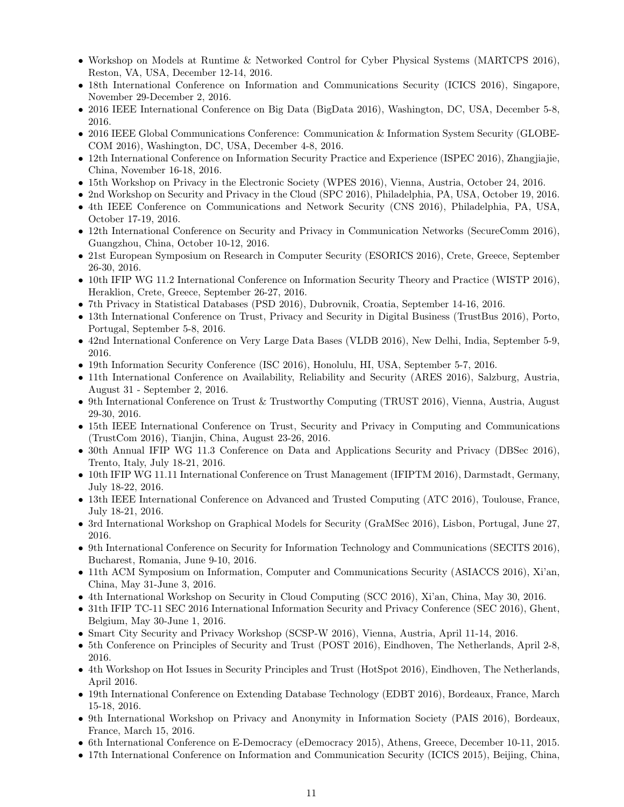- Workshop on Models at Runtime & Networked Control for Cyber Physical Systems (MARTCPS 2016), Reston, VA, USA, December 12-14, 2016.
- 18th International Conference on Information and Communications Security (ICICS 2016), Singapore, November 29-December 2, 2016.
- 2016 IEEE International Conference on Big Data (BigData 2016), Washington, DC, USA, December 5-8, 2016.
- 2016 IEEE Global Communications Conference: Communication & Information System Security (GLOBE-COM 2016), Washington, DC, USA, December 4-8, 2016.
- 12th International Conference on Information Security Practice and Experience (ISPEC 2016), Zhangjiajie, China, November 16-18, 2016.
- 15th Workshop on Privacy in the Electronic Society (WPES 2016), Vienna, Austria, October 24, 2016.
- 2nd Workshop on Security and Privacy in the Cloud (SPC 2016), Philadelphia, PA, USA, October 19, 2016.
- 4th IEEE Conference on Communications and Network Security (CNS 2016), Philadelphia, PA, USA, October 17-19, 2016.
- 12th International Conference on Security and Privacy in Communication Networks (SecureComm 2016), Guangzhou, China, October 10-12, 2016.
- 21st European Symposium on Research in Computer Security (ESORICS 2016), Crete, Greece, September 26-30, 2016.
- 10th IFIP WG 11.2 International Conference on Information Security Theory and Practice (WISTP 2016), Heraklion, Crete, Greece, September 26-27, 2016.
- 7th Privacy in Statistical Databases (PSD 2016), Dubrovnik, Croatia, September 14-16, 2016.
- 13th International Conference on Trust, Privacy and Security in Digital Business (TrustBus 2016), Porto, Portugal, September 5-8, 2016.
- 42nd International Conference on Very Large Data Bases (VLDB 2016), New Delhi, India, September 5-9, 2016.
- 19th Information Security Conference (ISC 2016), Honolulu, HI, USA, September 5-7, 2016.
- 11th International Conference on Availability, Reliability and Security (ARES 2016), Salzburg, Austria, August 31 - September 2, 2016.
- 9th International Conference on Trust & Trustworthy Computing (TRUST 2016), Vienna, Austria, August 29-30, 2016.
- 15th IEEE International Conference on Trust, Security and Privacy in Computing and Communications (TrustCom 2016), Tianjin, China, August 23-26, 2016.
- 30th Annual IFIP WG 11.3 Conference on Data and Applications Security and Privacy (DBSec 2016), Trento, Italy, July 18-21, 2016.
- 10th IFIP WG 11.11 International Conference on Trust Management (IFIPTM 2016), Darmstadt, Germany, July 18-22, 2016.
- 13th IEEE International Conference on Advanced and Trusted Computing (ATC 2016), Toulouse, France, July 18-21, 2016.
- 3rd International Workshop on Graphical Models for Security (GraMSec 2016), Lisbon, Portugal, June 27, 2016.
- 9th International Conference on Security for Information Technology and Communications (SECITS 2016), Bucharest, Romania, June 9-10, 2016.
- 11th ACM Symposium on Information, Computer and Communications Security (ASIACCS 2016), Xi'an, China, May 31-June 3, 2016.
- 4th International Workshop on Security in Cloud Computing (SCC 2016), Xi'an, China, May 30, 2016.
- 31th IFIP TC-11 SEC 2016 International Information Security and Privacy Conference (SEC 2016), Ghent, Belgium, May 30-June 1, 2016.
- Smart City Security and Privacy Workshop (SCSP-W 2016), Vienna, Austria, April 11-14, 2016.
- 5th Conference on Principles of Security and Trust (POST 2016), Eindhoven, The Netherlands, April 2-8, 2016.
- 4th Workshop on Hot Issues in Security Principles and Trust (HotSpot 2016), Eindhoven, The Netherlands, April 2016.
- 19th International Conference on Extending Database Technology (EDBT 2016), Bordeaux, France, March 15-18, 2016.
- 9th International Workshop on Privacy and Anonymity in Information Society (PAIS 2016), Bordeaux, France, March 15, 2016.
- 6th International Conference on E-Democracy (eDemocracy 2015), Athens, Greece, December 10-11, 2015.
- 17th International Conference on Information and Communication Security (ICICS 2015), Beijing, China,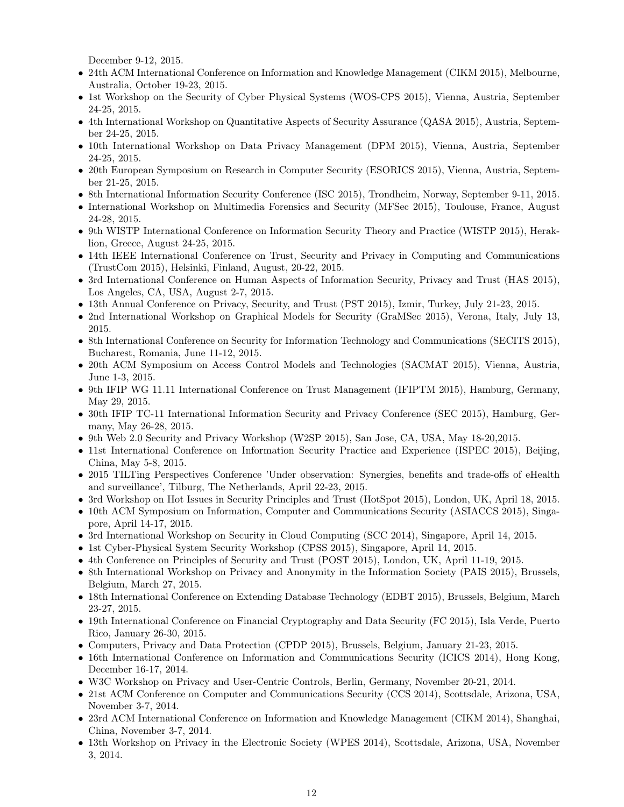December 9-12, 2015.

- 24th ACM International Conference on Information and Knowledge Management (CIKM 2015), Melbourne, Australia, October 19-23, 2015.
- 1st Workshop on the Security of Cyber Physical Systems (WOS-CPS 2015), Vienna, Austria, September 24-25, 2015.
- 4th International Workshop on Quantitative Aspects of Security Assurance (QASA 2015), Austria, September 24-25, 2015.
- 10th International Workshop on Data Privacy Management (DPM 2015), Vienna, Austria, September 24-25, 2015.
- 20th European Symposium on Research in Computer Security (ESORICS 2015), Vienna, Austria, September 21-25, 2015.
- 8th International Information Security Conference (ISC 2015), Trondheim, Norway, September 9-11, 2015.
- International Workshop on Multimedia Forensics and Security (MFSec 2015), Toulouse, France, August 24-28, 2015.
- 9th WISTP International Conference on Information Security Theory and Practice (WISTP 2015), Heraklion, Greece, August 24-25, 2015.
- 14th IEEE International Conference on Trust, Security and Privacy in Computing and Communications (TrustCom 2015), Helsinki, Finland, August, 20-22, 2015.
- 3rd International Conference on Human Aspects of Information Security, Privacy and Trust (HAS 2015), Los Angeles, CA, USA, August 2-7, 2015.
- 13th Annual Conference on Privacy, Security, and Trust (PST 2015), Izmir, Turkey, July 21-23, 2015.
- 2nd International Workshop on Graphical Models for Security (GraMSec 2015), Verona, Italy, July 13, 2015.
- 8th International Conference on Security for Information Technology and Communications (SECITS 2015), Bucharest, Romania, June 11-12, 2015.
- 20th ACM Symposium on Access Control Models and Technologies (SACMAT 2015), Vienna, Austria, June 1-3, 2015.
- 9th IFIP WG 11.11 International Conference on Trust Management (IFIPTM 2015), Hamburg, Germany, May 29, 2015.
- 30th IFIP TC-11 International Information Security and Privacy Conference (SEC 2015), Hamburg, Germany, May 26-28, 2015.
- 9th Web 2.0 Security and Privacy Workshop (W2SP 2015), San Jose, CA, USA, May 18-20,2015.
- 11st International Conference on Information Security Practice and Experience (ISPEC 2015), Beijing, China, May 5-8, 2015.
- 2015 TILTing Perspectives Conference 'Under observation: Synergies, benefits and trade-offs of eHealth and surveillance', Tilburg, The Netherlands, April 22-23, 2015.
- 3rd Workshop on Hot Issues in Security Principles and Trust (HotSpot 2015), London, UK, April 18, 2015.
- 10th ACM Symposium on Information, Computer and Communications Security (ASIACCS 2015), Singapore, April 14-17, 2015.
- 3rd International Workshop on Security in Cloud Computing (SCC 2014), Singapore, April 14, 2015.
- 1st Cyber-Physical System Security Workshop (CPSS 2015), Singapore, April 14, 2015.
- 4th Conference on Principles of Security and Trust (POST 2015), London, UK, April 11-19, 2015.
- 8th International Workshop on Privacy and Anonymity in the Information Society (PAIS 2015), Brussels, Belgium, March 27, 2015.
- 18th International Conference on Extending Database Technology (EDBT 2015), Brussels, Belgium, March 23-27, 2015.
- 19th International Conference on Financial Cryptography and Data Security (FC 2015), Isla Verde, Puerto Rico, January 26-30, 2015.
- Computers, Privacy and Data Protection (CPDP 2015), Brussels, Belgium, January 21-23, 2015.
- 16th International Conference on Information and Communications Security (ICICS 2014), Hong Kong, December 16-17, 2014.
- W3C Workshop on Privacy and User-Centric Controls, Berlin, Germany, November 20-21, 2014.
- 21st ACM Conference on Computer and Communications Security (CCS 2014), Scottsdale, Arizona, USA, November 3-7, 2014.
- 23rd ACM International Conference on Information and Knowledge Management (CIKM 2014), Shanghai, China, November 3-7, 2014.
- 13th Workshop on Privacy in the Electronic Society (WPES 2014), Scottsdale, Arizona, USA, November 3, 2014.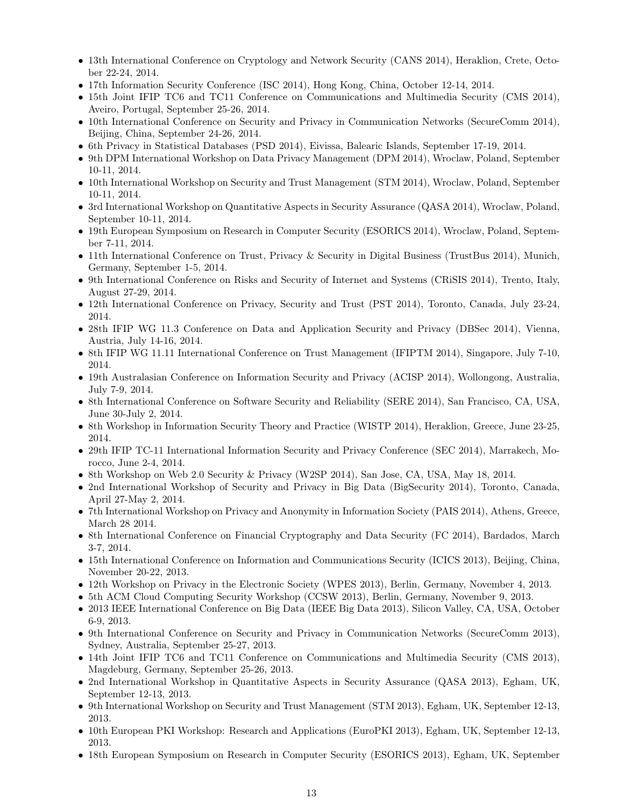- 13th International Conference on Cryptology and Network Security (CANS 2014), Heraklion, Crete, October 22-24, 2014.
- 17th Information Security Conference (ISC 2014), Hong Kong, China, October 12-14, 2014.
- 15th Joint IFIP TC6 and TC11 Conference on Communications and Multimedia Security (CMS 2014), Aveiro, Portugal, September 25-26, 2014.
- 10th International Conference on Security and Privacy in Communication Networks (SecureComm 2014), Beijing, China, September 24-26, 2014.
- 6th Privacy in Statistical Databases (PSD 2014), Eivissa, Balearic Islands, September 17-19, 2014.
- 9th DPM International Workshop on Data Privacy Management (DPM 2014), Wroclaw, Poland, September 10-11, 2014.
- 10th International Workshop on Security and Trust Management (STM 2014), Wroclaw, Poland, September 10-11, 2014.
- 3rd International Workshop on Quantitative Aspects in Security Assurance (QASA 2014), Wroclaw, Poland, September 10-11, 2014.
- 19th European Symposium on Research in Computer Security (ESORICS 2014), Wroclaw, Poland, September 7-11, 2014.
- 11th International Conference on Trust, Privacy & Security in Digital Business (TrustBus 2014), Munich, Germany, September 1-5, 2014.
- 9th International Conference on Risks and Security of Internet and Systems (CRiSIS 2014), Trento, Italy, August 27-29, 2014.
- 12th International Conference on Privacy, Security and Trust (PST 2014), Toronto, Canada, July 23-24, 2014.
- 28th IFIP WG 11.3 Conference on Data and Application Security and Privacy (DBSec 2014), Vienna, Austria, July 14-16, 2014.
- 8th IFIP WG 11.11 International Conference on Trust Management (IFIPTM 2014), Singapore, July 7-10, 2014.
- 19th Australasian Conference on Information Security and Privacy (ACISP 2014), Wollongong, Australia, July 7-9, 2014.
- 8th International Conference on Software Security and Reliability (SERE 2014), San Francisco, CA, USA, June 30-July 2, 2014.
- 8th Workshop in Information Security Theory and Practice (WISTP 2014), Heraklion, Greece, June 23-25, 2014.
- 29th IFIP TC-11 International Information Security and Privacy Conference (SEC 2014), Marrakech, Morocco, June 2-4, 2014.
- 8th Workshop on Web 2.0 Security & Privacy (W2SP 2014), San Jose, CA, USA, May 18, 2014.
- 2nd International Workshop of Security and Privacy in Big Data (BigSecurity 2014), Toronto, Canada, April 27-May 2, 2014.
- 7th International Workshop on Privacy and Anonymity in Information Society (PAIS 2014), Athens, Greece, March 28 2014.
- 8th International Conference on Financial Cryptography and Data Security (FC 2014), Bardados, March 3-7, 2014.
- 15th International Conference on Information and Communications Security (ICICS 2013), Beijing, China, November 20-22, 2013.
- 12th Workshop on Privacy in the Electronic Society (WPES 2013), Berlin, Germany, November 4, 2013.
- 5th ACM Cloud Computing Security Workshop (CCSW 2013), Berlin, Germany, November 9, 2013.
- 2013 IEEE International Conference on Big Data (IEEE Big Data 2013), Silicon Valley, CA, USA, October 6-9, 2013.
- 9th International Conference on Security and Privacy in Communication Networks (SecureComm 2013), Sydney, Australia, September 25-27, 2013.
- 14th Joint IFIP TC6 and TC11 Conference on Communications and Multimedia Security (CMS 2013), Magdeburg, Germany, September 25-26, 2013.
- 2nd International Workshop in Quantitative Aspects in Security Assurance (QASA 2013), Egham, UK, September 12-13, 2013.
- 9th International Workshop on Security and Trust Management (STM 2013), Egham, UK, September 12-13, 2013.
- 10th European PKI Workshop: Research and Applications (EuroPKI 2013), Egham, UK, September 12-13, 2013.
- 18th European Symposium on Research in Computer Security (ESORICS 2013), Egham, UK, September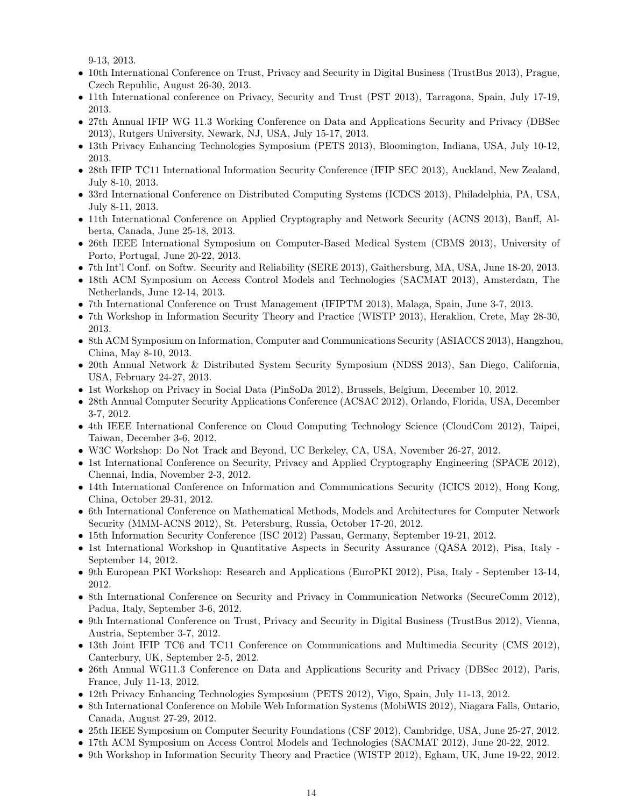9-13, 2013.

- 10th International Conference on Trust, Privacy and Security in Digital Business (TrustBus 2013), Prague, Czech Republic, August 26-30, 2013.
- 11th International conference on Privacy, Security and Trust (PST 2013), Tarragona, Spain, July 17-19, 2013.
- 27th Annual IFIP WG 11.3 Working Conference on Data and Applications Security and Privacy (DBSec 2013), Rutgers University, Newark, NJ, USA, July 15-17, 2013.
- 13th Privacy Enhancing Technologies Symposium (PETS 2013), Bloomington, Indiana, USA, July 10-12, 2013.
- 28th IFIP TC11 International Information Security Conference (IFIP SEC 2013), Auckland, New Zealand, July 8-10, 2013.
- 33rd International Conference on Distributed Computing Systems (ICDCS 2013), Philadelphia, PA, USA, July 8-11, 2013.
- 11th International Conference on Applied Cryptography and Network Security (ACNS 2013), Banff, Alberta, Canada, June 25-18, 2013.
- 26th IEEE International Symposium on Computer-Based Medical System (CBMS 2013), University of Porto, Portugal, June 20-22, 2013.
- 7th Int'l Conf. on Softw. Security and Reliability (SERE 2013), Gaithersburg, MA, USA, June 18-20, 2013.
- 18th ACM Symposium on Access Control Models and Technologies (SACMAT 2013), Amsterdam, The Netherlands, June 12-14, 2013.
- 7th International Conference on Trust Management (IFIPTM 2013), Malaga, Spain, June 3-7, 2013.
- 7th Workshop in Information Security Theory and Practice (WISTP 2013), Heraklion, Crete, May 28-30, 2013.
- 8th ACM Symposium on Information, Computer and Communications Security (ASIACCS 2013), Hangzhou, China, May 8-10, 2013.
- 20th Annual Network & Distributed System Security Symposium (NDSS 2013), San Diego, California, USA, February 24-27, 2013.
- 1st Workshop on Privacy in Social Data (PinSoDa 2012), Brussels, Belgium, December 10, 2012.
- 28th Annual Computer Security Applications Conference (ACSAC 2012), Orlando, Florida, USA, December 3-7, 2012.
- 4th IEEE International Conference on Cloud Computing Technology Science (CloudCom 2012), Taipei, Taiwan, December 3-6, 2012.
- W3C Workshop: Do Not Track and Beyond, UC Berkeley, CA, USA, November 26-27, 2012.
- 1st International Conference on Security, Privacy and Applied Cryptography Engineering (SPACE 2012), Chennai, India, November 2-3, 2012.
- 14th International Conference on Information and Communications Security (ICICS 2012), Hong Kong, China, October 29-31, 2012.
- 6th International Conference on Mathematical Methods, Models and Architectures for Computer Network Security (MMM-ACNS 2012), St. Petersburg, Russia, October 17-20, 2012.
- 15th Information Security Conference (ISC 2012) Passau, Germany, September 19-21, 2012.
- 1st International Workshop in Quantitative Aspects in Security Assurance (QASA 2012), Pisa, Italy September 14, 2012.
- 9th European PKI Workshop: Research and Applications (EuroPKI 2012), Pisa, Italy September 13-14, 2012.
- 8th International Conference on Security and Privacy in Communication Networks (SecureComm 2012), Padua, Italy, September 3-6, 2012.
- 9th International Conference on Trust, Privacy and Security in Digital Business (TrustBus 2012), Vienna, Austria, September 3-7, 2012.
- 13th Joint IFIP TC6 and TC11 Conference on Communications and Multimedia Security (CMS 2012), Canterbury, UK, September 2-5, 2012.
- 26th Annual WG11.3 Conference on Data and Applications Security and Privacy (DBSec 2012), Paris, France, July 11-13, 2012.
- 12th Privacy Enhancing Technologies Symposium (PETS 2012), Vigo, Spain, July 11-13, 2012.
- 8th International Conference on Mobile Web Information Systems (MobiWIS 2012), Niagara Falls, Ontario, Canada, August 27-29, 2012.
- 25th IEEE Symposium on Computer Security Foundations (CSF 2012), Cambridge, USA, June 25-27, 2012.
- 17th ACM Symposium on Access Control Models and Technologies (SACMAT 2012), June 20-22, 2012.
- 9th Workshop in Information Security Theory and Practice (WISTP 2012), Egham, UK, June 19-22, 2012.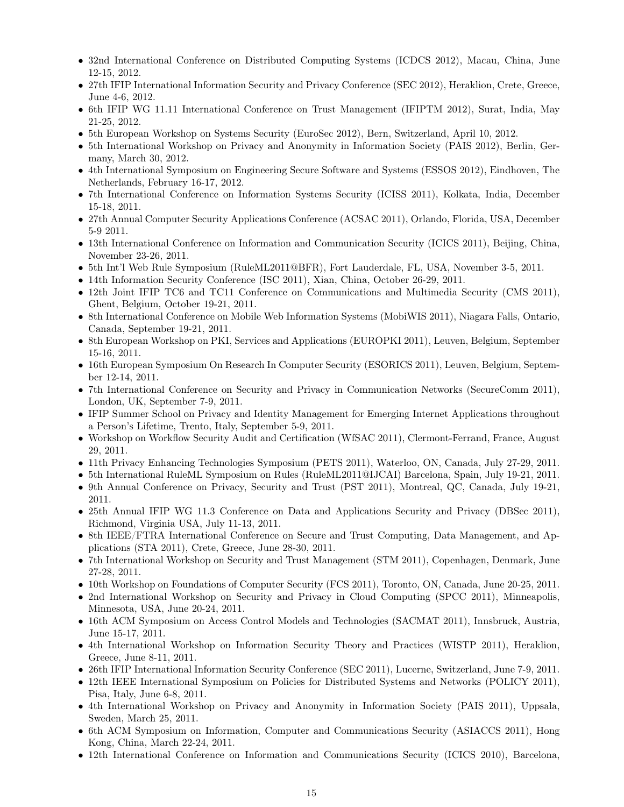- 32nd International Conference on Distributed Computing Systems (ICDCS 2012), Macau, China, June 12-15, 2012.
- 27th IFIP International Information Security and Privacy Conference (SEC 2012), Heraklion, Crete, Greece, June 4-6, 2012.
- 6th IFIP WG 11.11 International Conference on Trust Management (IFIPTM 2012), Surat, India, May 21-25, 2012.
- 5th European Workshop on Systems Security (EuroSec 2012), Bern, Switzerland, April 10, 2012.
- 5th International Workshop on Privacy and Anonymity in Information Society (PAIS 2012), Berlin, Germany, March 30, 2012.
- 4th International Symposium on Engineering Secure Software and Systems (ESSOS 2012), Eindhoven, The Netherlands, February 16-17, 2012.
- 7th International Conference on Information Systems Security (ICISS 2011), Kolkata, India, December 15-18, 2011.
- 27th Annual Computer Security Applications Conference (ACSAC 2011), Orlando, Florida, USA, December 5-9 2011.
- 13th International Conference on Information and Communication Security (ICICS 2011), Beijing, China, November 23-26, 2011.
- 5th Int'l Web Rule Symposium (RuleML2011@BFR), Fort Lauderdale, FL, USA, November 3-5, 2011.
- 14th Information Security Conference (ISC 2011), Xian, China, October 26-29, 2011.
- 12th Joint IFIP TC6 and TC11 Conference on Communications and Multimedia Security (CMS 2011), Ghent, Belgium, October 19-21, 2011.
- 8th International Conference on Mobile Web Information Systems (MobiWIS 2011), Niagara Falls, Ontario, Canada, September 19-21, 2011.
- 8th European Workshop on PKI, Services and Applications (EUROPKI 2011), Leuven, Belgium, September 15-16, 2011.
- 16th European Symposium On Research In Computer Security (ESORICS 2011), Leuven, Belgium, September 12-14, 2011.
- 7th International Conference on Security and Privacy in Communication Networks (SecureComm 2011), London, UK, September 7-9, 2011.
- IFIP Summer School on Privacy and Identity Management for Emerging Internet Applications throughout a Person's Lifetime, Trento, Italy, September 5-9, 2011.
- Workshop on Workflow Security Audit and Certification (WfSAC 2011), Clermont-Ferrand, France, August 29, 2011.
- 11th Privacy Enhancing Technologies Symposium (PETS 2011), Waterloo, ON, Canada, July 27-29, 2011.
- 5th International RuleML Symposium on Rules (RuleML2011@IJCAI) Barcelona, Spain, July 19-21, 2011.
- 9th Annual Conference on Privacy, Security and Trust (PST 2011), Montreal, QC, Canada, July 19-21, 2011.
- 25th Annual IFIP WG 11.3 Conference on Data and Applications Security and Privacy (DBSec 2011), Richmond, Virginia USA, July 11-13, 2011.
- 8th IEEE/FTRA International Conference on Secure and Trust Computing, Data Management, and Applications (STA 2011), Crete, Greece, June 28-30, 2011.
- 7th International Workshop on Security and Trust Management (STM 2011), Copenhagen, Denmark, June 27-28, 2011.
- 10th Workshop on Foundations of Computer Security (FCS 2011), Toronto, ON, Canada, June 20-25, 2011.
- 2nd International Workshop on Security and Privacy in Cloud Computing (SPCC 2011), Minneapolis, Minnesota, USA, June 20-24, 2011.
- 16th ACM Symposium on Access Control Models and Technologies (SACMAT 2011), Innsbruck, Austria, June 15-17, 2011.
- 4th International Workshop on Information Security Theory and Practices (WISTP 2011), Heraklion, Greece, June 8-11, 2011.
- 26th IFIP International Information Security Conference (SEC 2011), Lucerne, Switzerland, June 7-9, 2011.
- 12th IEEE International Symposium on Policies for Distributed Systems and Networks (POLICY 2011), Pisa, Italy, June 6-8, 2011.
- 4th International Workshop on Privacy and Anonymity in Information Society (PAIS 2011), Uppsala, Sweden, March 25, 2011.
- 6th ACM Symposium on Information, Computer and Communications Security (ASIACCS 2011), Hong Kong, China, March 22-24, 2011.
- 12th International Conference on Information and Communications Security (ICICS 2010), Barcelona,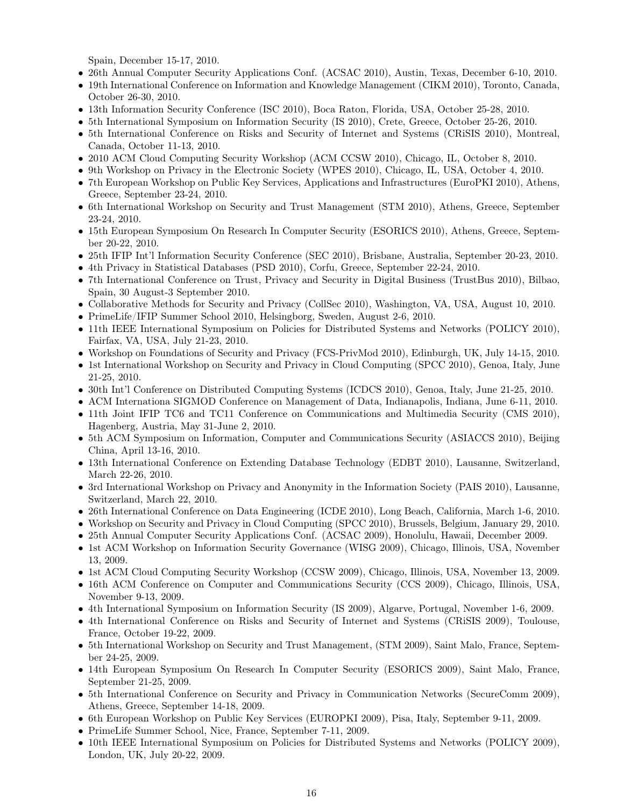Spain, December 15-17, 2010.

- 26th Annual Computer Security Applications Conf. (ACSAC 2010), Austin, Texas, December 6-10, 2010.
- 19th International Conference on Information and Knowledge Management (CIKM 2010), Toronto, Canada, October 26-30, 2010.
- 13th Information Security Conference (ISC 2010), Boca Raton, Florida, USA, October 25-28, 2010.
- 5th International Symposium on Information Security (IS 2010), Crete, Greece, October 25-26, 2010.
- 5th International Conference on Risks and Security of Internet and Systems (CRiSIS 2010), Montreal, Canada, October 11-13, 2010.
- 2010 ACM Cloud Computing Security Workshop (ACM CCSW 2010), Chicago, IL, October 8, 2010.
- 9th Workshop on Privacy in the Electronic Society (WPES 2010), Chicago, IL, USA, October 4, 2010.
- 7th European Workshop on Public Key Services, Applications and Infrastructures (EuroPKI 2010), Athens, Greece, September 23-24, 2010.
- 6th International Workshop on Security and Trust Management (STM 2010), Athens, Greece, September 23-24, 2010.
- 15th European Symposium On Research In Computer Security (ESORICS 2010), Athens, Greece, September 20-22, 2010.
- 25th IFIP Int'l Information Security Conference (SEC 2010), Brisbane, Australia, September 20-23, 2010.
- 4th Privacy in Statistical Databases (PSD 2010), Corfu, Greece, September 22-24, 2010.
- 7th International Conference on Trust, Privacy and Security in Digital Business (TrustBus 2010), Bilbao, Spain, 30 August-3 September 2010.
- Collaborative Methods for Security and Privacy (CollSec 2010), Washington, VA, USA, August 10, 2010.
- PrimeLife/IFIP Summer School 2010, Helsingborg, Sweden, August 2-6, 2010.
- 11th IEEE International Symposium on Policies for Distributed Systems and Networks (POLICY 2010), Fairfax, VA, USA, July 21-23, 2010.
- Workshop on Foundations of Security and Privacy (FCS-PrivMod 2010), Edinburgh, UK, July 14-15, 2010.
- 1st International Workshop on Security and Privacy in Cloud Computing (SPCC 2010), Genoa, Italy, June 21-25, 2010.
- 30th Int'l Conference on Distributed Computing Systems (ICDCS 2010), Genoa, Italy, June 21-25, 2010.
- ACM Internationa SIGMOD Conference on Management of Data, Indianapolis, Indiana, June 6-11, 2010.
- 11th Joint IFIP TC6 and TC11 Conference on Communications and Multimedia Security (CMS 2010), Hagenberg, Austria, May 31-June 2, 2010.
- 5th ACM Symposium on Information, Computer and Communications Security (ASIACCS 2010), Beijing China, April 13-16, 2010.
- 13th International Conference on Extending Database Technology (EDBT 2010), Lausanne, Switzerland, March 22-26, 2010.
- 3rd International Workshop on Privacy and Anonymity in the Information Society (PAIS 2010), Lausanne, Switzerland, March 22, 2010.
- 26th International Conference on Data Engineering (ICDE 2010), Long Beach, California, March 1-6, 2010.
- Workshop on Security and Privacy in Cloud Computing (SPCC 2010), Brussels, Belgium, January 29, 2010.
- 25th Annual Computer Security Applications Conf. (ACSAC 2009), Honolulu, Hawaii, December 2009.
- 1st ACM Workshop on Information Security Governance (WISG 2009), Chicago, Illinois, USA, November 13, 2009.
- 1st ACM Cloud Computing Security Workshop (CCSW 2009), Chicago, Illinois, USA, November 13, 2009.
- 16th ACM Conference on Computer and Communications Security (CCS 2009), Chicago, Illinois, USA, November 9-13, 2009.
- 4th International Symposium on Information Security (IS 2009), Algarve, Portugal, November 1-6, 2009.
- 4th International Conference on Risks and Security of Internet and Systems (CRiSIS 2009), Toulouse, France, October 19-22, 2009.
- 5th International Workshop on Security and Trust Management, (STM 2009), Saint Malo, France, September 24-25, 2009.
- 14th European Symposium On Research In Computer Security (ESORICS 2009), Saint Malo, France, September 21-25, 2009.
- 5th International Conference on Security and Privacy in Communication Networks (SecureComm 2009), Athens, Greece, September 14-18, 2009.
- 6th European Workshop on Public Key Services (EUROPKI 2009), Pisa, Italy, September 9-11, 2009.
- PrimeLife Summer School, Nice, France, September 7-11, 2009.
- 10th IEEE International Symposium on Policies for Distributed Systems and Networks (POLICY 2009), London, UK, July 20-22, 2009.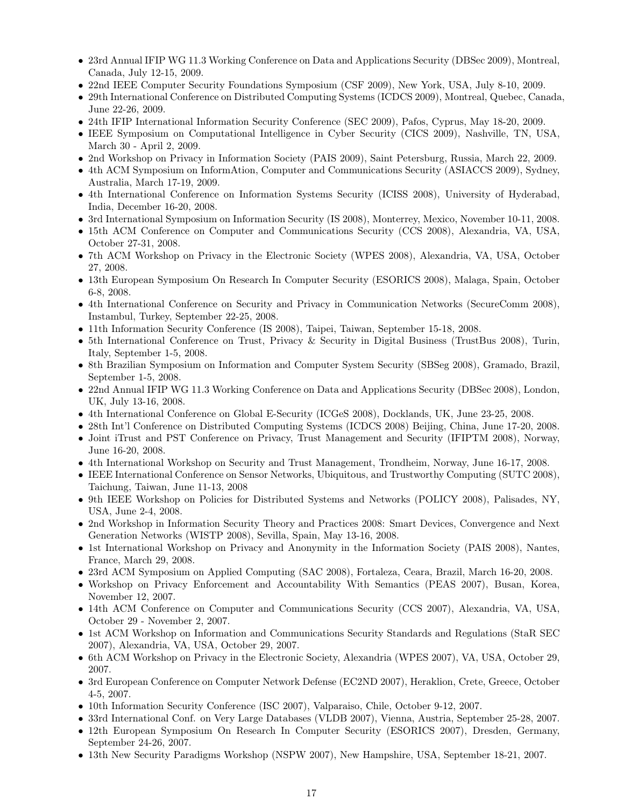- 23rd Annual IFIP WG 11.3 Working Conference on Data and Applications Security (DBSec 2009), Montreal, Canada, July 12-15, 2009.
- 22nd IEEE Computer Security Foundations Symposium (CSF 2009), New York, USA, July 8-10, 2009.
- 29th International Conference on Distributed Computing Systems (ICDCS 2009), Montreal, Quebec, Canada, June 22-26, 2009.
- 24th IFIP International Information Security Conference (SEC 2009), Pafos, Cyprus, May 18-20, 2009.
- IEEE Symposium on Computational Intelligence in Cyber Security (CICS 2009), Nashville, TN, USA, March 30 - April 2, 2009.
- 2nd Workshop on Privacy in Information Society (PAIS 2009), Saint Petersburg, Russia, March 22, 2009.
- 4th ACM Symposium on InformAtion, Computer and Communications Security (ASIACCS 2009), Sydney, Australia, March 17-19, 2009.
- 4th International Conference on Information Systems Security (ICISS 2008), University of Hyderabad, India, December 16-20, 2008.
- 3rd International Symposium on Information Security (IS 2008), Monterrey, Mexico, November 10-11, 2008.
- 15th ACM Conference on Computer and Communications Security (CCS 2008), Alexandria, VA, USA, October 27-31, 2008.
- 7th ACM Workshop on Privacy in the Electronic Society (WPES 2008), Alexandria, VA, USA, October 27, 2008.
- 13th European Symposium On Research In Computer Security (ESORICS 2008), Malaga, Spain, October 6-8, 2008.
- 4th International Conference on Security and Privacy in Communication Networks (SecureComm 2008), Instambul, Turkey, September 22-25, 2008.
- 11th Information Security Conference (IS 2008), Taipei, Taiwan, September 15-18, 2008.
- 5th International Conference on Trust, Privacy & Security in Digital Business (TrustBus 2008), Turin, Italy, September 1-5, 2008.
- 8th Brazilian Symposium on Information and Computer System Security (SBSeg 2008), Gramado, Brazil, September 1-5, 2008.
- 22nd Annual IFIP WG 11.3 Working Conference on Data and Applications Security (DBSec 2008), London, UK, July 13-16, 2008.
- 4th International Conference on Global E-Security (ICGeS 2008), Docklands, UK, June 23-25, 2008.
- 28th Int'l Conference on Distributed Computing Systems (ICDCS 2008) Beijing, China, June 17-20, 2008.
- Joint iTrust and PST Conference on Privacy, Trust Management and Security (IFIPTM 2008), Norway, June 16-20, 2008.
- 4th International Workshop on Security and Trust Management, Trondheim, Norway, June 16-17, 2008.
- IEEE International Conference on Sensor Networks, Ubiquitous, and Trustworthy Computing (SUTC 2008), Taichung, Taiwan, June 11-13, 2008
- 9th IEEE Workshop on Policies for Distributed Systems and Networks (POLICY 2008), Palisades, NY, USA, June 2-4, 2008.
- 2nd Workshop in Information Security Theory and Practices 2008: Smart Devices, Convergence and Next Generation Networks (WISTP 2008), Sevilla, Spain, May 13-16, 2008.
- 1st International Workshop on Privacy and Anonymity in the Information Society (PAIS 2008), Nantes, France, March 29, 2008.
- 23rd ACM Symposium on Applied Computing (SAC 2008), Fortaleza, Ceara, Brazil, March 16-20, 2008.
- Workshop on Privacy Enforcement and Accountability With Semantics (PEAS 2007), Busan, Korea, November 12, 2007.
- 14th ACM Conference on Computer and Communications Security (CCS 2007), Alexandria, VA, USA, October 29 - November 2, 2007.
- 1st ACM Workshop on Information and Communications Security Standards and Regulations (StaR SEC 2007), Alexandria, VA, USA, October 29, 2007.
- 6th ACM Workshop on Privacy in the Electronic Society, Alexandria (WPES 2007), VA, USA, October 29, 2007.
- 3rd European Conference on Computer Network Defense (EC2ND 2007), Heraklion, Crete, Greece, October 4-5, 2007.
- 10th Information Security Conference (ISC 2007), Valparaiso, Chile, October 9-12, 2007.
- 33rd International Conf. on Very Large Databases (VLDB 2007), Vienna, Austria, September 25-28, 2007.
- 12th European Symposium On Research In Computer Security (ESORICS 2007), Dresden, Germany, September 24-26, 2007.
- 13th New Security Paradigms Workshop (NSPW 2007), New Hampshire, USA, September 18-21, 2007.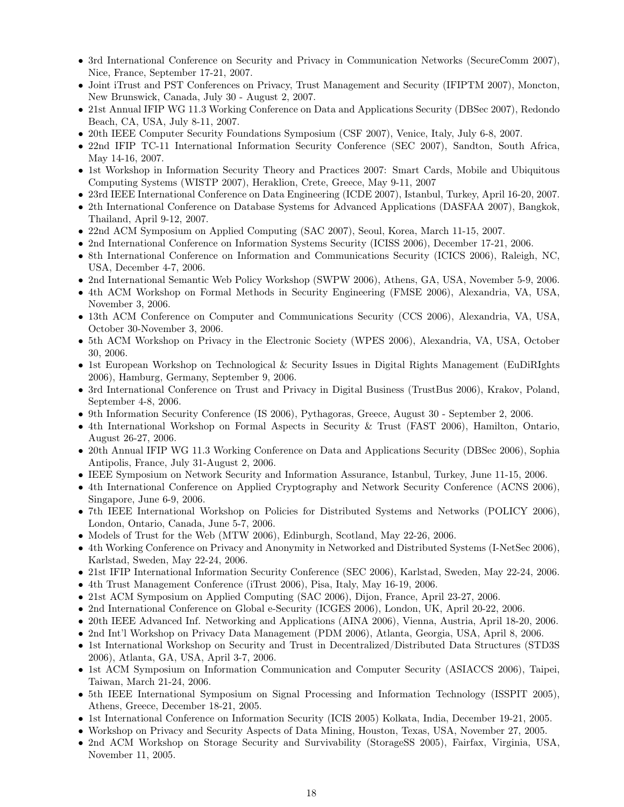- 3rd International Conference on Security and Privacy in Communication Networks (SecureComm 2007), Nice, France, September 17-21, 2007.
- Joint iTrust and PST Conferences on Privacy, Trust Management and Security (IFIPTM 2007), Moncton, New Brunswick, Canada, July 30 - August 2, 2007.
- 21st Annual IFIP WG 11.3 Working Conference on Data and Applications Security (DBSec 2007), Redondo Beach, CA, USA, July 8-11, 2007.
- 20th IEEE Computer Security Foundations Symposium (CSF 2007), Venice, Italy, July 6-8, 2007.
- 22nd IFIP TC-11 International Information Security Conference (SEC 2007), Sandton, South Africa, May 14-16, 2007.
- 1st Workshop in Information Security Theory and Practices 2007: Smart Cards, Mobile and Ubiquitous Computing Systems (WISTP 2007), Heraklion, Crete, Greece, May 9-11, 2007
- 23rd IEEE International Conference on Data Engineering (ICDE 2007), Istanbul, Turkey, April 16-20, 2007.
- 2th International Conference on Database Systems for Advanced Applications (DASFAA 2007), Bangkok, Thailand, April 9-12, 2007.
- 22nd ACM Symposium on Applied Computing (SAC 2007), Seoul, Korea, March 11-15, 2007.
- 2nd International Conference on Information Systems Security (ICISS 2006), December 17-21, 2006.
- 8th International Conference on Information and Communications Security (ICICS 2006), Raleigh, NC, USA, December 4-7, 2006.
- 2nd International Semantic Web Policy Workshop (SWPW 2006), Athens, GA, USA, November 5-9, 2006.
- 4th ACM Workshop on Formal Methods in Security Engineering (FMSE 2006), Alexandria, VA, USA, November 3, 2006.
- 13th ACM Conference on Computer and Communications Security (CCS 2006), Alexandria, VA, USA, October 30-November 3, 2006.
- 5th ACM Workshop on Privacy in the Electronic Society (WPES 2006), Alexandria, VA, USA, October 30, 2006.
- 1st European Workshop on Technological & Security Issues in Digital Rights Management (EuDiRIghts 2006), Hamburg, Germany, September 9, 2006.
- 3rd International Conference on Trust and Privacy in Digital Business (TrustBus 2006), Krakov, Poland, September 4-8, 2006.
- 9th Information Security Conference (IS 2006), Pythagoras, Greece, August 30 September 2, 2006.
- 4th International Workshop on Formal Aspects in Security & Trust (FAST 2006), Hamilton, Ontario, August 26-27, 2006.
- 20th Annual IFIP WG 11.3 Working Conference on Data and Applications Security (DBSec 2006), Sophia Antipolis, France, July 31-August 2, 2006.
- IEEE Symposium on Network Security and Information Assurance, Istanbul, Turkey, June 11-15, 2006.
- 4th International Conference on Applied Cryptography and Network Security Conference (ACNS 2006), Singapore, June 6-9, 2006.
- 7th IEEE International Workshop on Policies for Distributed Systems and Networks (POLICY 2006), London, Ontario, Canada, June 5-7, 2006.
- Models of Trust for the Web (MTW 2006), Edinburgh, Scotland, May 22-26, 2006.
- 4th Working Conference on Privacy and Anonymity in Networked and Distributed Systems (I-NetSec 2006), Karlstad, Sweden, May 22-24, 2006.
- 21st IFIP International Information Security Conference (SEC 2006), Karlstad, Sweden, May 22-24, 2006.
- 4th Trust Management Conference (iTrust 2006), Pisa, Italy, May 16-19, 2006.
- 21st ACM Symposium on Applied Computing (SAC 2006), Dijon, France, April 23-27, 2006.
- 2nd International Conference on Global e-Security (ICGES 2006), London, UK, April 20-22, 2006.
- 20th IEEE Advanced Inf. Networking and Applications (AINA 2006), Vienna, Austria, April 18-20, 2006.
- 2nd Int'l Workshop on Privacy Data Management (PDM 2006), Atlanta, Georgia, USA, April 8, 2006.
- 1st International Workshop on Security and Trust in Decentralized/Distributed Data Structures (STD3S 2006), Atlanta, GA, USA, April 3-7, 2006.
- 1st ACM Symposium on Information Communication and Computer Security (ASIACCS 2006), Taipei, Taiwan, March 21-24, 2006.
- 5th IEEE International Symposium on Signal Processing and Information Technology (ISSPIT 2005), Athens, Greece, December 18-21, 2005.
- 1st International Conference on Information Security (ICIS 2005) Kolkata, India, December 19-21, 2005.
- Workshop on Privacy and Security Aspects of Data Mining, Houston, Texas, USA, November 27, 2005.
- 2nd ACM Workshop on Storage Security and Survivability (StorageSS 2005), Fairfax, Virginia, USA, November 11, 2005.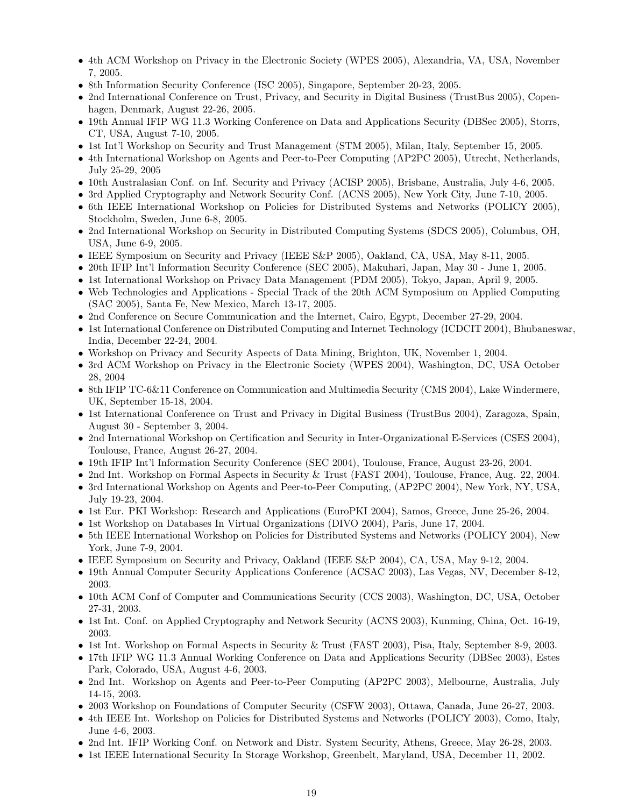- 4th ACM Workshop on Privacy in the Electronic Society (WPES 2005), Alexandria, VA, USA, November 7, 2005.
- 8th Information Security Conference (ISC 2005), Singapore, September 20-23, 2005.
- 2nd International Conference on Trust, Privacy, and Security in Digital Business (TrustBus 2005), Copenhagen, Denmark, August 22-26, 2005.
- 19th Annual IFIP WG 11.3 Working Conference on Data and Applications Security (DBSec 2005), Storrs, CT, USA, August 7-10, 2005.
- 1st Int'l Workshop on Security and Trust Management (STM 2005), Milan, Italy, September 15, 2005.
- 4th International Workshop on Agents and Peer-to-Peer Computing (AP2PC 2005), Utrecht, Netherlands, July 25-29, 2005
- 10th Australasian Conf. on Inf. Security and Privacy (ACISP 2005), Brisbane, Australia, July 4-6, 2005.
- 3rd Applied Cryptography and Network Security Conf. (ACNS 2005), New York City, June 7-10, 2005.
- 6th IEEE International Workshop on Policies for Distributed Systems and Networks (POLICY 2005), Stockholm, Sweden, June 6-8, 2005.
- 2nd International Workshop on Security in Distributed Computing Systems (SDCS 2005), Columbus, OH, USA, June 6-9, 2005.
- IEEE Symposium on Security and Privacy (IEEE S&P 2005), Oakland, CA, USA, May 8-11, 2005.
- 20th IFIP Int'l Information Security Conference (SEC 2005), Makuhari, Japan, May 30 June 1, 2005.
- 1st International Workshop on Privacy Data Management (PDM 2005), Tokyo, Japan, April 9, 2005.
- Web Technologies and Applications Special Track of the 20th ACM Symposium on Applied Computing (SAC 2005), Santa Fe, New Mexico, March 13-17, 2005.
- 2nd Conference on Secure Communication and the Internet, Cairo, Egypt, December 27-29, 2004.
- 1st International Conference on Distributed Computing and Internet Technology (ICDCIT 2004), Bhubaneswar, India, December 22-24, 2004.
- Workshop on Privacy and Security Aspects of Data Mining, Brighton, UK, November 1, 2004.
- 3rd ACM Workshop on Privacy in the Electronic Society (WPES 2004), Washington, DC, USA October 28, 2004
- 8th IFIP TC-6&11 Conference on Communication and Multimedia Security (CMS 2004), Lake Windermere, UK, September 15-18, 2004.
- 1st International Conference on Trust and Privacy in Digital Business (TrustBus 2004), Zaragoza, Spain, August 30 - September 3, 2004.
- 2nd International Workshop on Certification and Security in Inter-Organizational E-Services (CSES 2004), Toulouse, France, August 26-27, 2004.
- 19th IFIP Int'l Information Security Conference (SEC 2004), Toulouse, France, August 23-26, 2004.
- 2nd Int. Workshop on Formal Aspects in Security & Trust (FAST 2004), Toulouse, France, Aug. 22, 2004.
- 3rd International Workshop on Agents and Peer-to-Peer Computing, (AP2PC 2004), New York, NY, USA, July 19-23, 2004.
- 1st Eur. PKI Workshop: Research and Applications (EuroPKI 2004), Samos, Greece, June 25-26, 2004.
- 1st Workshop on Databases In Virtual Organizations (DIVO 2004), Paris, June 17, 2004.
- 5th IEEE International Workshop on Policies for Distributed Systems and Networks (POLICY 2004), New York, June 7-9, 2004.
- IEEE Symposium on Security and Privacy, Oakland (IEEE S&P 2004), CA, USA, May 9-12, 2004.
- 19th Annual Computer Security Applications Conference (ACSAC 2003), Las Vegas, NV, December 8-12, 2003.
- 10th ACM Conf of Computer and Communications Security (CCS 2003), Washington, DC, USA, October 27-31, 2003.
- 1st Int. Conf. on Applied Cryptography and Network Security (ACNS 2003), Kunming, China, Oct. 16-19, 2003.
- 1st Int. Workshop on Formal Aspects in Security & Trust (FAST 2003), Pisa, Italy, September 8-9, 2003.
- 17th IFIP WG 11.3 Annual Working Conference on Data and Applications Security (DBSec 2003), Estes Park, Colorado, USA, August 4-6, 2003.
- 2nd Int. Workshop on Agents and Peer-to-Peer Computing (AP2PC 2003), Melbourne, Australia, July 14-15, 2003.
- 2003 Workshop on Foundations of Computer Security (CSFW 2003), Ottawa, Canada, June 26-27, 2003.
- 4th IEEE Int. Workshop on Policies for Distributed Systems and Networks (POLICY 2003), Como, Italy, June 4-6, 2003.
- 2nd Int. IFIP Working Conf. on Network and Distr. System Security, Athens, Greece, May 26-28, 2003.
- 1st IEEE International Security In Storage Workshop, Greenbelt, Maryland, USA, December 11, 2002.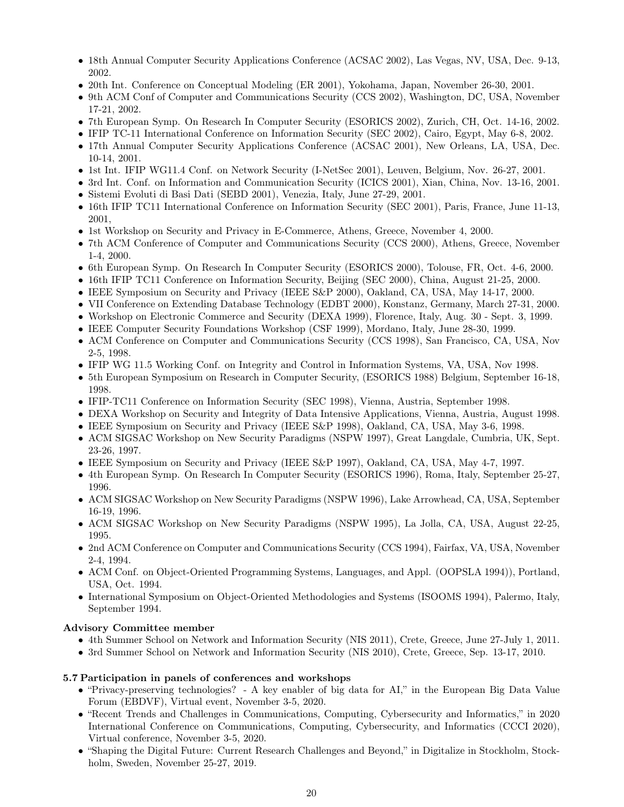- 18th Annual Computer Security Applications Conference (ACSAC 2002), Las Vegas, NV, USA, Dec. 9-13, 2002.
- 20th Int. Conference on Conceptual Modeling (ER 2001), Yokohama, Japan, November 26-30, 2001.
- 9th ACM Conf of Computer and Communications Security (CCS 2002), Washington, DC, USA, November 17-21, 2002.
- 7th European Symp. On Research In Computer Security (ESORICS 2002), Zurich, CH, Oct. 14-16, 2002.
- IFIP TC-11 International Conference on Information Security (SEC 2002), Cairo, Egypt, May 6-8, 2002.
- 17th Annual Computer Security Applications Conference (ACSAC 2001), New Orleans, LA, USA, Dec. 10-14, 2001.
- 1st Int. IFIP WG11.4 Conf. on Network Security (I-NetSec 2001), Leuven, Belgium, Nov. 26-27, 2001.
- 3rd Int. Conf. on Information and Communication Security (ICICS 2001), Xian, China, Nov. 13-16, 2001.
- Sistemi Evoluti di Basi Dati (SEBD 2001), Venezia, Italy, June 27-29, 2001.
- 16th IFIP TC11 International Conference on Information Security (SEC 2001), Paris, France, June 11-13, 2001,
- 1st Workshop on Security and Privacy in E-Commerce, Athens, Greece, November 4, 2000.
- 7th ACM Conference of Computer and Communications Security (CCS 2000), Athens, Greece, November 1-4, 2000.
- 6th European Symp. On Research In Computer Security (ESORICS 2000), Tolouse, FR, Oct. 4-6, 2000.
- 16th IFIP TC11 Conference on Information Security, Beijing (SEC 2000), China, August 21-25, 2000.
- IEEE Symposium on Security and Privacy (IEEE S&P 2000), Oakland, CA, USA, May 14-17, 2000.
- VII Conference on Extending Database Technology (EDBT 2000), Konstanz, Germany, March 27-31, 2000.
- Workshop on Electronic Commerce and Security (DEXA 1999), Florence, Italy, Aug. 30 Sept. 3, 1999.
- IEEE Computer Security Foundations Workshop (CSF 1999), Mordano, Italy, June 28-30, 1999.
- ACM Conference on Computer and Communications Security (CCS 1998), San Francisco, CA, USA, Nov 2-5, 1998.
- IFIP WG 11.5 Working Conf. on Integrity and Control in Information Systems, VA, USA, Nov 1998.
- 5th European Symposium on Research in Computer Security, (ESORICS 1988) Belgium, September 16-18, 1998.
- IFIP-TC11 Conference on Information Security (SEC 1998), Vienna, Austria, September 1998.
- DEXA Workshop on Security and Integrity of Data Intensive Applications, Vienna, Austria, August 1998.
- IEEE Symposium on Security and Privacy (IEEE S&P 1998), Oakland, CA, USA, May 3-6, 1998.
- ACM SIGSAC Workshop on New Security Paradigms (NSPW 1997), Great Langdale, Cumbria, UK, Sept. 23-26, 1997.
- IEEE Symposium on Security and Privacy (IEEE S&P 1997), Oakland, CA, USA, May 4-7, 1997.
- 4th European Symp. On Research In Computer Security (ESORICS 1996), Roma, Italy, September 25-27, 1996.
- ACM SIGSAC Workshop on New Security Paradigms (NSPW 1996), Lake Arrowhead, CA, USA, September 16-19, 1996.
- ACM SIGSAC Workshop on New Security Paradigms (NSPW 1995), La Jolla, CA, USA, August 22-25, 1995.
- 2nd ACM Conference on Computer and Communications Security (CCS 1994), Fairfax, VA, USA, November 2-4, 1994.
- ACM Conf. on Object-Oriented Programming Systems, Languages, and Appl. (OOPSLA 1994)), Portland, USA, Oct. 1994.
- International Symposium on Object-Oriented Methodologies and Systems (ISOOMS 1994), Palermo, Italy, September 1994.

### Advisory Committee member

- 4th Summer School on Network and Information Security (NIS 2011), Crete, Greece, June 27-July 1, 2011.
- 3rd Summer School on Network and Information Security (NIS 2010), Crete, Greece, Sep. 13-17, 2010.

### 5.7 Participation in panels of conferences and workshops

- "Privacy-preserving technologies? A key enabler of big data for AI," in the European Big Data Value Forum (EBDVF), Virtual event, November 3-5, 2020.
- "Recent Trends and Challenges in Communications, Computing, Cybersecurity and Informatics," in 2020 International Conference on Communications, Computing, Cybersecurity, and Informatics (CCCI 2020), Virtual conference, November 3-5, 2020.
- "Shaping the Digital Future: Current Research Challenges and Beyond," in Digitalize in Stockholm, Stockholm, Sweden, November 25-27, 2019.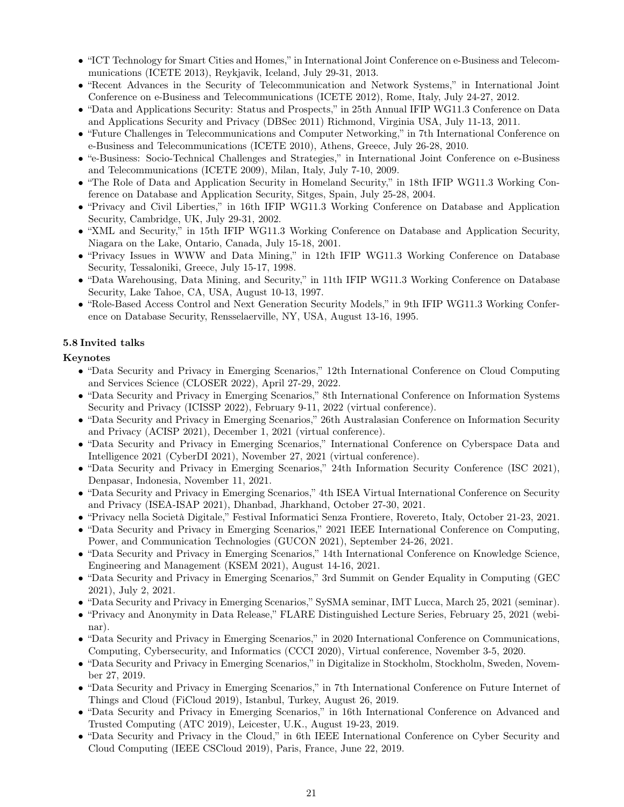- "ICT Technology for Smart Cities and Homes," in International Joint Conference on e-Business and Telecommunications (ICETE 2013), Reykjavik, Iceland, July 29-31, 2013.
- "Recent Advances in the Security of Telecommunication and Network Systems," in International Joint Conference on e-Business and Telecommunications (ICETE 2012), Rome, Italy, July 24-27, 2012.
- "Data and Applications Security: Status and Prospects," in 25th Annual IFIP WG11.3 Conference on Data and Applications Security and Privacy (DBSec 2011) Richmond, Virginia USA, July 11-13, 2011.
- "Future Challenges in Telecommunications and Computer Networking," in 7th International Conference on e-Business and Telecommunications (ICETE 2010), Athens, Greece, July 26-28, 2010.
- "e-Business: Socio-Technical Challenges and Strategies," in International Joint Conference on e-Business and Telecommunications (ICETE 2009), Milan, Italy, July 7-10, 2009.
- "The Role of Data and Application Security in Homeland Security," in 18th IFIP WG11.3 Working Conference on Database and Application Security, Sitges, Spain, July 25-28, 2004.
- "Privacy and Civil Liberties," in 16th IFIP WG11.3 Working Conference on Database and Application Security, Cambridge, UK, July 29-31, 2002.
- "XML and Security," in 15th IFIP WG11.3 Working Conference on Database and Application Security, Niagara on the Lake, Ontario, Canada, July 15-18, 2001.
- "Privacy Issues in WWW and Data Mining," in 12th IFIP WG11.3 Working Conference on Database Security, Tessaloniki, Greece, July 15-17, 1998.
- "Data Warehousing, Data Mining, and Security," in 11th IFIP WG11.3 Working Conference on Database Security, Lake Tahoe, CA, USA, August 10-13, 1997.
- "Role-Based Access Control and Next Generation Security Models," in 9th IFIP WG11.3 Working Conference on Database Security, Rensselaerville, NY, USA, August 13-16, 1995.

### 5.8 Invited talks

#### Keynotes

- "Data Security and Privacy in Emerging Scenarios," 12th International Conference on Cloud Computing and Services Science (CLOSER 2022), April 27-29, 2022.
- "Data Security and Privacy in Emerging Scenarios," 8th International Conference on Information Systems Security and Privacy (ICISSP 2022), February 9-11, 2022 (virtual conference).
- "Data Security and Privacy in Emerging Scenarios," 26th Australasian Conference on Information Security and Privacy (ACISP 2021), December 1, 2021 (virtual conference).
- "Data Security and Privacy in Emerging Scenarios," International Conference on Cyberspace Data and Intelligence 2021 (CyberDI 2021), November 27, 2021 (virtual conference).
- "Data Security and Privacy in Emerging Scenarios," 24th Information Security Conference (ISC 2021), Denpasar, Indonesia, November 11, 2021.
- "Data Security and Privacy in Emerging Scenarios," 4th ISEA Virtual International Conference on Security and Privacy (ISEA-ISAP 2021), Dhanbad, Jharkhand, October 27-30, 2021.
- "Privacy nella Società Digitale," Festival Informatici Senza Frontiere, Rovereto, Italy, October 21-23, 2021.
- "Data Security and Privacy in Emerging Scenarios," 2021 IEEE International Conference on Computing, Power, and Communication Technologies (GUCON 2021), September 24-26, 2021.
- "Data Security and Privacy in Emerging Scenarios," 14th International Conference on Knowledge Science, Engineering and Management (KSEM 2021), August 14-16, 2021.
- "Data Security and Privacy in Emerging Scenarios," 3rd Summit on Gender Equality in Computing (GEC 2021), July 2, 2021.
- "Data Security and Privacy in Emerging Scenarios," SySMA seminar, IMT Lucca, March 25, 2021 (seminar).
- "Privacy and Anonymity in Data Release," FLARE Distinguished Lecture Series, February 25, 2021 (webinar).
- "Data Security and Privacy in Emerging Scenarios," in 2020 International Conference on Communications, Computing, Cybersecurity, and Informatics (CCCI 2020), Virtual conference, November 3-5, 2020.
- "Data Security and Privacy in Emerging Scenarios," in Digitalize in Stockholm, Stockholm, Sweden, November 27, 2019.
- "Data Security and Privacy in Emerging Scenarios," in 7th International Conference on Future Internet of Things and Cloud (FiCloud 2019), Istanbul, Turkey, August 26, 2019.
- "Data Security and Privacy in Emerging Scenarios," in 16th International Conference on Advanced and Trusted Computing (ATC 2019), Leicester, U.K., August 19-23, 2019.
- "Data Security and Privacy in the Cloud," in 6th IEEE International Conference on Cyber Security and Cloud Computing (IEEE CSCloud 2019), Paris, France, June 22, 2019.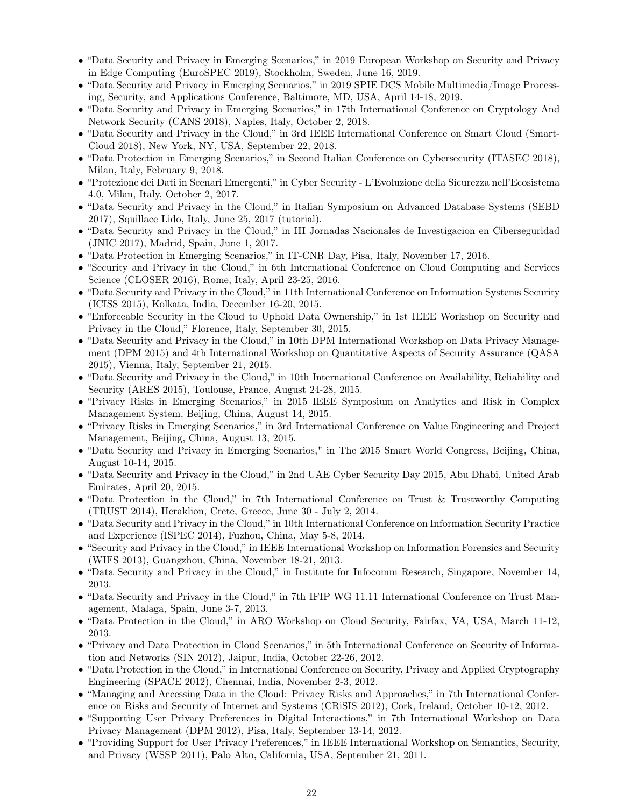- "Data Security and Privacy in Emerging Scenarios," in 2019 European Workshop on Security and Privacy in Edge Computing (EuroSPEC 2019), Stockholm, Sweden, June 16, 2019.
- "Data Security and Privacy in Emerging Scenarios," in 2019 SPIE DCS Mobile Multimedia/Image Processing, Security, and Applications Conference, Baltimore, MD, USA, April 14-18, 2019.
- "Data Security and Privacy in Emerging Scenarios," in 17th International Conference on Cryptology And Network Security (CANS 2018), Naples, Italy, October 2, 2018.
- "Data Security and Privacy in the Cloud," in 3rd IEEE International Conference on Smart Cloud (Smart-Cloud 2018), New York, NY, USA, September 22, 2018.
- "Data Protection in Emerging Scenarios," in Second Italian Conference on Cybersecurity (ITASEC 2018), Milan, Italy, February 9, 2018.
- "Protezione dei Dati in Scenari Emergenti," in Cyber Security L'Evoluzione della Sicurezza nell'Ecosistema 4.0, Milan, Italy, October 2, 2017.
- "Data Security and Privacy in the Cloud," in Italian Symposium on Advanced Database Systems (SEBD 2017), Squillace Lido, Italy, June 25, 2017 (tutorial).
- "Data Security and Privacy in the Cloud," in III Jornadas Nacionales de Investigacion en Ciberseguridad (JNIC 2017), Madrid, Spain, June 1, 2017.
- "Data Protection in Emerging Scenarios," in IT-CNR Day, Pisa, Italy, November 17, 2016.
- "Security and Privacy in the Cloud," in 6th International Conference on Cloud Computing and Services Science (CLOSER 2016), Rome, Italy, April 23-25, 2016.
- "Data Security and Privacy in the Cloud," in 11th International Conference on Information Systems Security (ICISS 2015), Kolkata, India, December 16-20, 2015.
- "Enforceable Security in the Cloud to Uphold Data Ownership," in 1st IEEE Workshop on Security and Privacy in the Cloud," Florence, Italy, September 30, 2015.
- "Data Security and Privacy in the Cloud," in 10th DPM International Workshop on Data Privacy Management (DPM 2015) and 4th International Workshop on Quantitative Aspects of Security Assurance (QASA 2015), Vienna, Italy, September 21, 2015.
- "Data Security and Privacy in the Cloud," in 10th International Conference on Availability, Reliability and Security (ARES 2015), Toulouse, France, August 24-28, 2015.
- "Privacy Risks in Emerging Scenarios," in 2015 IEEE Symposium on Analytics and Risk in Complex Management System, Beijing, China, August 14, 2015.
- "Privacy Risks in Emerging Scenarios," in 3rd International Conference on Value Engineering and Project Management, Beijing, China, August 13, 2015.
- "Data Security and Privacy in Emerging Scenarios," in The 2015 Smart World Congress, Beijing, China, August 10-14, 2015.
- "Data Security and Privacy in the Cloud," in 2nd UAE Cyber Security Day 2015, Abu Dhabi, United Arab Emirates, April 20, 2015.
- "Data Protection in the Cloud," in 7th International Conference on Trust & Trustworthy Computing (TRUST 2014), Heraklion, Crete, Greece, June 30 - July 2, 2014.
- "Data Security and Privacy in the Cloud," in 10th International Conference on Information Security Practice and Experience (ISPEC 2014), Fuzhou, China, May 5-8, 2014.
- "Security and Privacy in the Cloud," in IEEE International Workshop on Information Forensics and Security (WIFS 2013), Guangzhou, China, November 18-21, 2013.
- "Data Security and Privacy in the Cloud," in Institute for Infocomm Research, Singapore, November 14, 2013.
- "Data Security and Privacy in the Cloud," in 7th IFIP WG 11.11 International Conference on Trust Management, Malaga, Spain, June 3-7, 2013.
- "Data Protection in the Cloud," in ARO Workshop on Cloud Security, Fairfax, VA, USA, March 11-12, 2013.
- "Privacy and Data Protection in Cloud Scenarios," in 5th International Conference on Security of Information and Networks (SIN 2012), Jaipur, India, October 22-26, 2012.
- "Data Protection in the Cloud," in International Conference on Security, Privacy and Applied Cryptography Engineering (SPACE 2012), Chennai, India, November 2-3, 2012.
- "Managing and Accessing Data in the Cloud: Privacy Risks and Approaches," in 7th International Conference on Risks and Security of Internet and Systems (CRiSIS 2012), Cork, Ireland, October 10-12, 2012.
- "Supporting User Privacy Preferences in Digital Interactions," in 7th International Workshop on Data Privacy Management (DPM 2012), Pisa, Italy, September 13-14, 2012.
- "Providing Support for User Privacy Preferences," in IEEE International Workshop on Semantics, Security, and Privacy (WSSP 2011), Palo Alto, California, USA, September 21, 2011.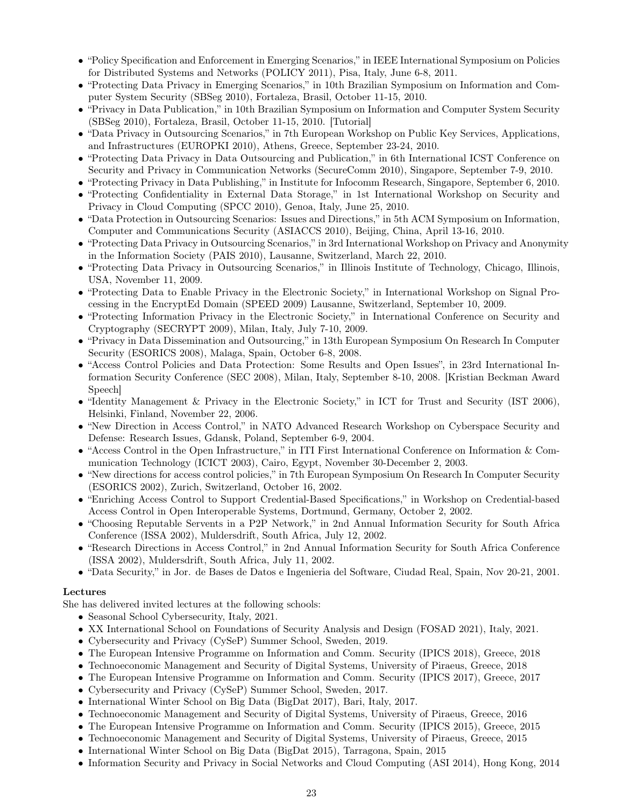- "Policy Specification and Enforcement in Emerging Scenarios," in IEEE International Symposium on Policies for Distributed Systems and Networks (POLICY 2011), Pisa, Italy, June 6-8, 2011.
- "Protecting Data Privacy in Emerging Scenarios," in 10th Brazilian Symposium on Information and Computer System Security (SBSeg 2010), Fortaleza, Brasil, October 11-15, 2010.
- "Privacy in Data Publication," in 10th Brazilian Symposium on Information and Computer System Security (SBSeg 2010), Fortaleza, Brasil, October 11-15, 2010. [Tutorial]
- "Data Privacy in Outsourcing Scenarios," in 7th European Workshop on Public Key Services, Applications, and Infrastructures (EUROPKI 2010), Athens, Greece, September 23-24, 2010.
- "Protecting Data Privacy in Data Outsourcing and Publication," in 6th International ICST Conference on Security and Privacy in Communication Networks (SecureComm 2010), Singapore, September 7-9, 2010.
- "Protecting Privacy in Data Publishing," in Institute for Infocomm Research, Singapore, September 6, 2010.
- "Protecting Confidentiality in External Data Storage," in 1st International Workshop on Security and Privacy in Cloud Computing (SPCC 2010), Genoa, Italy, June 25, 2010.
- "Data Protection in Outsourcing Scenarios: Issues and Directions," in 5th ACM Symposium on Information, Computer and Communications Security (ASIACCS 2010), Beijing, China, April 13-16, 2010.
- "Protecting Data Privacy in Outsourcing Scenarios," in 3rd International Workshop on Privacy and Anonymity in the Information Society (PAIS 2010), Lausanne, Switzerland, March 22, 2010.
- "Protecting Data Privacy in Outsourcing Scenarios," in Illinois Institute of Technology, Chicago, Illinois, USA, November 11, 2009.
- "Protecting Data to Enable Privacy in the Electronic Society," in International Workshop on Signal Processing in the EncryptEd Domain (SPEED 2009) Lausanne, Switzerland, September 10, 2009.
- "Protecting Information Privacy in the Electronic Society," in International Conference on Security and Cryptography (SECRYPT 2009), Milan, Italy, July 7-10, 2009.
- "Privacy in Data Dissemination and Outsourcing," in 13th European Symposium On Research In Computer Security (ESORICS 2008), Malaga, Spain, October 6-8, 2008.
- "Access Control Policies and Data Protection: Some Results and Open Issues", in 23rd International Information Security Conference (SEC 2008), Milan, Italy, September 8-10, 2008. [Kristian Beckman Award Speech]
- "Identity Management & Privacy in the Electronic Society," in ICT for Trust and Security (IST 2006), Helsinki, Finland, November 22, 2006.
- "New Direction in Access Control," in NATO Advanced Research Workshop on Cyberspace Security and Defense: Research Issues, Gdansk, Poland, September 6-9, 2004.
- "Access Control in the Open Infrastructure," in ITI First International Conference on Information & Communication Technology (ICICT 2003), Cairo, Egypt, November 30-December 2, 2003.
- "New directions for access control policies," in 7th European Symposium On Research In Computer Security (ESORICS 2002), Zurich, Switzerland, October 16, 2002.
- "Enriching Access Control to Support Credential-Based Specifications," in Workshop on Credential-based Access Control in Open Interoperable Systems, Dortmund, Germany, October 2, 2002.
- "Choosing Reputable Servents in a P2P Network," in 2nd Annual Information Security for South Africa Conference (ISSA 2002), Muldersdrift, South Africa, July 12, 2002.
- "Research Directions in Access Control," in 2nd Annual Information Security for South Africa Conference (ISSA 2002), Muldersdrift, South Africa, July 11, 2002.
- "Data Security," in Jor. de Bases de Datos e Ingenieria del Software, Ciudad Real, Spain, Nov 20-21, 2001.

#### Lectures

She has delivered invited lectures at the following schools:

- Seasonal School Cybersecurity, Italy, 2021.
- XX International School on Foundations of Security Analysis and Design (FOSAD 2021), Italy, 2021.
- Cybersecurity and Privacy (CySeP) Summer School, Sweden, 2019.
- The European Intensive Programme on Information and Comm. Security (IPICS 2018), Greece, 2018
- Technoeconomic Management and Security of Digital Systems, University of Piraeus, Greece, 2018
- The European Intensive Programme on Information and Comm. Security (IPICS 2017), Greece, 2017
- Cybersecurity and Privacy (CySeP) Summer School, Sweden, 2017.
- International Winter School on Big Data (BigDat 2017), Bari, Italy, 2017.
- Technoeconomic Management and Security of Digital Systems, University of Piraeus, Greece, 2016
- The European Intensive Programme on Information and Comm. Security (IPICS 2015), Greece, 2015
- Technoeconomic Management and Security of Digital Systems, University of Piraeus, Greece, 2015
- International Winter School on Big Data (BigDat 2015), Tarragona, Spain, 2015
- Information Security and Privacy in Social Networks and Cloud Computing (ASI 2014), Hong Kong, 2014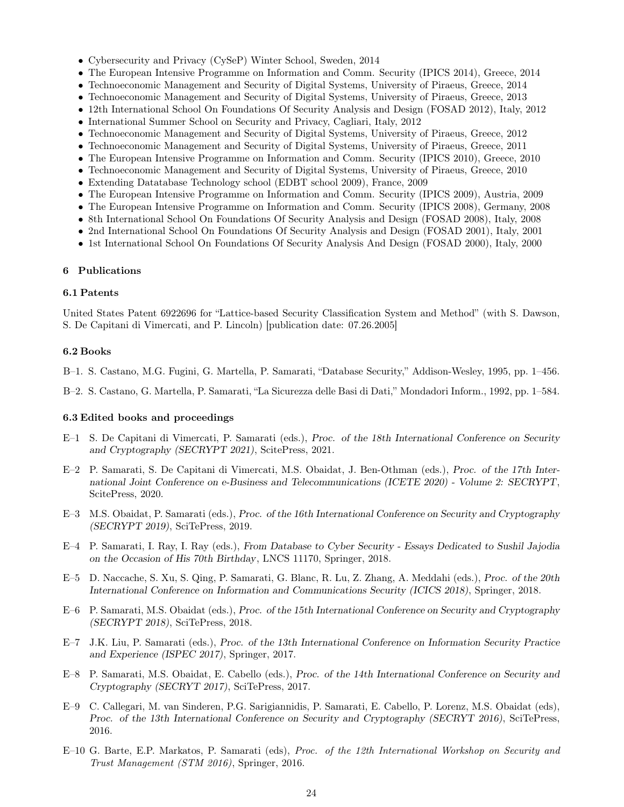- Cybersecurity and Privacy (CySeP) Winter School, Sweden, 2014
- The European Intensive Programme on Information and Comm. Security (IPICS 2014), Greece, 2014
- Technoeconomic Management and Security of Digital Systems, University of Piraeus, Greece, 2014
- Technoeconomic Management and Security of Digital Systems, University of Piraeus, Greece, 2013
- 12th International School On Foundations Of Security Analysis and Design (FOSAD 2012), Italy, 2012
- International Summer School on Security and Privacy, Cagliari, Italy, 2012
- Technoeconomic Management and Security of Digital Systems, University of Piraeus, Greece, 2012
- Technoeconomic Management and Security of Digital Systems, University of Piraeus, Greece, 2011
- The European Intensive Programme on Information and Comm. Security (IPICS 2010), Greece, 2010
- Technoeconomic Management and Security of Digital Systems, University of Piraeus, Greece, 2010
- Extending Datatabase Technology school (EDBT school 2009), France, 2009
- The European Intensive Programme on Information and Comm. Security (IPICS 2009), Austria, 2009
- The European Intensive Programme on Information and Comm. Security (IPICS 2008), Germany, 2008
- 8th International School On Foundations Of Security Analysis and Design (FOSAD 2008), Italy, 2008
- 2nd International School On Foundations Of Security Analysis and Design (FOSAD 2001), Italy, 2001
- 1st International School On Foundations Of Security Analysis And Design (FOSAD 2000), Italy, 2000

### 6 Publications

#### 6.1 Patents

United States Patent 6922696 for "Lattice-based Security Classification System and Method" (with S. Dawson, S. De Capitani di Vimercati, and P. Lincoln) [publication date: 07.26.2005]

#### 6.2 Books

- B–1. S. Castano, M.G. Fugini, G. Martella, P. Samarati, "Database Security," Addison-Wesley, 1995, pp. 1–456.
- B–2. S. Castano, G. Martella, P. Samarati, "La Sicurezza delle Basi di Dati," Mondadori Inform., 1992, pp. 1–584.

#### 6.3 Edited books and proceedings

- E–1 S. De Capitani di Vimercati, P. Samarati (eds.), *Proc. of the 18th International Conference on Security and Cryptography (SECRYPT 2021)*, ScitePress, 2021.
- E–2 P. Samarati, S. De Capitani di Vimercati, M.S. Obaidat, J. Ben-Othman (eds.), *Proc. of the 17th International Joint Conference on e-Business and Telecommunications (ICETE 2020) - Volume 2: SECRYPT*, ScitePress, 2020.
- E–3 M.S. Obaidat, P. Samarati (eds.), *Proc. of the 16th International Conference on Security and Cryptography (SECRYPT 2019)*, SciTePress, 2019.
- E–4 P. Samarati, I. Ray, I. Ray (eds.), *From Database to Cyber Security Essays Dedicated to Sushil Jajodia on the Occasion of His 70th Birthday*, LNCS 11170, Springer, 2018.
- E–5 D. Naccache, S. Xu, S. Qing, P. Samarati, G. Blanc, R. Lu, Z. Zhang, A. Meddahi (eds.), *Proc. of the 20th International Conference on Information and Communications Security (ICICS 2018)*, Springer, 2018.
- E–6 P. Samarati, M.S. Obaidat (eds.), *Proc. of the 15th International Conference on Security and Cryptography (SECRYPT 2018)*, SciTePress, 2018.
- E–7 J.K. Liu, P. Samarati (eds.), *Proc. of the 13th International Conference on Information Security Practice and Experience (ISPEC 2017)*, Springer, 2017.
- E–8 P. Samarati, M.S. Obaidat, E. Cabello (eds.), *Proc. of the 14th International Conference on Security and Cryptography (SECRYT 2017)*, SciTePress, 2017.
- E–9 C. Callegari, M. van Sinderen, P.G. Sarigiannidis, P. Samarati, E. Cabello, P. Lorenz, M.S. Obaidat (eds), *Proc. of the 13th International Conference on Security and Cryptography (SECRYT 2016)*, SciTePress, 2016.
- E–10 G. Barte, E.P. Markatos, P. Samarati (eds), Proc. of the 12th International Workshop on Security and Trust Management (STM 2016), Springer, 2016.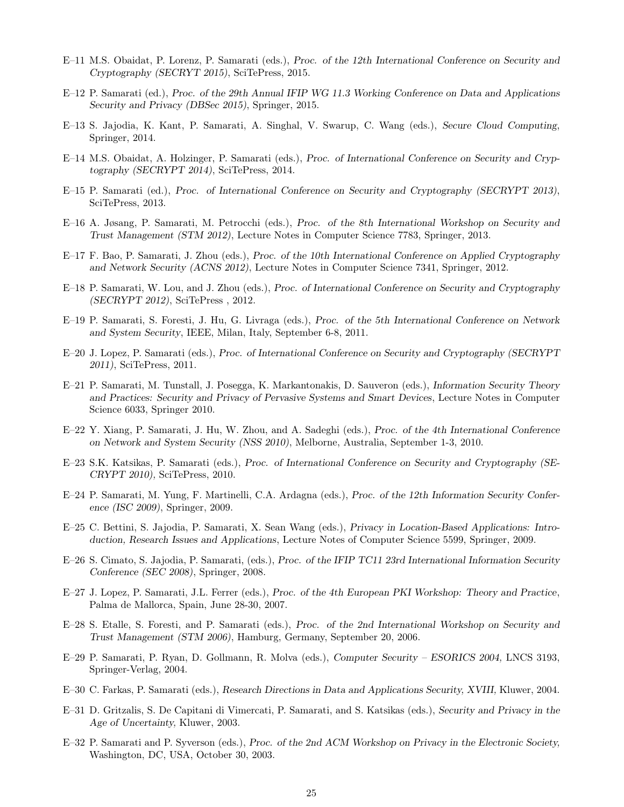- E–11 M.S. Obaidat, P. Lorenz, P. Samarati (eds.), *Proc. of the 12th International Conference on Security and Cryptography (SECRYT 2015)*, SciTePress, 2015.
- E–12 P. Samarati (ed.), *Proc. of the 29th Annual IFIP WG 11.3 Working Conference on Data and Applications Security and Privacy (DBSec 2015)*, Springer, 2015.
- E–13 S. Jajodia, K. Kant, P. Samarati, A. Singhal, V. Swarup, C. Wang (eds.), *Secure Cloud Computing*, Springer, 2014.
- E–14 M.S. Obaidat, A. Holzinger, P. Samarati (eds.), *Proc. of International Conference on Security and Cryptography (SECRYPT 2014)*, SciTePress, 2014.
- E–15 P. Samarati (ed.), *Proc. of International Conference on Security and Cryptography (SECRYPT 2013)*, SciTePress, 2013.
- E–16 A. Jøsang, P. Samarati, M. Petrocchi (eds.), *Proc. of the 8th International Workshop on Security and Trust Management (STM 2012)*, Lecture Notes in Computer Science 7783, Springer, 2013.
- E–17 F. Bao, P. Samarati, J. Zhou (eds.), *Proc. of the 10th International Conference on Applied Cryptography and Network Security (ACNS 2012)*, Lecture Notes in Computer Science 7341, Springer, 2012.
- E–18 P. Samarati, W. Lou, and J. Zhou (eds.), *Proc. of International Conference on Security and Cryptography (SECRYPT 2012)*, SciTePress , 2012.
- E–19 P. Samarati, S. Foresti, J. Hu, G. Livraga (eds.), *Proc. of the 5th International Conference on Network and System Security*, IEEE, Milan, Italy, September 6-8, 2011.
- E–20 J. Lopez, P. Samarati (eds.), *Proc. of International Conference on Security and Cryptography (SECRYPT 2011)*, SciTePress, 2011.
- E–21 P. Samarati, M. Tunstall, J. Posegga, K. Markantonakis, D. Sauveron (eds.), *Information Security Theory and Practices: Security and Privacy of Pervasive Systems and Smart Devices*, Lecture Notes in Computer Science 6033, Springer 2010.
- E–22 Y. Xiang, P. Samarati, J. Hu, W. Zhou, and A. Sadeghi (eds.), *Proc. of the 4th International Conference on Network and System Security (NSS 2010)*, Melborne, Australia, September 1-3, 2010.
- E–23 S.K. Katsikas, P. Samarati (eds.), *Proc. of International Conference on Security and Cryptography (SE-CRYPT 2010),* SciTePress, 2010.
- E–24 P. Samarati, M. Yung, F. Martinelli, C.A. Ardagna (eds.), *Proc. of the 12th Information Security Conference (ISC 2009)*, Springer, 2009.
- E–25 C. Bettini, S. Jajodia, P. Samarati, X. Sean Wang (eds.), *Privacy in Location-Based Applications: Introduction, Research Issues and Applications*, Lecture Notes of Computer Science 5599, Springer, 2009.
- E–26 S. Cimato, S. Jajodia, P. Samarati, (eds.), *Proc. of the IFIP TC11 23rd International Information Security Conference (SEC 2008)*, Springer, 2008.
- E–27 J. Lopez, P. Samarati, J.L. Ferrer (eds.), *Proc. of the 4th European PKI Workshop: Theory and Practice*, Palma de Mallorca, Spain, June 28-30, 2007.
- E–28 S. Etalle, S. Foresti, and P. Samarati (eds.), *Proc. of the 2nd International Workshop on Security and Trust Management (STM 2006)*, Hamburg, Germany, September 20, 2006.
- E–29 P. Samarati, P. Ryan, D. Gollmann, R. Molva (eds.), *Computer Security ESORICS 2004,* LNCS 3193, Springer-Verlag, 2004.
- E–30 C. Farkas, P. Samarati (eds.), *Research Directions in Data and Applications Security, XVIII,* Kluwer, 2004.
- E–31 D. Gritzalis, S. De Capitani di Vimercati, P. Samarati, and S. Katsikas (eds.), *Security and Privacy in the Age of Uncertainty,* Kluwer, 2003.
- E–32 P. Samarati and P. Syverson (eds.), *Proc. of the 2nd ACM Workshop on Privacy in the Electronic Society,* Washington, DC, USA, October 30, 2003.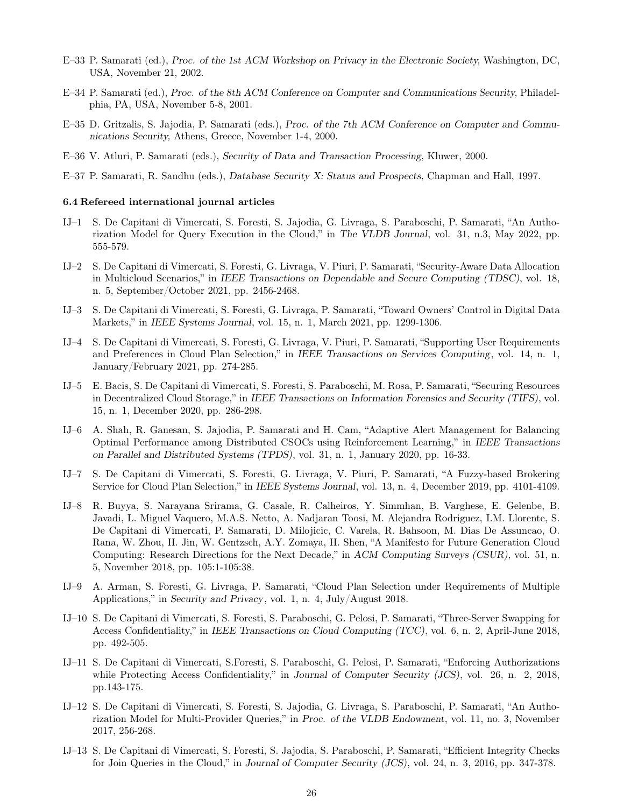- E–33 P. Samarati (ed.), *Proc. of the 1st ACM Workshop on Privacy in the Electronic Society,* Washington, DC, USA, November 21, 2002.
- E–34 P. Samarati (ed.), *Proc. of the 8th ACM Conference on Computer and Communications Security,* Philadelphia, PA, USA, November 5-8, 2001.
- E–35 D. Gritzalis, S. Jajodia, P. Samarati (eds.), *Proc. of the 7th ACM Conference on Computer and Communications Security,* Athens, Greece, November 1-4, 2000.
- E–36 V. Atluri, P. Samarati (eds.), *Security of Data and Transaction Processing,* Kluwer, 2000.
- E–37 P. Samarati, R. Sandhu (eds.), *Database Security X: Status and Prospects,* Chapman and Hall, 1997.

#### 6.4 Refereed international journal articles

- IJ–1 S. De Capitani di Vimercati, S. Foresti, S. Jajodia, G. Livraga, S. Paraboschi, P. Samarati, "An Authorization Model for Query Execution in the Cloud," in *The VLDB Journal*, vol. 31, n.3, May 2022, pp. 555-579.
- IJ–2 S. De Capitani di Vimercati, S. Foresti, G. Livraga, V. Piuri, P. Samarati, "Security-Aware Data Allocation in Multicloud Scenarios," in *IEEE Transactions on Dependable and Secure Computing (TDSC)*, vol. 18, n. 5, September/October 2021, pp. 2456-2468.
- IJ–3 S. De Capitani di Vimercati, S. Foresti, G. Livraga, P. Samarati, "Toward Owners' Control in Digital Data Markets," in *IEEE Systems Journal*, vol. 15, n. 1, March 2021, pp. 1299-1306.
- IJ–4 S. De Capitani di Vimercati, S. Foresti, G. Livraga, V. Piuri, P. Samarati, "Supporting User Requirements and Preferences in Cloud Plan Selection," in *IEEE Transactions on Services Computing*, vol. 14, n. 1, January/February 2021, pp. 274-285.
- IJ–5 E. Bacis, S. De Capitani di Vimercati, S. Foresti, S. Paraboschi, M. Rosa, P. Samarati, "Securing Resources in Decentralized Cloud Storage," in *IEEE Transactions on Information Forensics and Security (TIFS)*, vol. 15, n. 1, December 2020, pp. 286-298.
- IJ–6 A. Shah, R. Ganesan, S. Jajodia, P. Samarati and H. Cam, "Adaptive Alert Management for Balancing Optimal Performance among Distributed CSOCs using Reinforcement Learning," in *IEEE Transactions on Parallel and Distributed Systems (TPDS)*, vol. 31, n. 1, January 2020, pp. 16-33.
- IJ–7 S. De Capitani di Vimercati, S. Foresti, G. Livraga, V. Piuri, P. Samarati, "A Fuzzy-based Brokering Service for Cloud Plan Selection," in *IEEE Systems Journal*, vol. 13, n. 4, December 2019, pp. 4101-4109.
- IJ–8 R. Buyya, S. Narayana Srirama, G. Casale, R. Calheiros, Y. Simmhan, B. Varghese, E. Gelenbe, B. Javadi, L. Miguel Vaquero, M.A.S. Netto, A. Nadjaran Toosi, M. Alejandra Rodriguez, I.M. Llorente, S. De Capitani di Vimercati, P. Samarati, D. Milojicic, C. Varela, R. Bahsoon, M. Dias De Assuncao, O. Rana, W. Zhou, H. Jin, W. Gentzsch, A.Y. Zomaya, H. Shen, "A Manifesto for Future Generation Cloud Computing: Research Directions for the Next Decade," in *ACM Computing Surveys (CSUR),* vol. 51, n. 5, November 2018, pp. 105:1-105:38.
- IJ–9 A. Arman, S. Foresti, G. Livraga, P. Samarati, "Cloud Plan Selection under Requirements of Multiple Applications," in *Security and Privacy*, vol. 1, n. 4, July/August 2018.
- IJ–10 S. De Capitani di Vimercati, S. Foresti, S. Paraboschi, G. Pelosi, P. Samarati, "Three-Server Swapping for Access Confidentiality," in *IEEE Transactions on Cloud Computing (TCC)*, vol. 6, n. 2, April-June 2018, pp. 492-505.
- IJ–11 S. De Capitani di Vimercati, S.Foresti, S. Paraboschi, G. Pelosi, P. Samarati, "Enforcing Authorizations while Protecting Access Confidentiality," in *Journal of Computer Security (JCS)*, vol. 26, n. 2, 2018, pp.143-175.
- IJ–12 S. De Capitani di Vimercati, S. Foresti, S. Jajodia, G. Livraga, S. Paraboschi, P. Samarati, "An Authorization Model for Multi-Provider Queries," in *Proc. of the VLDB Endowment*, vol. 11, no. 3, November 2017, 256-268.
- IJ–13 S. De Capitani di Vimercati, S. Foresti, S. Jajodia, S. Paraboschi, P. Samarati, "Efficient Integrity Checks for Join Queries in the Cloud," in *Journal of Computer Security (JCS)*, vol. 24, n. 3, 2016, pp. 347-378.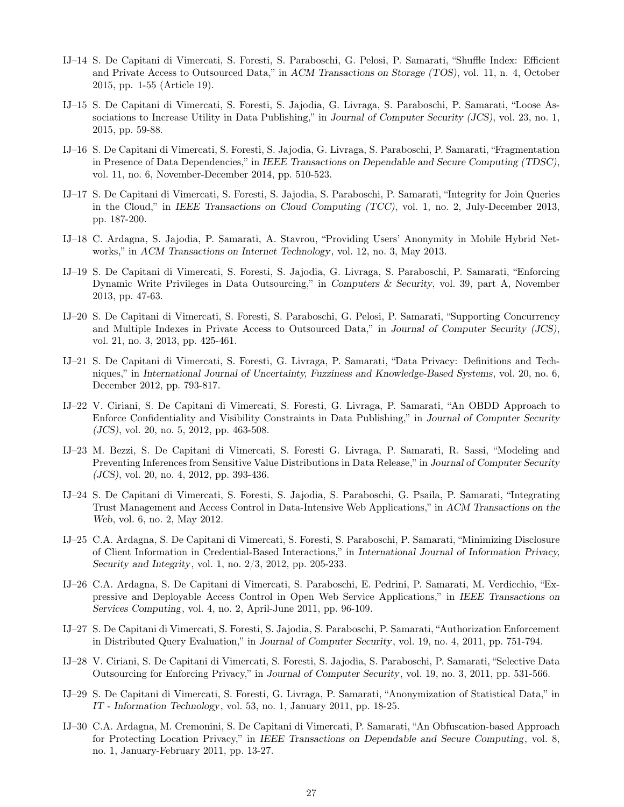- IJ–14 S. De Capitani di Vimercati, S. Foresti, S. Paraboschi, G. Pelosi, P. Samarati, "Shuffle Index: Efficient and Private Access to Outsourced Data," in *ACM Transactions on Storage (TOS)*, vol. 11, n. 4, October 2015, pp. 1-55 (Article 19).
- IJ–15 S. De Capitani di Vimercati, S. Foresti, S. Jajodia, G. Livraga, S. Paraboschi, P. Samarati, "Loose Associations to Increase Utility in Data Publishing," in *Journal of Computer Security (JCS)*, vol. 23, no. 1, 2015, pp. 59-88.
- IJ–16 S. De Capitani di Vimercati, S. Foresti, S. Jajodia, G. Livraga, S. Paraboschi, P. Samarati, "Fragmentation in Presence of Data Dependencies," in *IEEE Transactions on Dependable and Secure Computing (TDSC)*, vol. 11, no. 6, November-December 2014, pp. 510-523.
- IJ–17 S. De Capitani di Vimercati, S. Foresti, S. Jajodia, S. Paraboschi, P. Samarati, "Integrity for Join Queries in the Cloud," in *IEEE Transactions on Cloud Computing (TCC)*, vol. 1, no. 2, July-December 2013, pp. 187-200.
- IJ–18 C. Ardagna, S. Jajodia, P. Samarati, A. Stavrou, "Providing Users' Anonymity in Mobile Hybrid Networks," in *ACM Transactions on Internet Technology*, vol. 12, no. 3, May 2013.
- IJ–19 S. De Capitani di Vimercati, S. Foresti, S. Jajodia, G. Livraga, S. Paraboschi, P. Samarati, "Enforcing Dynamic Write Privileges in Data Outsourcing," in *Computers & Security*, vol. 39, part A, November 2013, pp. 47-63.
- IJ–20 S. De Capitani di Vimercati, S. Foresti, S. Paraboschi, G. Pelosi, P. Samarati, "Supporting Concurrency and Multiple Indexes in Private Access to Outsourced Data," in *Journal of Computer Security (JCS)*, vol. 21, no. 3, 2013, pp. 425-461.
- IJ–21 S. De Capitani di Vimercati, S. Foresti, G. Livraga, P. Samarati, "Data Privacy: Definitions and Techniques," in *International Journal of Uncertainty, Fuzziness and Knowledge-Based Systems*, vol. 20, no. 6, December 2012, pp. 793-817.
- IJ–22 V. Ciriani, S. De Capitani di Vimercati, S. Foresti, G. Livraga, P. Samarati, "An OBDD Approach to Enforce Confidentiality and Visibility Constraints in Data Publishing," in *Journal of Computer Security (JCS)*, vol. 20, no. 5, 2012, pp. 463-508.
- IJ–23 M. Bezzi, S. De Capitani di Vimercati, S. Foresti G. Livraga, P. Samarati, R. Sassi, "Modeling and Preventing Inferences from Sensitive Value Distributions in Data Release," in *Journal of Computer Security (JCS)*, vol. 20, no. 4, 2012, pp. 393-436.
- IJ–24 S. De Capitani di Vimercati, S. Foresti, S. Jajodia, S. Paraboschi, G. Psaila, P. Samarati, "Integrating Trust Management and Access Control in Data-Intensive Web Applications," in *ACM Transactions on the Web*, vol. 6, no. 2, May 2012.
- IJ–25 C.A. Ardagna, S. De Capitani di Vimercati, S. Foresti, S. Paraboschi, P. Samarati, "Minimizing Disclosure of Client Information in Credential-Based Interactions," in *International Journal of Information Privacy, Security and Integrity*, vol. 1, no. 2/3, 2012, pp. 205-233.
- IJ–26 C.A. Ardagna, S. De Capitani di Vimercati, S. Paraboschi, E. Pedrini, P. Samarati, M. Verdicchio, "Expressive and Deployable Access Control in Open Web Service Applications," in *IEEE Transactions on Services Computing*, vol. 4, no. 2, April-June 2011, pp. 96-109.
- IJ–27 S. De Capitani di Vimercati, S. Foresti, S. Jajodia, S. Paraboschi, P. Samarati, "Authorization Enforcement in Distributed Query Evaluation," in *Journal of Computer Security*, vol. 19, no. 4, 2011, pp. 751-794.
- IJ–28 V. Ciriani, S. De Capitani di Vimercati, S. Foresti, S. Jajodia, S. Paraboschi, P. Samarati, "Selective Data Outsourcing for Enforcing Privacy," in *Journal of Computer Security*, vol. 19, no. 3, 2011, pp. 531-566.
- IJ–29 S. De Capitani di Vimercati, S. Foresti, G. Livraga, P. Samarati, "Anonymization of Statistical Data," in *IT - Information Technology*, vol. 53, no. 1, January 2011, pp. 18-25.
- IJ–30 C.A. Ardagna, M. Cremonini, S. De Capitani di Vimercati, P. Samarati, "An Obfuscation-based Approach for Protecting Location Privacy," in *IEEE Transactions on Dependable and Secure Computing*, vol. 8, no. 1, January-February 2011, pp. 13-27.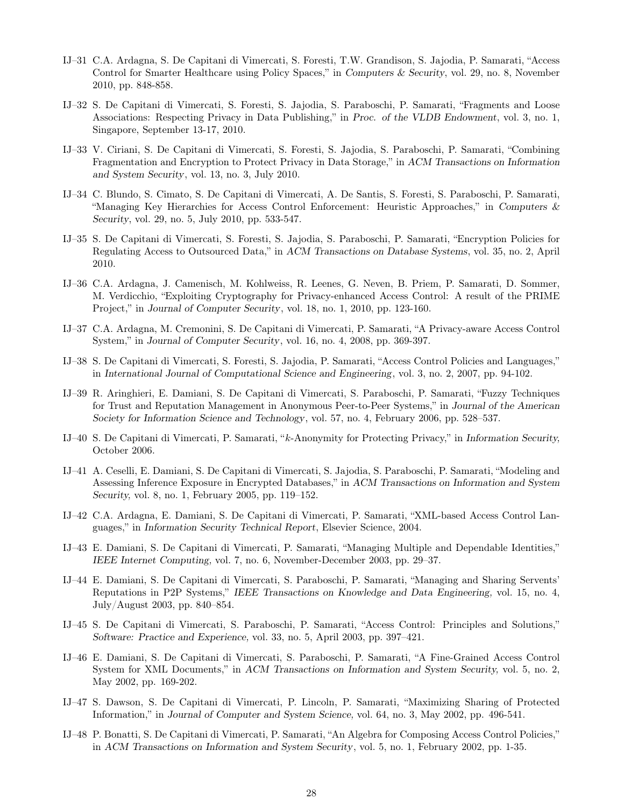- IJ–31 C.A. Ardagna, S. De Capitani di Vimercati, S. Foresti, T.W. Grandison, S. Jajodia, P. Samarati, "Access Control for Smarter Healthcare using Policy Spaces," in *Computers & Security*, vol. 29, no. 8, November 2010, pp. 848-858.
- IJ–32 S. De Capitani di Vimercati, S. Foresti, S. Jajodia, S. Paraboschi, P. Samarati, "Fragments and Loose Associations: Respecting Privacy in Data Publishing," in *Proc. of the VLDB Endowment*, vol. 3, no. 1, Singapore, September 13-17, 2010.
- IJ–33 V. Ciriani, S. De Capitani di Vimercati, S. Foresti, S. Jajodia, S. Paraboschi, P. Samarati, "Combining Fragmentation and Encryption to Protect Privacy in Data Storage," in *ACM Transactions on Information and System Security*, vol. 13, no. 3, July 2010.
- IJ–34 C. Blundo, S. Cimato, S. De Capitani di Vimercati, A. De Santis, S. Foresti, S. Paraboschi, P. Samarati, "Managing Key Hierarchies for Access Control Enforcement: Heuristic Approaches," in *Computers & Security*, vol. 29, no. 5, July 2010, pp. 533-547.
- IJ–35 S. De Capitani di Vimercati, S. Foresti, S. Jajodia, S. Paraboschi, P. Samarati, "Encryption Policies for Regulating Access to Outsourced Data," in *ACM Transactions on Database Systems*, vol. 35, no. 2, April 2010.
- IJ–36 C.A. Ardagna, J. Camenisch, M. Kohlweiss, R. Leenes, G. Neven, B. Priem, P. Samarati, D. Sommer, M. Verdicchio, "Exploiting Cryptography for Privacy-enhanced Access Control: A result of the PRIME Project," in *Journal of Computer Security*, vol. 18, no. 1, 2010, pp. 123-160.
- IJ–37 C.A. Ardagna, M. Cremonini, S. De Capitani di Vimercati, P. Samarati, "A Privacy-aware Access Control System," in *Journal of Computer Security*, vol. 16, no. 4, 2008, pp. 369-397.
- IJ–38 S. De Capitani di Vimercati, S. Foresti, S. Jajodia, P. Samarati, "Access Control Policies and Languages," in *International Journal of Computational Science and Engineering*, vol. 3, no. 2, 2007, pp. 94-102.
- IJ–39 R. Aringhieri, E. Damiani, S. De Capitani di Vimercati, S. Paraboschi, P. Samarati, "Fuzzy Techniques for Trust and Reputation Management in Anonymous Peer-to-Peer Systems," in *Journal of the American Society for Information Science and Technology*, vol. 57, no. 4, February 2006, pp. 528–537.
- IJ–40 S. De Capitani di Vimercati, P. Samarati, "k-Anonymity for Protecting Privacy," in *Information Security,* October 2006.
- IJ–41 A. Ceselli, E. Damiani, S. De Capitani di Vimercati, S. Jajodia, S. Paraboschi, P. Samarati, "Modeling and Assessing Inference Exposure in Encrypted Databases," in *ACM Transactions on Information and System Security,* vol. 8, no. 1, February 2005, pp. 119–152.
- IJ–42 C.A. Ardagna, E. Damiani, S. De Capitani di Vimercati, P. Samarati, "XML-based Access Control Languages," in *Information Security Technical Report*, Elsevier Science, 2004.
- IJ–43 E. Damiani, S. De Capitani di Vimercati, P. Samarati, "Managing Multiple and Dependable Identities," *IEEE Internet Computing,* vol. 7, no. 6, November-December 2003, pp. 29–37.
- IJ–44 E. Damiani, S. De Capitani di Vimercati, S. Paraboschi, P. Samarati, "Managing and Sharing Servents' Reputations in P2P Systems," *IEEE Transactions on Knowledge and Data Engineering,* vol. 15, no. 4, July/August 2003, pp. 840–854.
- IJ–45 S. De Capitani di Vimercati, S. Paraboschi, P. Samarati, "Access Control: Principles and Solutions," *Software: Practice and Experience,* vol. 33, no. 5, April 2003, pp. 397–421.
- IJ–46 E. Damiani, S. De Capitani di Vimercati, S. Paraboschi, P. Samarati, "A Fine-Grained Access Control System for XML Documents," in *ACM Transactions on Information and System Security,* vol. 5, no. 2, May 2002, pp. 169-202.
- IJ–47 S. Dawson, S. De Capitani di Vimercati, P. Lincoln, P. Samarati, "Maximizing Sharing of Protected Information," in *Journal of Computer and System Science,* vol. 64, no. 3, May 2002, pp. 496-541.
- IJ–48 P. Bonatti, S. De Capitani di Vimercati, P. Samarati, "An Algebra for Composing Access Control Policies," in *ACM Transactions on Information and System Security*, vol. 5, no. 1, February 2002, pp. 1-35.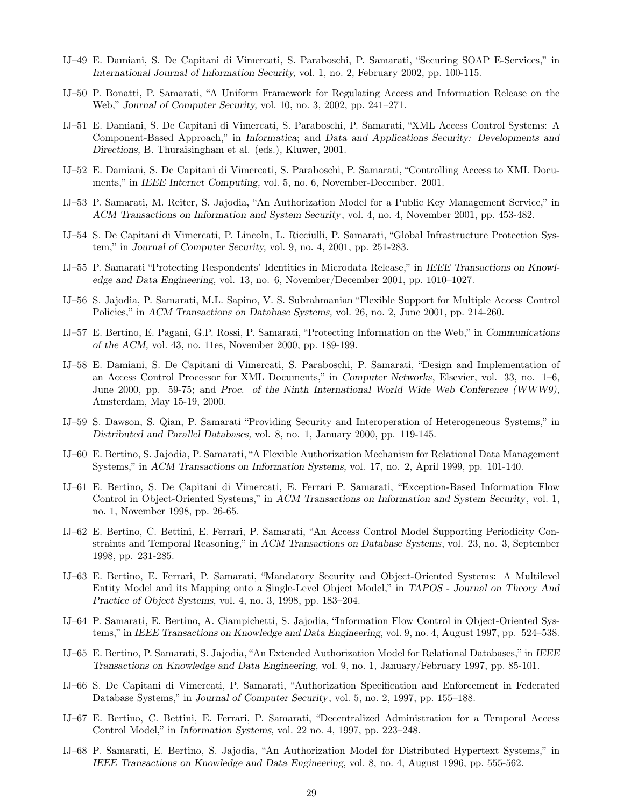- IJ–49 E. Damiani, S. De Capitani di Vimercati, S. Paraboschi, P. Samarati, "Securing SOAP E-Services," in *International Journal of Information Security,* vol. 1, no. 2, February 2002, pp. 100-115.
- IJ–50 P. Bonatti, P. Samarati, "A Uniform Framework for Regulating Access and Information Release on the Web," *Journal of Computer Security,* vol. 10, no. 3, 2002, pp. 241–271.
- IJ–51 E. Damiani, S. De Capitani di Vimercati, S. Paraboschi, P. Samarati, "XML Access Control Systems: A Component-Based Approach," in *Informatica*; and *Data and Applications Security: Developments and Directions,* B. Thuraisingham et al. (eds.), Kluwer, 2001.
- IJ–52 E. Damiani, S. De Capitani di Vimercati, S. Paraboschi, P. Samarati, "Controlling Access to XML Documents," in *IEEE Internet Computing,* vol. 5, no. 6, November-December. 2001.
- IJ–53 P. Samarati, M. Reiter, S. Jajodia, "An Authorization Model for a Public Key Management Service," in *ACM Transactions on Information and System Security*, vol. 4, no. 4, November 2001, pp. 453-482.
- IJ–54 S. De Capitani di Vimercati, P. Lincoln, L. Ricciulli, P. Samarati, "Global Infrastructure Protection System," in *Journal of Computer Security,* vol. 9, no. 4, 2001, pp. 251-283.
- IJ–55 P. Samarati "Protecting Respondents' Identities in Microdata Release," in *IEEE Transactions on Knowledge and Data Engineering,* vol. 13, no. 6, November/December 2001, pp. 1010–1027.
- IJ–56 S. Jajodia, P. Samarati, M.L. Sapino, V. S. Subrahmanian "Flexible Support for Multiple Access Control Policies," in *ACM Transactions on Database Systems,* vol. 26, no. 2, June 2001, pp. 214-260.
- IJ–57 E. Bertino, E. Pagani, G.P. Rossi, P. Samarati, "Protecting Information on the Web," in *Communications of the ACM,* vol. 43, no. 11es, November 2000, pp. 189-199.
- IJ–58 E. Damiani, S. De Capitani di Vimercati, S. Paraboschi, P. Samarati, "Design and Implementation of an Access Control Processor for XML Documents," in *Computer Networks*, Elsevier, vol. 33, no. 1–6, June 2000, pp. 59-75; and *Proc. of the Ninth International World Wide Web Conference (WWW9)*, Amsterdam, May 15-19, 2000.
- IJ–59 S. Dawson, S. Qian, P. Samarati "Providing Security and Interoperation of Heterogeneous Systems," in *Distributed and Parallel Databases,* vol. 8, no. 1, January 2000, pp. 119-145.
- IJ–60 E. Bertino, S. Jajodia, P. Samarati, "A Flexible Authorization Mechanism for Relational Data Management Systems," in *ACM Transactions on Information Systems,* vol. 17, no. 2, April 1999, pp. 101-140.
- IJ–61 E. Bertino, S. De Capitani di Vimercati, E. Ferrari P. Samarati, "Exception-Based Information Flow Control in Object-Oriented Systems," in *ACM Transactions on Information and System Security*, vol. 1, no. 1, November 1998, pp. 26-65.
- IJ–62 E. Bertino, C. Bettini, E. Ferrari, P. Samarati, "An Access Control Model Supporting Periodicity Constraints and Temporal Reasoning," in *ACM Transactions on Database Systems*, vol. 23, no. 3, September 1998, pp. 231-285.
- IJ–63 E. Bertino, E. Ferrari, P. Samarati, "Mandatory Security and Object-Oriented Systems: A Multilevel Entity Model and its Mapping onto a Single-Level Object Model," in *TAPOS - Journal on Theory And Practice of Object Systems,* vol. 4, no. 3, 1998, pp. 183–204.
- IJ–64 P. Samarati, E. Bertino, A. Ciampichetti, S. Jajodia, "Information Flow Control in Object-Oriented Systems," in *IEEE Transactions on Knowledge and Data Engineering,* vol. 9, no. 4, August 1997, pp. 524–538.
- IJ–65 E. Bertino, P. Samarati, S. Jajodia, "An Extended Authorization Model for Relational Databases," in *IEEE Transactions on Knowledge and Data Engineering,* vol. 9, no. 1, January/February 1997, pp. 85-101.
- IJ–66 S. De Capitani di Vimercati, P. Samarati, "Authorization Specification and Enforcement in Federated Database Systems," in *Journal of Computer Security*, vol. 5, no. 2, 1997, pp. 155–188.
- IJ–67 E. Bertino, C. Bettini, E. Ferrari, P. Samarati, "Decentralized Administration for a Temporal Access Control Model," in *Information Systems,* vol. 22 no. 4, 1997, pp. 223–248.
- IJ–68 P. Samarati, E. Bertino, S. Jajodia, "An Authorization Model for Distributed Hypertext Systems," in *IEEE Transactions on Knowledge and Data Engineering,* vol. 8, no. 4, August 1996, pp. 555-562.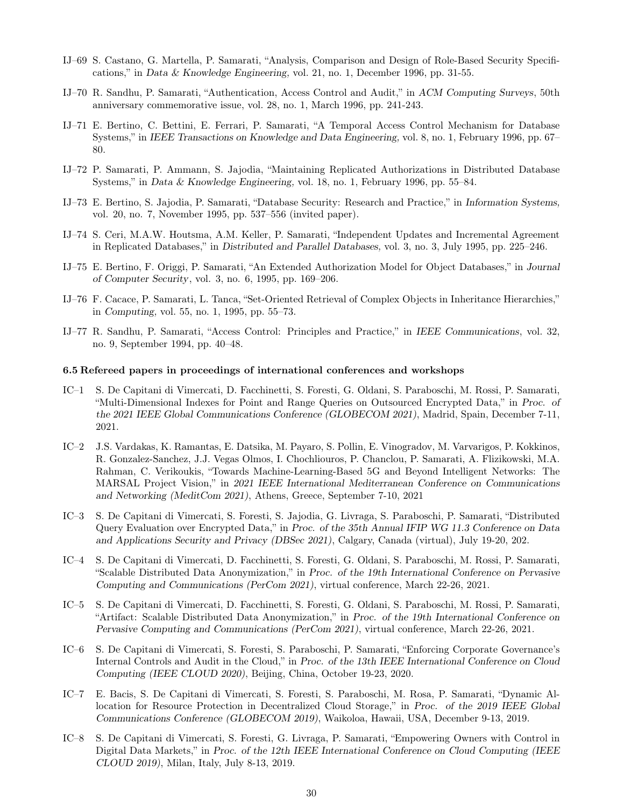- IJ–69 S. Castano, G. Martella, P. Samarati, "Analysis, Comparison and Design of Role-Based Security Specifications," in *Data & Knowledge Engineering,* vol. 21, no. 1, December 1996, pp. 31-55.
- IJ–70 R. Sandhu, P. Samarati, "Authentication, Access Control and Audit," in *ACM Computing Surveys*, 50th anniversary commemorative issue, vol. 28, no. 1, March 1996, pp. 241-243.
- IJ–71 E. Bertino, C. Bettini, E. Ferrari, P. Samarati, "A Temporal Access Control Mechanism for Database Systems," in *IEEE Transactions on Knowledge and Data Engineering,* vol. 8, no. 1, February 1996, pp. 67– 80.
- IJ–72 P. Samarati, P. Ammann, S. Jajodia, "Maintaining Replicated Authorizations in Distributed Database Systems," in *Data & Knowledge Engineering,* vol. 18, no. 1, February 1996, pp. 55–84.
- IJ–73 E. Bertino, S. Jajodia, P. Samarati, "Database Security: Research and Practice," in *Information Systems,* vol. 20, no. 7, November 1995, pp. 537–556 (invited paper).
- IJ–74 S. Ceri, M.A.W. Houtsma, A.M. Keller, P. Samarati, "Independent Updates and Incremental Agreement in Replicated Databases," in *Distributed and Parallel Databases,* vol. 3, no. 3, July 1995, pp. 225–246.
- IJ–75 E. Bertino, F. Origgi, P. Samarati, "An Extended Authorization Model for Object Databases," in *Journal of Computer Security*, vol. 3, no. 6, 1995, pp. 169–206.
- IJ–76 F. Cacace, P. Samarati, L. Tanca, "Set-Oriented Retrieval of Complex Objects in Inheritance Hierarchies," in *Computing,* vol. 55, no. 1, 1995, pp. 55–73.
- IJ–77 R. Sandhu, P. Samarati, "Access Control: Principles and Practice," in *IEEE Communications*, vol. 32, no. 9, September 1994, pp. 40–48.

#### 6.5 Refereed papers in proceedings of international conferences and workshops

- IC–1 S. De Capitani di Vimercati, D. Facchinetti, S. Foresti, G. Oldani, S. Paraboschi, M. Rossi, P. Samarati, "Multi-Dimensional Indexes for Point and Range Queries on Outsourced Encrypted Data," in *Proc. of the 2021 IEEE Global Communications Conference (GLOBECOM 2021)*, Madrid, Spain, December 7-11, 2021.
- IC–2 J.S. Vardakas, K. Ramantas, E. Datsika, M. Payaro, S. Pollin, E. Vinogradov, M. Varvarigos, P. Kokkinos, R. Gonzalez-Sanchez, J.J. Vegas Olmos, I. Chochliouros, P. Chanclou, P. Samarati, A. Flizikowski, M.A. Rahman, C. Verikoukis, "Towards Machine-Learning-Based 5G and Beyond Intelligent Networks: The MARSAL Project Vision," in *2021 IEEE International Mediterranean Conference on Communications and Networking (MeditCom 2021)*, Athens, Greece, September 7-10, 2021
- IC–3 S. De Capitani di Vimercati, S. Foresti, S. Jajodia, G. Livraga, S. Paraboschi, P. Samarati, "Distributed Query Evaluation over Encrypted Data," in *Proc. of the 35th Annual IFIP WG 11.3 Conference on Data and Applications Security and Privacy (DBSec 2021)*, Calgary, Canada (virtual), July 19-20, 202.
- IC–4 S. De Capitani di Vimercati, D. Facchinetti, S. Foresti, G. Oldani, S. Paraboschi, M. Rossi, P. Samarati, "Scalable Distributed Data Anonymization," in *Proc. of the 19th International Conference on Pervasive Computing and Communications (PerCom 2021)*, virtual conference, March 22-26, 2021.
- IC–5 S. De Capitani di Vimercati, D. Facchinetti, S. Foresti, G. Oldani, S. Paraboschi, M. Rossi, P. Samarati, "Artifact: Scalable Distributed Data Anonymization," in *Proc. of the 19th International Conference on Pervasive Computing and Communications (PerCom 2021)*, virtual conference, March 22-26, 2021.
- IC–6 S. De Capitani di Vimercati, S. Foresti, S. Paraboschi, P. Samarati, "Enforcing Corporate Governance's Internal Controls and Audit in the Cloud," in *Proc. of the 13th IEEE International Conference on Cloud Computing (IEEE CLOUD 2020)*, Beijing, China, October 19-23, 2020.
- IC–7 E. Bacis, S. De Capitani di Vimercati, S. Foresti, S. Paraboschi, M. Rosa, P. Samarati, "Dynamic Allocation for Resource Protection in Decentralized Cloud Storage," in *Proc. of the 2019 IEEE Global Communications Conference (GLOBECOM 2019)*, Waikoloa, Hawaii, USA, December 9-13, 2019.
- IC–8 S. De Capitani di Vimercati, S. Foresti, G. Livraga, P. Samarati, "Empowering Owners with Control in Digital Data Markets," in *Proc. of the 12th IEEE International Conference on Cloud Computing (IEEE CLOUD 2019)*, Milan, Italy, July 8-13, 2019.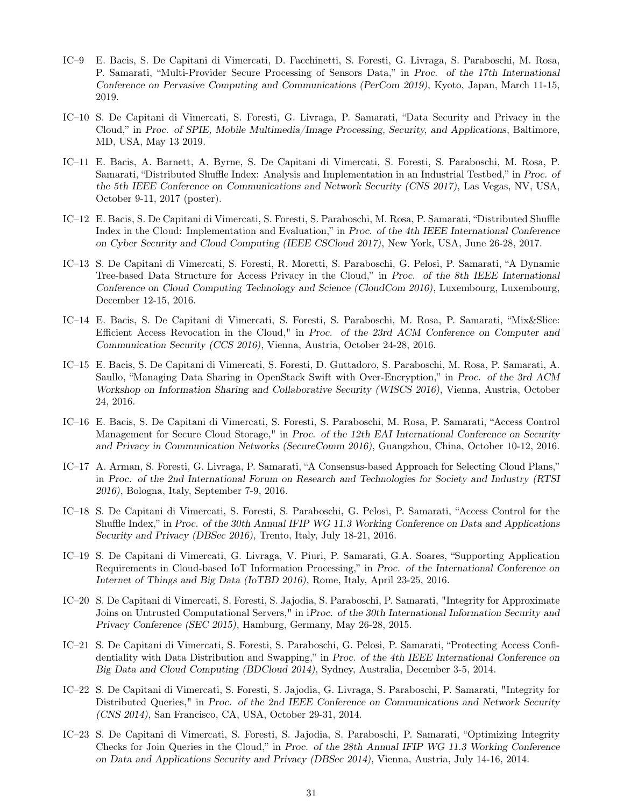- IC–9 E. Bacis, S. De Capitani di Vimercati, D. Facchinetti, S. Foresti, G. Livraga, S. Paraboschi, M. Rosa, P. Samarati, "Multi-Provider Secure Processing of Sensors Data," in *Proc. of the 17th International Conference on Pervasive Computing and Communications (PerCom 2019)*, Kyoto, Japan, March 11-15, 2019.
- IC–10 S. De Capitani di Vimercati, S. Foresti, G. Livraga, P. Samarati, "Data Security and Privacy in the Cloud," in *Proc. of SPIE, Mobile Multimedia/Image Processing, Security, and Applications*, Baltimore, MD, USA, May 13 2019.
- IC–11 E. Bacis, A. Barnett, A. Byrne, S. De Capitani di Vimercati, S. Foresti, S. Paraboschi, M. Rosa, P. Samarati, "Distributed Shuffle Index: Analysis and Implementation in an Industrial Testbed," in *Proc. of the 5th IEEE Conference on Communications and Network Security (CNS 2017)*, Las Vegas, NV, USA, October 9-11, 2017 (poster).
- IC–12 E. Bacis, S. De Capitani di Vimercati, S. Foresti, S. Paraboschi, M. Rosa, P. Samarati, "Distributed Shuffle Index in the Cloud: Implementation and Evaluation," in *Proc. of the 4th IEEE International Conference on Cyber Security and Cloud Computing (IEEE CSCloud 2017)*, New York, USA, June 26-28, 2017.
- IC–13 S. De Capitani di Vimercati, S. Foresti, R. Moretti, S. Paraboschi, G. Pelosi, P. Samarati, "A Dynamic Tree-based Data Structure for Access Privacy in the Cloud," in *Proc. of the 8th IEEE International Conference on Cloud Computing Technology and Science (CloudCom 2016)*, Luxembourg, Luxembourg, December 12-15, 2016.
- IC–14 E. Bacis, S. De Capitani di Vimercati, S. Foresti, S. Paraboschi, M. Rosa, P. Samarati, "Mix&Slice: Efficient Access Revocation in the Cloud," in *Proc. of the 23rd ACM Conference on Computer and Communication Security (CCS 2016)*, Vienna, Austria, October 24-28, 2016.
- IC–15 E. Bacis, S. De Capitani di Vimercati, S. Foresti, D. Guttadoro, S. Paraboschi, M. Rosa, P. Samarati, A. Saullo, "Managing Data Sharing in OpenStack Swift with Over-Encryption," in *Proc. of the 3rd ACM Workshop on Information Sharing and Collaborative Security (WISCS 2016)*, Vienna, Austria, October 24, 2016.
- IC–16 E. Bacis, S. De Capitani di Vimercati, S. Foresti, S. Paraboschi, M. Rosa, P. Samarati, "Access Control Management for Secure Cloud Storage," in *Proc. of the 12th EAI International Conference on Security and Privacy in Communication Networks (SecureComm 2016)*, Guangzhou, China, October 10-12, 2016.
- IC–17 A. Arman, S. Foresti, G. Livraga, P. Samarati, "A Consensus-based Approach for Selecting Cloud Plans," in *Proc. of the 2nd International Forum on Research and Technologies for Society and Industry (RTSI 2016)*, Bologna, Italy, September 7-9, 2016.
- IC–18 S. De Capitani di Vimercati, S. Foresti, S. Paraboschi, G. Pelosi, P. Samarati, "Access Control for the Shuffle Index," in *Proc. of the 30th Annual IFIP WG 11.3 Working Conference on Data and Applications Security and Privacy (DBSec 2016)*, Trento, Italy, July 18-21, 2016.
- IC–19 S. De Capitani di Vimercati, G. Livraga, V. Piuri, P. Samarati, G.A. Soares, "Supporting Application Requirements in Cloud-based IoT Information Processing," in *Proc. of the International Conference on Internet of Things and Big Data (IoTBD 2016)*, Rome, Italy, April 23-25, 2016.
- IC–20 S. De Capitani di Vimercati, S. Foresti, S. Jajodia, S. Paraboschi, P. Samarati, "Integrity for Approximate Joins on Untrusted Computational Servers," in i*Proc. of the 30th International Information Security and Privacy Conference (SEC 2015)*, Hamburg, Germany, May 26-28, 2015.
- IC–21 S. De Capitani di Vimercati, S. Foresti, S. Paraboschi, G. Pelosi, P. Samarati, "Protecting Access Confidentiality with Data Distribution and Swapping," in *Proc. of the 4th IEEE International Conference on Big Data and Cloud Computing (BDCloud 2014)*, Sydney, Australia, December 3-5, 2014.
- IC–22 S. De Capitani di Vimercati, S. Foresti, S. Jajodia, G. Livraga, S. Paraboschi, P. Samarati, "Integrity for Distributed Queries," in *Proc. of the 2nd IEEE Conference on Communications and Network Security (CNS 2014)*, San Francisco, CA, USA, October 29-31, 2014.
- IC–23 S. De Capitani di Vimercati, S. Foresti, S. Jajodia, S. Paraboschi, P. Samarati, "Optimizing Integrity Checks for Join Queries in the Cloud," in *Proc. of the 28th Annual IFIP WG 11.3 Working Conference on Data and Applications Security and Privacy (DBSec 2014)*, Vienna, Austria, July 14-16, 2014.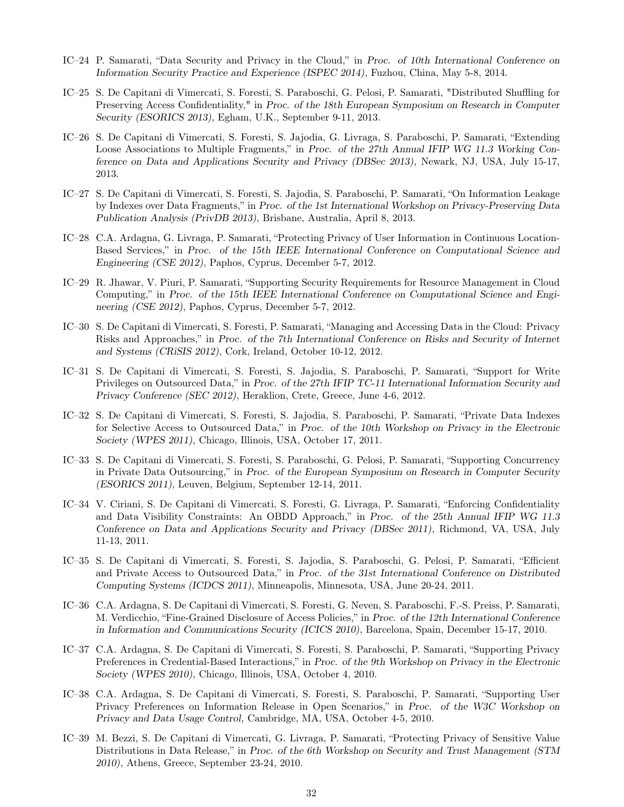- IC–24 P. Samarati, "Data Security and Privacy in the Cloud," in *Proc. of 10th International Conference on Information Security Practice and Experience (ISPEC 2014)*, Fuzhou, China, May 5-8, 2014.
- IC–25 S. De Capitani di Vimercati, S. Foresti, S. Paraboschi, G. Pelosi, P. Samarati, "Distributed Shuffling for Preserving Access Confidentiality," in *Proc. of the 18th European Symposium on Research in Computer Security (ESORICS 2013)*, Egham, U.K., September 9-11, 2013.
- IC–26 S. De Capitani di Vimercati, S. Foresti, S. Jajodia, G. Livraga, S. Paraboschi, P. Samarati, "Extending Loose Associations to Multiple Fragments," in *Proc. of the 27th Annual IFIP WG 11.3 Working Conference on Data and Applications Security and Privacy (DBSec 2013)*, Newark, NJ, USA, July 15-17, 2013.
- IC–27 S. De Capitani di Vimercati, S. Foresti, S. Jajodia, S. Paraboschi, P. Samarati, "On Information Leakage by Indexes over Data Fragments," in *Proc. of the 1st International Workshop on Privacy-Preserving Data Publication Analysis (PrivDB 2013)*, Brisbane, Australia, April 8, 2013.
- IC–28 C.A. Ardagna, G. Livraga, P. Samarati, "Protecting Privacy of User Information in Continuous Location-Based Services," in *Proc. of the 15th IEEE International Conference on Computational Science and Engineering (CSE 2012)*, Paphos, Cyprus, December 5-7, 2012.
- IC–29 R. Jhawar, V. Piuri, P. Samarati, "Supporting Security Requirements for Resource Management in Cloud Computing," in *Proc. of the 15th IEEE International Conference on Computational Science and Engineering (CSE 2012)*, Paphos, Cyprus, December 5-7, 2012.
- IC–30 S. De Capitani di Vimercati, S. Foresti, P. Samarati, "Managing and Accessing Data in the Cloud: Privacy Risks and Approaches," in *Proc. of the 7th International Conference on Risks and Security of Internet and Systems (CRiSIS 2012)*, Cork, Ireland, October 10-12, 2012.
- IC–31 S. De Capitani di Vimercati, S. Foresti, S. Jajodia, S. Paraboschi, P. Samarati, "Support for Write Privileges on Outsourced Data," in *Proc. of the 27th IFIP TC-11 International Information Security and Privacy Conference (SEC 2012)*, Heraklion, Crete, Greece, June 4-6, 2012.
- IC–32 S. De Capitani di Vimercati, S. Foresti, S. Jajodia, S. Paraboschi, P. Samarati, "Private Data Indexes for Selective Access to Outsourced Data," in *Proc. of the 10th Workshop on Privacy in the Electronic Society (WPES 2011)*, Chicago, Illinois, USA, October 17, 2011.
- IC–33 S. De Capitani di Vimercati, S. Foresti, S. Paraboschi, G. Pelosi, P. Samarati, "Supporting Concurrency in Private Data Outsourcing," in *Proc. of the European Symposium on Research in Computer Security (ESORICS 2011),* Leuven, Belgium, September 12-14, 2011.
- IC–34 V. Ciriani, S. De Capitani di Vimercati, S. Foresti, G. Livraga, P. Samarati, "Enforcing Confidentiality and Data Visibility Constraints: An OBDD Approach," in *Proc. of the 25th Annual IFIP WG 11.3 Conference on Data and Applications Security and Privacy (DBSec 2011)*, Richmond, VA, USA, July 11-13, 2011.
- IC–35 S. De Capitani di Vimercati, S. Foresti, S. Jajodia, S. Paraboschi, G. Pelosi, P. Samarati, "Efficient and Private Access to Outsourced Data," in *Proc. of the 31st International Conference on Distributed Computing Systems (ICDCS 2011)*, Minneapolis, Minnesota, USA, June 20-24, 2011.
- IC–36 C.A. Ardagna, S. De Capitani di Vimercati, S. Foresti, G. Neven, S. Paraboschi, F.-S. Preiss, P. Samarati, M. Verdicchio, "Fine-Grained Disclosure of Access Policies," in *Proc. of the 12th International Conference in Information and Communications Security (ICICS 2010)*, Barcelona, Spain, December 15-17, 2010.
- IC–37 C.A. Ardagna, S. De Capitani di Vimercati, S. Foresti, S. Paraboschi, P. Samarati, "Supporting Privacy Preferences in Credential-Based Interactions," in *Proc. of the 9th Workshop on Privacy in the Electronic Society (WPES 2010)*, Chicago, Illinois, USA, October 4, 2010.
- IC–38 C.A. Ardagna, S. De Capitani di Vimercati, S. Foresti, S. Paraboschi, P. Samarati, "Supporting User Privacy Preferences on Information Release in Open Scenarios," in *Proc. of the W3C Workshop on Privacy and Data Usage Control*, Cambridge, MA, USA, October 4-5, 2010.
- IC–39 M. Bezzi, S. De Capitani di Vimercati, G. Livraga, P. Samarati, "Protecting Privacy of Sensitive Value Distributions in Data Release," in *Proc. of the 6th Workshop on Security and Trust Management (STM 2010)*, Athens, Greece, September 23-24, 2010.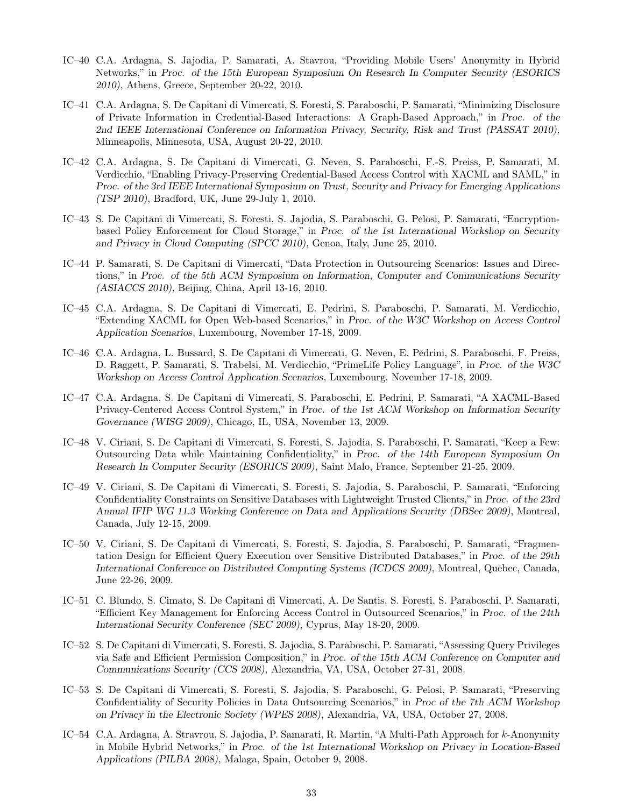- IC–40 C.A. Ardagna, S. Jajodia, P. Samarati, A. Stavrou, "Providing Mobile Users' Anonymity in Hybrid Networks," in *Proc. of the 15th European Symposium On Research In Computer Security (ESORICS 2010)*, Athens, Greece, September 20-22, 2010.
- IC–41 C.A. Ardagna, S. De Capitani di Vimercati, S. Foresti, S. Paraboschi, P. Samarati, "Minimizing Disclosure of Private Information in Credential-Based Interactions: A Graph-Based Approach," in *Proc. of the 2nd IEEE International Conference on Information Privacy, Security, Risk and Trust (PASSAT 2010),* Minneapolis, Minnesota, USA, August 20-22, 2010.
- IC–42 C.A. Ardagna, S. De Capitani di Vimercati, G. Neven, S. Paraboschi, F.-S. Preiss, P. Samarati, M. Verdicchio, "Enabling Privacy-Preserving Credential-Based Access Control with XACML and SAML," in *Proc. of the 3rd IEEE International Symposium on Trust, Security and Privacy for Emerging Applications (TSP 2010)*, Bradford, UK, June 29-July 1, 2010.
- IC–43 S. De Capitani di Vimercati, S. Foresti, S. Jajodia, S. Paraboschi, G. Pelosi, P. Samarati, "Encryptionbased Policy Enforcement for Cloud Storage," in *Proc. of the 1st International Workshop on Security and Privacy in Cloud Computing (SPCC 2010)*, Genoa, Italy, June 25, 2010.
- IC–44 P. Samarati, S. De Capitani di Vimercati, "Data Protection in Outsourcing Scenarios: Issues and Directions," in *Proc. of the 5th ACM Symposium on Information, Computer and Communications Security (ASIACCS 2010),* Beijing, China, April 13-16, 2010.
- IC–45 C.A. Ardagna, S. De Capitani di Vimercati, E. Pedrini, S. Paraboschi, P. Samarati, M. Verdicchio, "Extending XACML for Open Web-based Scenarios," in *Proc. of the W3C Workshop on Access Control Application Scenarios*, Luxembourg, November 17-18, 2009.
- IC–46 C.A. Ardagna, L. Bussard, S. De Capitani di Vimercati, G. Neven, E. Pedrini, S. Paraboschi, F. Preiss, D. Raggett, P. Samarati, S. Trabelsi, M. Verdicchio, "PrimeLife Policy Language", in *Proc. of the W3C Workshop on Access Control Application Scenarios*, Luxembourg, November 17-18, 2009.
- IC–47 C.A. Ardagna, S. De Capitani di Vimercati, S. Paraboschi, E. Pedrini, P. Samarati, "A XACML-Based Privacy-Centered Access Control System," in *Proc. of the 1st ACM Workshop on Information Security Governance (WISG 2009)*, Chicago, IL, USA, November 13, 2009.
- IC–48 V. Ciriani, S. De Capitani di Vimercati, S. Foresti, S. Jajodia, S. Paraboschi, P. Samarati, "Keep a Few: Outsourcing Data while Maintaining Confidentiality," in *Proc. of the 14th European Symposium On Research In Computer Security (ESORICS 2009)*, Saint Malo, France, September 21-25, 2009.
- IC–49 V. Ciriani, S. De Capitani di Vimercati, S. Foresti, S. Jajodia, S. Paraboschi, P. Samarati, "Enforcing Confidentiality Constraints on Sensitive Databases with Lightweight Trusted Clients," in *Proc. of the 23rd Annual IFIP WG 11.3 Working Conference on Data and Applications Security (DBSec 2009)*, Montreal, Canada, July 12-15, 2009.
- IC–50 V. Ciriani, S. De Capitani di Vimercati, S. Foresti, S. Jajodia, S. Paraboschi, P. Samarati, "Fragmentation Design for Efficient Query Execution over Sensitive Distributed Databases," in *Proc. of the 29th International Conference on Distributed Computing Systems (ICDCS 2009)*, Montreal, Quebec, Canada, June 22-26, 2009.
- IC–51 C. Blundo, S. Cimato, S. De Capitani di Vimercati, A. De Santis, S. Foresti, S. Paraboschi, P. Samarati, "Efficient Key Management for Enforcing Access Control in Outsourced Scenarios," in *Proc. of the 24th International Security Conference (SEC 2009)*, Cyprus, May 18-20, 2009.
- IC–52 S. De Capitani di Vimercati, S. Foresti, S. Jajodia, S. Paraboschi, P. Samarati, "Assessing Query Privileges via Safe and Efficient Permission Composition," in *Proc. of the 15th ACM Conference on Computer and Communications Security (CCS 2008)*, Alexandria, VA, USA, October 27-31, 2008.
- IC–53 S. De Capitani di Vimercati, S. Foresti, S. Jajodia, S. Paraboschi, G. Pelosi, P. Samarati, "Preserving Confidentiality of Security Policies in Data Outsourcing Scenarios," in *Proc of the 7th ACM Workshop on Privacy in the Electronic Society (WPES 2008)*, Alexandria, VA, USA, October 27, 2008.
- IC–54 C.A. Ardagna, A. Stravrou, S. Jajodia, P. Samarati, R. Martin, "A Multi-Path Approach for k-Anonymity in Mobile Hybrid Networks," in *Proc. of the 1st International Workshop on Privacy in Location-Based Applications (PILBA 2008)*, Malaga, Spain, October 9, 2008.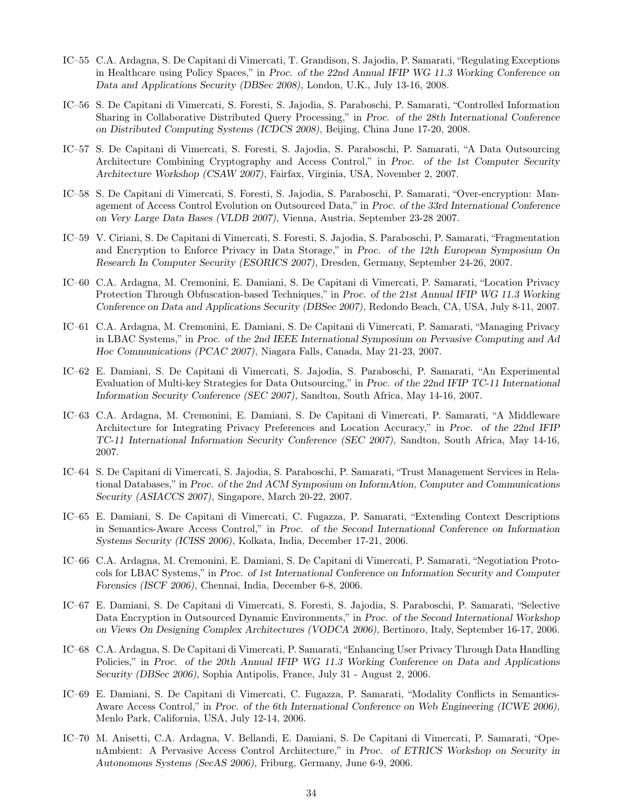- IC–55 C.A. Ardagna, S. De Capitani di Vimercati, T. Grandison, S. Jajodia, P. Samarati, "Regulating Exceptions in Healthcare using Policy Spaces," in *Proc. of the 22nd Annual IFIP WG 11.3 Working Conference on Data and Applications Security (DBSec 2008)*, London, U.K., July 13-16, 2008.
- IC–56 S. De Capitani di Vimercati, S. Foresti, S. Jajodia, S. Paraboschi, P. Samarati, "Controlled Information Sharing in Collaborative Distributed Query Processing," in *Proc. of the 28th International Conference on Distributed Computing Systems (ICDCS 2008),* Beijing, China June 17-20, 2008.
- IC–57 S. De Capitani di Vimercati, S. Foresti, S. Jajodia, S. Paraboschi, P. Samarati, "A Data Outsourcing Architecture Combining Cryptography and Access Control," in *Proc. of the 1st Computer Security Architecture Workshop (CSAW 2007)*, Fairfax, Virginia, USA, November 2, 2007.
- IC–58 S. De Capitani di Vimercati, S. Foresti, S. Jajodia, S. Paraboschi, P. Samarati, "Over-encryption: Management of Access Control Evolution on Outsourced Data," in *Proc. of the 33rd International Conference on Very Large Data Bases (VLDB 2007)*, Vienna, Austria, September 23-28 2007.
- IC–59 V. Ciriani, S. De Capitani di Vimercati, S. Foresti, S. Jajodia, S. Paraboschi, P. Samarati, "Fragmentation and Encryption to Enforce Privacy in Data Storage," in *Proc. of the 12th European Symposium On Research In Computer Security (ESORICS 2007)*, Dresden, Germany, September 24-26, 2007.
- IC–60 C.A. Ardagna, M. Cremonini, E. Damiani, S. De Capitani di Vimercati, P. Samarati, "Location Privacy Protection Through Obfuscation-based Techniques," in *Proc. of the 21st Annual IFIP WG 11.3 Working Conference on Data and Applications Security (DBSec 2007)*, Redondo Beach, CA, USA, July 8-11, 2007.
- IC–61 C.A. Ardagna, M. Cremonini, E. Damiani, S. De Capitani di Vimercati, P. Samarati, "Managing Privacy in LBAC Systems," in *Proc. of the 2nd IEEE International Symposium on Pervasive Computing and Ad Hoc Communications (PCAC 2007)*, Niagara Falls, Canada, May 21-23, 2007.
- IC–62 E. Damiani, S. De Capitani di Vimercati, S. Jajodia, S. Paraboschi, P. Samarati, "An Experimental Evaluation of Multi-key Strategies for Data Outsourcing," in *Proc. of the 22nd IFIP TC-11 International Information Security Conference (SEC 2007),* Sandton, South Africa, May 14-16, 2007.
- IC–63 C.A. Ardagna, M. Cremonini, E. Damiani, S. De Capitani di Vimercati, P. Samarati, "A Middleware Architecture for Integrating Privacy Preferences and Location Accuracy," in *Proc. of the 22nd IFIP TC-11 International Information Security Conference (SEC 2007),* Sandton, South Africa, May 14-16, 2007.
- IC–64 S. De Capitani di Vimercati, S. Jajodia, S. Paraboschi, P. Samarati, "Trust Management Services in Relational Databases," in *Proc. of the 2nd ACM Symposium on InformAtion, Computer and Communications Security (ASIACCS 2007)*, Singapore, March 20-22, 2007.
- IC–65 E. Damiani, S. De Capitani di Vimercati, C. Fugazza, P. Samarati, "Extending Context Descriptions in Semantics-Aware Access Control," in *Proc. of the Second International Conference on Information Systems Security (ICISS 2006)*, Kolkata, India, December 17-21, 2006.
- IC–66 C.A. Ardagna, M. Cremonini, E. Damiani, S. De Capitani di Vimercati, P. Samarati, "Negotiation Protocols for LBAC Systems," in *Proc. of 1st International Conference on Information Security and Computer Forensics (ISCF 2006)*, Chennai, India, December 6-8, 2006.
- IC–67 E. Damiani, S. De Capitani di Vimercati, S. Foresti, S. Jajodia, S. Paraboschi, P. Samarati, "Selective Data Encryption in Outsourced Dynamic Environments," in *Proc. of the Second International Workshop on Views On Designing Complex Architectures (VODCA 2006),* Bertinoro, Italy, September 16-17, 2006.
- IC–68 C.A. Ardagna, S. De Capitani di Vimercati, P. Samarati, "Enhancing User Privacy Through Data Handling Policies," in *Proc. of the 20th Annual IFIP WG 11.3 Working Conference on Data and Applications Security (DBSec 2006),* Sophia Antipolis, France, July 31 - August 2, 2006.
- IC–69 E. Damiani, S. De Capitani di Vimercati, C. Fugazza, P. Samarati, "Modality Conflicts in Semantics-Aware Access Control," in *Proc. of the 6th International Conference on Web Engineering (ICWE 2006),* Menlo Park, California, USA, July 12-14, 2006.
- IC–70 M. Anisetti, C.A. Ardagna, V. Bellandi, E. Damiani, S. De Capitani di Vimercati, P. Samarati, "OpenAmbient: A Pervasive Access Control Architecture," in *Proc. of ETRICS Workshop on Security in Autonomous Systems (SecAS 2006)*, Friburg, Germany, June 6-9, 2006.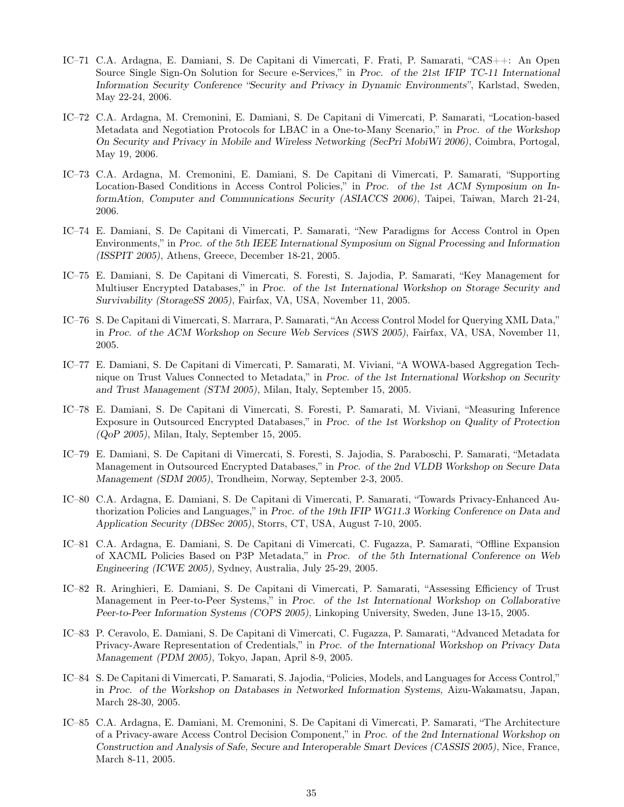- IC–71 C.A. Ardagna, E. Damiani, S. De Capitani di Vimercati, F. Frati, P. Samarati, "CAS++: An Open Source Single Sign-On Solution for Secure e-Services," in *Proc. of the 21st IFIP TC-11 International Information Security Conference "Security and Privacy in Dynamic Environments"*, Karlstad, Sweden, May 22-24, 2006.
- IC–72 C.A. Ardagna, M. Cremonini, E. Damiani, S. De Capitani di Vimercati, P. Samarati, "Location-based Metadata and Negotiation Protocols for LBAC in a One-to-Many Scenario," in *Proc. of the Workshop On Security and Privacy in Mobile and Wireless Networking (SecPri MobiWi 2006)*, Coimbra, Portogal, May 19, 2006.
- IC–73 C.A. Ardagna, M. Cremonini, E. Damiani, S. De Capitani di Vimercati, P. Samarati, "Supporting Location-Based Conditions in Access Control Policies," in *Proc. of the 1st ACM Symposium on InformAtion, Computer and Communications Security (ASIACCS 2006)*, Taipei, Taiwan, March 21-24, 2006.
- IC–74 E. Damiani, S. De Capitani di Vimercati, P. Samarati, "New Paradigms for Access Control in Open Environments," in *Proc. of the 5th IEEE International Symposium on Signal Processing and Information (ISSPIT 2005)*, Athens, Greece, December 18-21, 2005.
- IC–75 E. Damiani, S. De Capitani di Vimercati, S. Foresti, S. Jajodia, P. Samarati, "Key Management for Multiuser Encrypted Databases," in *Proc. of the 1st International Workshop on Storage Security and Survivability (StorageSS 2005)*, Fairfax, VA, USA, November 11, 2005.
- IC–76 S. De Capitani di Vimercati, S. Marrara, P. Samarati, "An Access Control Model for Querying XML Data," in *Proc. of the ACM Workshop on Secure Web Services (SWS 2005)*, Fairfax, VA, USA, November 11, 2005.
- IC–77 E. Damiani, S. De Capitani di Vimercati, P. Samarati, M. Viviani, "A WOWA-based Aggregation Technique on Trust Values Connected to Metadata," in *Proc. of the 1st International Workshop on Security and Trust Management (STM 2005)*, Milan, Italy, September 15, 2005.
- IC–78 E. Damiani, S. De Capitani di Vimercati, S. Foresti, P. Samarati, M. Viviani, "Measuring Inference Exposure in Outsourced Encrypted Databases," in *Proc. of the 1st Workshop on Quality of Protection (QoP 2005)*, Milan, Italy, September 15, 2005.
- IC–79 E. Damiani, S. De Capitani di Vimercati, S. Foresti, S. Jajodia, S. Paraboschi, P. Samarati, "Metadata Management in Outsourced Encrypted Databases," in *Proc. of the 2nd VLDB Workshop on Secure Data Management (SDM 2005)*, Trondheim, Norway, September 2-3, 2005.
- IC–80 C.A. Ardagna, E. Damiani, S. De Capitani di Vimercati, P. Samarati, "Towards Privacy-Enhanced Authorization Policies and Languages," in *Proc. of the 19th IFIP WG11.3 Working Conference on Data and Application Security (DBSec 2005)*, Storrs, CT, USA, August 7-10, 2005.
- IC–81 C.A. Ardagna, E. Damiani, S. De Capitani di Vimercati, C. Fugazza, P. Samarati, "Offline Expansion of XACML Policies Based on P3P Metadata," in *Proc. of the 5th International Conference on Web Engineering (ICWE 2005),* Sydney, Australia, July 25-29, 2005.
- IC–82 R. Aringhieri, E. Damiani, S. De Capitani di Vimercati, P. Samarati, "Assessing Efficiency of Trust Management in Peer-to-Peer Systems," in *Proc. of the 1st International Workshop on Collaborative Peer-to-Peer Information Systems (COPS 2005),* Linkoping University, Sweden, June 13-15, 2005.
- IC–83 P. Ceravolo, E. Damiani, S. De Capitani di Vimercati, C. Fugazza, P. Samarati, "Advanced Metadata for Privacy-Aware Representation of Credentials," in *Proc. of the International Workshop on Privacy Data Management (PDM 2005)*, Tokyo, Japan, April 8-9, 2005.
- IC–84 S. De Capitani di Vimercati, P. Samarati, S. Jajodia, "Policies, Models, and Languages for Access Control," in *Proc. of the Workshop on Databases in Networked Information Systems,* Aizu-Wakamatsu, Japan, March 28-30, 2005.
- IC–85 C.A. Ardagna, E. Damiani, M. Cremonini, S. De Capitani di Vimercati, P. Samarati, "The Architecture of a Privacy-aware Access Control Decision Component," in *Proc. of the 2nd International Workshop on Construction and Analysis of Safe, Secure and Interoperable Smart Devices (CASSIS 2005)*, Nice, France, March 8-11, 2005.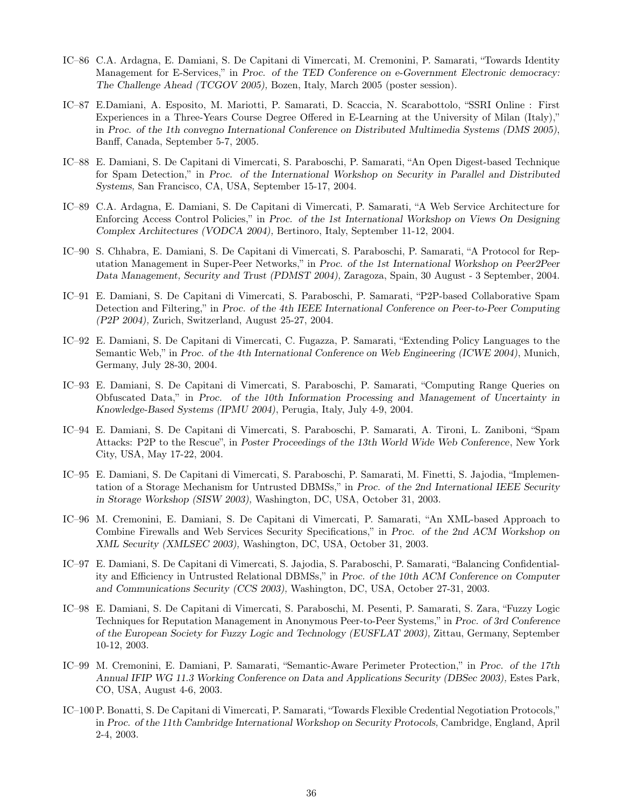- IC–86 C.A. Ardagna, E. Damiani, S. De Capitani di Vimercati, M. Cremonini, P. Samarati, "Towards Identity Management for E-Services," in *Proc. of the TED Conference on e-Government Electronic democracy: The Challenge Ahead (TCGOV 2005),* Bozen, Italy, March 2005 (poster session).
- IC–87 E.Damiani, A. Esposito, M. Mariotti, P. Samarati, D. Scaccia, N. Scarabottolo, "SSRI Online : First Experiences in a Three-Years Course Degree Offered in E-Learning at the University of Milan (Italy)," in *Proc. of the 1th convegno International Conference on Distributed Multimedia Systems (DMS 2005)*, Banff, Canada, September 5-7, 2005.
- IC–88 E. Damiani, S. De Capitani di Vimercati, S. Paraboschi, P. Samarati, "An Open Digest-based Technique for Spam Detection," in *Proc. of the International Workshop on Security in Parallel and Distributed Systems,* San Francisco, CA, USA, September 15-17, 2004.
- IC–89 C.A. Ardagna, E. Damiani, S. De Capitani di Vimercati, P. Samarati, "A Web Service Architecture for Enforcing Access Control Policies," in *Proc. of the 1st International Workshop on Views On Designing Complex Architectures (VODCA 2004),* Bertinoro, Italy, September 11-12, 2004.
- IC–90 S. Chhabra, E. Damiani, S. De Capitani di Vimercati, S. Paraboschi, P. Samarati, "A Protocol for Reputation Management in Super-Peer Networks," in *Proc. of the 1st International Workshop on Peer2Peer Data Management, Security and Trust (PDMST 2004),* Zaragoza, Spain, 30 August - 3 September, 2004.
- IC–91 E. Damiani, S. De Capitani di Vimercati, S. Paraboschi, P. Samarati, "P2P-based Collaborative Spam Detection and Filtering," in *Proc. of the 4th IEEE International Conference on Peer-to-Peer Computing (P2P 2004),* Zurich, Switzerland, August 25-27, 2004.
- IC–92 E. Damiani, S. De Capitani di Vimercati, C. Fugazza, P. Samarati, "Extending Policy Languages to the Semantic Web," in *Proc. of the 4th International Conference on Web Engineering (ICWE 2004)*, Munich, Germany, July 28-30, 2004.
- IC–93 E. Damiani, S. De Capitani di Vimercati, S. Paraboschi, P. Samarati, "Computing Range Queries on Obfuscated Data," in *Proc. of the 10th Information Processing and Management of Uncertainty in Knowledge-Based Systems (IPMU 2004)*, Perugia, Italy, July 4-9, 2004.
- IC–94 E. Damiani, S. De Capitani di Vimercati, S. Paraboschi, P. Samarati, A. Tironi, L. Zaniboni, "Spam Attacks: P2P to the Rescue", in *Poster Proceedings of the 13th World Wide Web Conference*, New York City, USA, May 17-22, 2004.
- IC–95 E. Damiani, S. De Capitani di Vimercati, S. Paraboschi, P. Samarati, M. Finetti, S. Jajodia, "Implementation of a Storage Mechanism for Untrusted DBMSs," in *Proc. of the 2nd International IEEE Security in Storage Workshop (SISW 2003),* Washington, DC, USA, October 31, 2003.
- IC–96 M. Cremonini, E. Damiani, S. De Capitani di Vimercati, P. Samarati, "An XML-based Approach to Combine Firewalls and Web Services Security Specifications," in *Proc. of the 2nd ACM Workshop on XML Security (XMLSEC 2003),* Washington, DC, USA, October 31, 2003.
- IC–97 E. Damiani, S. De Capitani di Vimercati, S. Jajodia, S. Paraboschi, P. Samarati, "Balancing Confidentiality and Efficiency in Untrusted Relational DBMSs," in *Proc. of the 10th ACM Conference on Computer and Communications Security (CCS 2003),* Washington, DC, USA, October 27-31, 2003.
- IC–98 E. Damiani, S. De Capitani di Vimercati, S. Paraboschi, M. Pesenti, P. Samarati, S. Zara, "Fuzzy Logic Techniques for Reputation Management in Anonymous Peer-to-Peer Systems," in *Proc. of 3rd Conference of the European Society for Fuzzy Logic and Technology (EUSFLAT 2003),* Zittau, Germany, September 10-12, 2003.
- IC–99 M. Cremonini, E. Damiani, P. Samarati, "Semantic-Aware Perimeter Protection," in *Proc. of the 17th Annual IFIP WG 11.3 Working Conference on Data and Applications Security (DBSec 2003),* Estes Park, CO, USA, August 4-6, 2003.
- IC–100 P. Bonatti, S. De Capitani di Vimercati, P. Samarati, "Towards Flexible Credential Negotiation Protocols," in *Proc. of the 11th Cambridge International Workshop on Security Protocols,* Cambridge, England, April 2-4, 2003.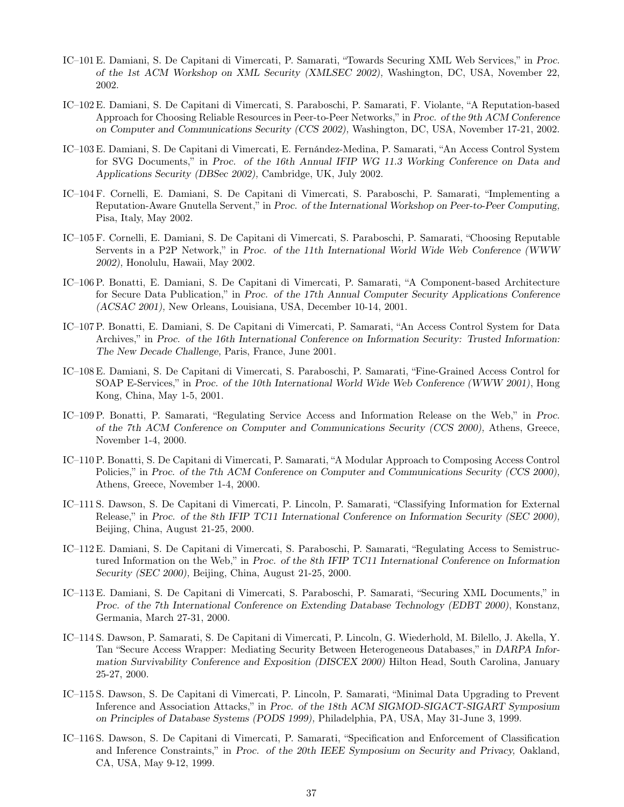- IC–101 E. Damiani, S. De Capitani di Vimercati, P. Samarati, "Towards Securing XML Web Services," in *Proc. of the 1st ACM Workshop on XML Security (XMLSEC 2002),* Washington, DC, USA, November 22, 2002.
- IC–102 E. Damiani, S. De Capitani di Vimercati, S. Paraboschi, P. Samarati, F. Violante, "A Reputation-based Approach for Choosing Reliable Resources in Peer-to-Peer Networks," in *Proc. of the 9th ACM Conference on Computer and Communications Security (CCS 2002),* Washington, DC, USA, November 17-21, 2002.
- IC–103 E. Damiani, S. De Capitani di Vimercati, E. Fernández-Medina, P. Samarati, "An Access Control System for SVG Documents," in *Proc. of the 16th Annual IFIP WG 11.3 Working Conference on Data and Applications Security (DBSec 2002),* Cambridge, UK, July 2002.
- IC–104 F. Cornelli, E. Damiani, S. De Capitani di Vimercati, S. Paraboschi, P. Samarati, "Implementing a Reputation-Aware Gnutella Servent," in *Proc. of the International Workshop on Peer-to-Peer Computing,* Pisa, Italy, May 2002.
- IC–105 F. Cornelli, E. Damiani, S. De Capitani di Vimercati, S. Paraboschi, P. Samarati, "Choosing Reputable Servents in a P2P Network," in *Proc. of the 11th International World Wide Web Conference (WWW 2002),* Honolulu, Hawaii, May 2002.
- IC–106 P. Bonatti, E. Damiani, S. De Capitani di Vimercati, P. Samarati, "A Component-based Architecture for Secure Data Publication," in *Proc. of the 17th Annual Computer Security Applications Conference (ACSAC 2001),* New Orleans, Louisiana, USA, December 10-14, 2001.
- IC–107 P. Bonatti, E. Damiani, S. De Capitani di Vimercati, P. Samarati, "An Access Control System for Data Archives," in *Proc. of the 16th International Conference on Information Security: Trusted Information: The New Decade Challenge,* Paris, France, June 2001.
- IC–108 E. Damiani, S. De Capitani di Vimercati, S. Paraboschi, P. Samarati, "Fine-Grained Access Control for SOAP E-Services," in *Proc. of the 10th International World Wide Web Conference (WWW 2001)*, Hong Kong, China, May 1-5, 2001.
- IC–109 P. Bonatti, P. Samarati, "Regulating Service Access and Information Release on the Web," in *Proc. of the 7th ACM Conference on Computer and Communications Security (CCS 2000),* Athens, Greece, November 1-4, 2000.
- IC–110 P. Bonatti, S. De Capitani di Vimercati, P. Samarati, "A Modular Approach to Composing Access Control Policies," in *Proc. of the 7th ACM Conference on Computer and Communications Security (CCS 2000),* Athens, Greece, November 1-4, 2000.
- IC–111 S. Dawson, S. De Capitani di Vimercati, P. Lincoln, P. Samarati, "Classifying Information for External Release," in *Proc. of the 8th IFIP TC11 International Conference on Information Security (SEC 2000),* Beijing, China, August 21-25, 2000.
- IC–112 E. Damiani, S. De Capitani di Vimercati, S. Paraboschi, P. Samarati, "Regulating Access to Semistructured Information on the Web," in *Proc. of the 8th IFIP TC11 International Conference on Information Security (SEC 2000),* Beijing, China, August 21-25, 2000.
- IC–113 E. Damiani, S. De Capitani di Vimercati, S. Paraboschi, P. Samarati, "Securing XML Documents," in *Proc. of the 7th International Conference on Extending Database Technology (EDBT 2000)*, Konstanz, Germania, March 27-31, 2000.
- IC–114 S. Dawson, P. Samarati, S. De Capitani di Vimercati, P. Lincoln, G. Wiederhold, M. Bilello, J. Akella, Y. Tan "Secure Access Wrapper: Mediating Security Between Heterogeneous Databases," in *DARPA Information Survivability Conference and Exposition (DISCEX 2000)* Hilton Head, South Carolina, January 25-27, 2000.
- IC–115 S. Dawson, S. De Capitani di Vimercati, P. Lincoln, P. Samarati, "Minimal Data Upgrading to Prevent Inference and Association Attacks," in *Proc. of the 18th ACM SIGMOD-SIGACT-SIGART Symposium on Principles of Database Systems (PODS 1999),* Philadelphia, PA, USA, May 31-June 3, 1999.
- IC–116 S. Dawson, S. De Capitani di Vimercati, P. Samarati, "Specification and Enforcement of Classification and Inference Constraints," in *Proc. of the 20th IEEE Symposium on Security and Privacy,* Oakland, CA, USA, May 9-12, 1999.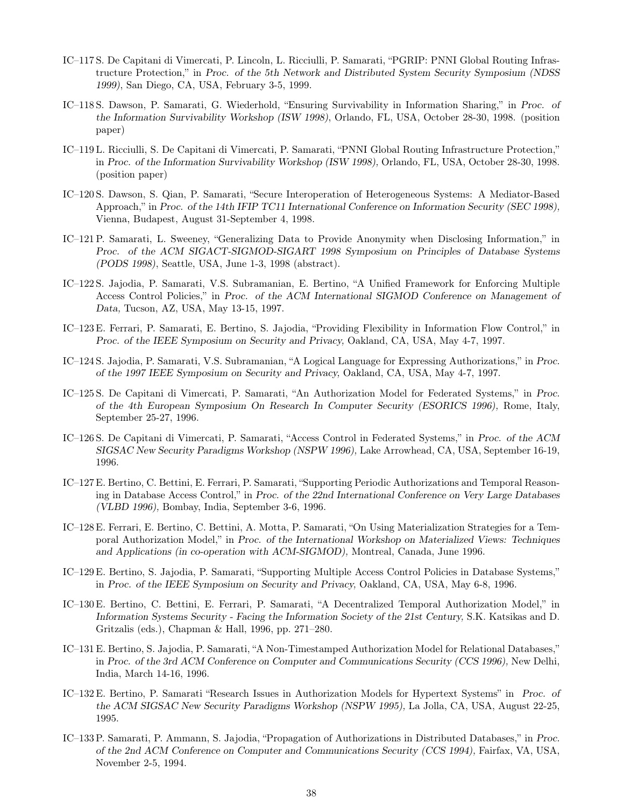- IC–117 S. De Capitani di Vimercati, P. Lincoln, L. Ricciulli, P. Samarati, "PGRIP: PNNI Global Routing Infrastructure Protection," in *Proc. of the 5th Network and Distributed System Security Symposium (NDSS 1999)*, San Diego, CA, USA, February 3-5, 1999.
- IC–118 S. Dawson, P. Samarati, G. Wiederhold, "Ensuring Survivability in Information Sharing," in *Proc. of the Information Survivability Workshop (ISW 1998)*, Orlando, FL, USA, October 28-30, 1998. (position paper)
- IC–119 L. Ricciulli, S. De Capitani di Vimercati, P. Samarati, "PNNI Global Routing Infrastructure Protection," in *Proc. of the Information Survivability Workshop (ISW 1998),* Orlando, FL, USA, October 28-30, 1998. (position paper)
- IC–120 S. Dawson, S. Qian, P. Samarati, "Secure Interoperation of Heterogeneous Systems: A Mediator-Based Approach," in *Proc. of the 14th IFIP TC11 International Conference on Information Security (SEC 1998),* Vienna, Budapest, August 31-September 4, 1998.
- IC–121 P. Samarati, L. Sweeney, "Generalizing Data to Provide Anonymity when Disclosing Information," in *Proc. of the ACM SIGACT-SIGMOD-SIGART 1998 Symposium on Principles of Database Systems (PODS 1998)*, Seattle, USA, June 1-3, 1998 (abstract).
- IC–122 S. Jajodia, P. Samarati, V.S. Subramanian, E. Bertino, "A Unified Framework for Enforcing Multiple Access Control Policies," in *Proc. of the ACM International SIGMOD Conference on Management of Data,* Tucson, AZ, USA, May 13-15, 1997.
- IC–123 E. Ferrari, P. Samarati, E. Bertino, S. Jajodia, "Providing Flexibility in Information Flow Control," in *Proc. of the IEEE Symposium on Security and Privacy,* Oakland, CA, USA, May 4-7, 1997.
- IC–124 S. Jajodia, P. Samarati, V.S. Subramanian, "A Logical Language for Expressing Authorizations," in *Proc. of the 1997 IEEE Symposium on Security and Privacy,* Oakland, CA, USA, May 4-7, 1997.
- IC–125 S. De Capitani di Vimercati, P. Samarati, "An Authorization Model for Federated Systems," in *Proc. of the 4th European Symposium On Research In Computer Security (ESORICS 1996),* Rome, Italy, September 25-27, 1996.
- IC–126 S. De Capitani di Vimercati, P. Samarati, "Access Control in Federated Systems," in *Proc. of the ACM SIGSAC New Security Paradigms Workshop (NSPW 1996),* Lake Arrowhead, CA, USA, September 16-19, 1996.
- IC–127 E. Bertino, C. Bettini, E. Ferrari, P. Samarati, "Supporting Periodic Authorizations and Temporal Reasoning in Database Access Control," in *Proc. of the 22nd International Conference on Very Large Databases (VLBD 1996),* Bombay, India, September 3-6, 1996.
- IC–128 E. Ferrari, E. Bertino, C. Bettini, A. Motta, P. Samarati, "On Using Materialization Strategies for a Temporal Authorization Model," in *Proc. of the International Workshop on Materialized Views: Techniques and Applications (in co-operation with ACM-SIGMOD),* Montreal, Canada, June 1996.
- IC–129 E. Bertino, S. Jajodia, P. Samarati, "Supporting Multiple Access Control Policies in Database Systems," in *Proc. of the IEEE Symposium on Security and Privacy,* Oakland, CA, USA, May 6-8, 1996.
- IC–130 E. Bertino, C. Bettini, E. Ferrari, P. Samarati, "A Decentralized Temporal Authorization Model," in *Information Systems Security - Facing the Information Society of the 21st Century,* S.K. Katsikas and D. Gritzalis (eds.), Chapman & Hall, 1996, pp. 271–280.
- IC–131 E. Bertino, S. Jajodia, P. Samarati, "A Non-Timestamped Authorization Model for Relational Databases," in *Proc. of the 3rd ACM Conference on Computer and Communications Security (CCS 1996),* New Delhi, India, March 14-16, 1996.
- IC–132 E. Bertino, P. Samarati "Research Issues in Authorization Models for Hypertext Systems" in *Proc. of the ACM SIGSAC New Security Paradigms Workshop (NSPW 1995),* La Jolla, CA, USA, August 22-25, 1995.
- IC–133 P. Samarati, P. Ammann, S. Jajodia, "Propagation of Authorizations in Distributed Databases," in *Proc. of the 2nd ACM Conference on Computer and Communications Security (CCS 1994),* Fairfax, VA, USA, November 2-5, 1994.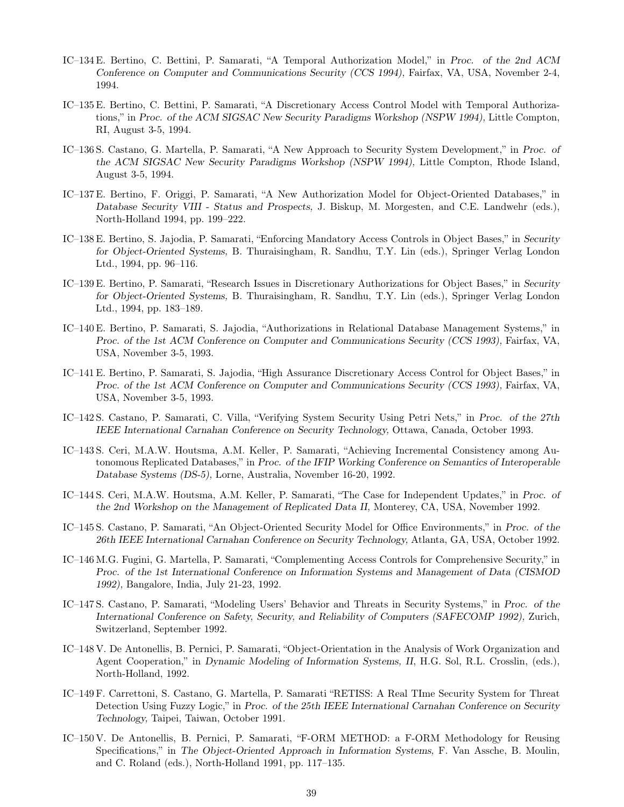- IC–134 E. Bertino, C. Bettini, P. Samarati, "A Temporal Authorization Model," in *Proc. of the 2nd ACM Conference on Computer and Communications Security (CCS 1994),* Fairfax, VA, USA, November 2-4, 1994.
- IC–135 E. Bertino, C. Bettini, P. Samarati, "A Discretionary Access Control Model with Temporal Authorizations," in *Proc. of the ACM SIGSAC New Security Paradigms Workshop (NSPW 1994),* Little Compton, RI, August 3-5, 1994.
- IC–136 S. Castano, G. Martella, P. Samarati, "A New Approach to Security System Development," in *Proc. of the ACM SIGSAC New Security Paradigms Workshop (NSPW 1994),* Little Compton, Rhode Island, August 3-5, 1994.
- IC–137 E. Bertino, F. Origgi, P. Samarati, "A New Authorization Model for Object-Oriented Databases," in *Database Security VIII - Status and Prospects,* J. Biskup, M. Morgesten, and C.E. Landwehr (eds.), North-Holland 1994, pp. 199–222.
- IC–138 E. Bertino, S. Jajodia, P. Samarati, "Enforcing Mandatory Access Controls in Object Bases," in *Security for Object-Oriented Systems,* B. Thuraisingham, R. Sandhu, T.Y. Lin (eds.), Springer Verlag London Ltd., 1994, pp. 96–116.
- IC–139 E. Bertino, P. Samarati, "Research Issues in Discretionary Authorizations for Object Bases," in *Security for Object-Oriented Systems,* B. Thuraisingham, R. Sandhu, T.Y. Lin (eds.), Springer Verlag London Ltd., 1994, pp. 183–189.
- IC–140 E. Bertino, P. Samarati, S. Jajodia, "Authorizations in Relational Database Management Systems," in *Proc. of the 1st ACM Conference on Computer and Communications Security (CCS 1993),* Fairfax, VA, USA, November 3-5, 1993.
- IC–141 E. Bertino, P. Samarati, S. Jajodia, "High Assurance Discretionary Access Control for Object Bases," in *Proc. of the 1st ACM Conference on Computer and Communications Security (CCS 1993),* Fairfax, VA, USA, November 3-5, 1993.
- IC–142 S. Castano, P. Samarati, C. Villa, "Verifying System Security Using Petri Nets," in *Proc. of the 27th IEEE International Carnahan Conference on Security Technology,* Ottawa, Canada, October 1993.
- IC–143 S. Ceri, M.A.W. Houtsma, A.M. Keller, P. Samarati, "Achieving Incremental Consistency among Autonomous Replicated Databases," in *Proc. of the IFIP Working Conference on Semantics of Interoperable Database Systems (DS-5),* Lorne, Australia, November 16-20, 1992.
- IC–144 S. Ceri, M.A.W. Houtsma, A.M. Keller, P. Samarati, "The Case for Independent Updates," in *Proc. of the 2nd Workshop on the Management of Replicated Data II,* Monterey, CA, USA, November 1992.
- IC–145 S. Castano, P. Samarati, "An Object-Oriented Security Model for Office Environments," in *Proc. of the 26th IEEE International Carnahan Conference on Security Technology,* Atlanta, GA, USA, October 1992.
- IC–146 M.G. Fugini, G. Martella, P. Samarati, "Complementing Access Controls for Comprehensive Security," in *Proc. of the 1st International Conference on Information Systems and Management of Data (CISMOD 1992),* Bangalore, India, July 21-23, 1992.
- IC–147 S. Castano, P. Samarati, "Modeling Users' Behavior and Threats in Security Systems," in *Proc. of the International Conference on Safety, Security, and Reliability of Computers (SAFECOMP 1992),* Zurich, Switzerland, September 1992.
- IC–148 V. De Antonellis, B. Pernici, P. Samarati, "Object-Orientation in the Analysis of Work Organization and Agent Cooperation," in *Dynamic Modeling of Information Systems, II*, H.G. Sol, R.L. Crosslin, (eds.), North-Holland, 1992.
- IC–149 F. Carrettoni, S. Castano, G. Martella, P. Samarati "RETISS: A Real TIme Security System for Threat Detection Using Fuzzy Logic," in *Proc. of the 25th IEEE International Carnahan Conference on Security Technology,* Taipei, Taiwan, October 1991.
- IC–150 V. De Antonellis, B. Pernici, P. Samarati, "F-ORM METHOD: a F-ORM Methodology for Reusing Specifications," in *The Object-Oriented Approach in Information Systems,* F. Van Assche, B. Moulin, and C. Roland (eds.), North-Holland 1991, pp. 117–135.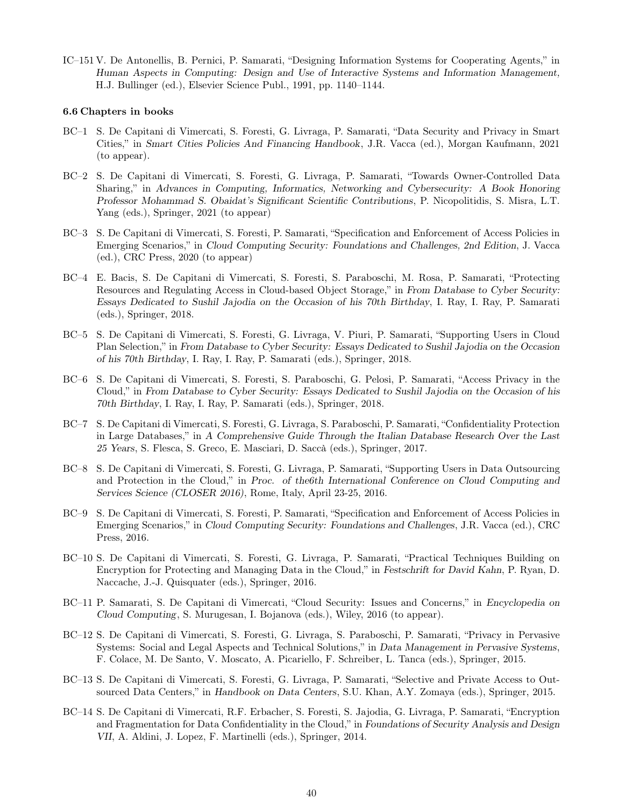IC–151 V. De Antonellis, B. Pernici, P. Samarati, "Designing Information Systems for Cooperating Agents," in *Human Aspects in Computing: Design and Use of Interactive Systems and Information Management,* H.J. Bullinger (ed.), Elsevier Science Publ., 1991, pp. 1140–1144.

#### 6.6 Chapters in books

- BC–1 S. De Capitani di Vimercati, S. Foresti, G. Livraga, P. Samarati, "Data Security and Privacy in Smart Cities," in *Smart Cities Policies And Financing Handbook*, J.R. Vacca (ed.), Morgan Kaufmann, 2021 (to appear).
- BC–2 S. De Capitani di Vimercati, S. Foresti, G. Livraga, P. Samarati, "Towards Owner-Controlled Data Sharing," in *Advances in Computing, Informatics, Networking and Cybersecurity: A Book Honoring Professor Mohammad S. Obaidat's Significant Scientific Contributions*, P. Nicopolitidis, S. Misra, L.T. Yang (eds.), Springer, 2021 (to appear)
- BC–3 S. De Capitani di Vimercati, S. Foresti, P. Samarati, "Specification and Enforcement of Access Policies in Emerging Scenarios," in *Cloud Computing Security: Foundations and Challenges, 2nd Edition*, J. Vacca (ed.), CRC Press, 2020 (to appear)
- BC–4 E. Bacis, S. De Capitani di Vimercati, S. Foresti, S. Paraboschi, M. Rosa, P. Samarati, "Protecting Resources and Regulating Access in Cloud-based Object Storage," in *From Database to Cyber Security: Essays Dedicated to Sushil Jajodia on the Occasion of his 70th Birthday*, I. Ray, I. Ray, P. Samarati (eds.), Springer, 2018.
- BC–5 S. De Capitani di Vimercati, S. Foresti, G. Livraga, V. Piuri, P. Samarati, "Supporting Users in Cloud Plan Selection," in *From Database to Cyber Security: Essays Dedicated to Sushil Jajodia on the Occasion of his 70th Birthday*, I. Ray, I. Ray, P. Samarati (eds.), Springer, 2018.
- BC–6 S. De Capitani di Vimercati, S. Foresti, S. Paraboschi, G. Pelosi, P. Samarati, "Access Privacy in the Cloud," in *From Database to Cyber Security: Essays Dedicated to Sushil Jajodia on the Occasion of his 70th Birthday*, I. Ray, I. Ray, P. Samarati (eds.), Springer, 2018.
- BC–7 S. De Capitani di Vimercati, S. Foresti, G. Livraga, S. Paraboschi, P. Samarati, "Confidentiality Protection in Large Databases," in *A Comprehensive Guide Through the Italian Database Research Over the Last 25 Years*, S. Flesca, S. Greco, E. Masciari, D. Saccà (eds.), Springer, 2017.
- BC–8 S. De Capitani di Vimercati, S. Foresti, G. Livraga, P. Samarati, "Supporting Users in Data Outsourcing and Protection in the Cloud," in *Proc. of the6th International Conference on Cloud Computing and Services Science (CLOSER 2016)*, Rome, Italy, April 23-25, 2016.
- BC–9 S. De Capitani di Vimercati, S. Foresti, P. Samarati, "Specification and Enforcement of Access Policies in Emerging Scenarios," in *Cloud Computing Security: Foundations and Challenges*, J.R. Vacca (ed.), CRC Press, 2016.
- BC–10 S. De Capitani di Vimercati, S. Foresti, G. Livraga, P. Samarati, "Practical Techniques Building on Encryption for Protecting and Managing Data in the Cloud," in *Festschrift for David Kahn*, P. Ryan, D. Naccache, J.-J. Quisquater (eds.), Springer, 2016.
- BC–11 P. Samarati, S. De Capitani di Vimercati, "Cloud Security: Issues and Concerns," in *Encyclopedia on Cloud Computing*, S. Murugesan, I. Bojanova (eds.), Wiley, 2016 (to appear).
- BC–12 S. De Capitani di Vimercati, S. Foresti, G. Livraga, S. Paraboschi, P. Samarati, "Privacy in Pervasive Systems: Social and Legal Aspects and Technical Solutions," in *Data Management in Pervasive Systems*, F. Colace, M. De Santo, V. Moscato, A. Picariello, F. Schreiber, L. Tanca (eds.), Springer, 2015.
- BC–13 S. De Capitani di Vimercati, S. Foresti, G. Livraga, P. Samarati, "Selective and Private Access to Outsourced Data Centers," in *Handbook on Data Centers*, S.U. Khan, A.Y. Zomaya (eds.), Springer, 2015.
- BC–14 S. De Capitani di Vimercati, R.F. Erbacher, S. Foresti, S. Jajodia, G. Livraga, P. Samarati, "Encryption and Fragmentation for Data Confidentiality in the Cloud," in *Foundations of Security Analysis and Design VII*, A. Aldini, J. Lopez, F. Martinelli (eds.), Springer, 2014.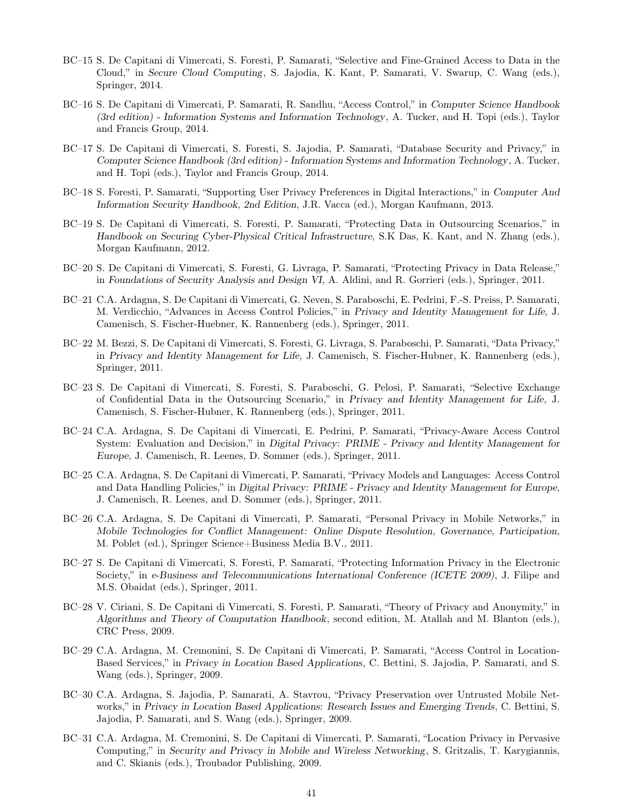- BC–15 S. De Capitani di Vimercati, S. Foresti, P. Samarati, "Selective and Fine-Grained Access to Data in the Cloud," in *Secure Cloud Computing*, S. Jajodia, K. Kant, P. Samarati, V. Swarup, C. Wang (eds.), Springer, 2014.
- BC–16 S. De Capitani di Vimercati, P. Samarati, R. Sandhu, "Access Control," in *Computer Science Handbook (3rd edition) - Information Systems and Information Technology*, A. Tucker, and H. Topi (eds.), Taylor and Francis Group, 2014.
- BC–17 S. De Capitani di Vimercati, S. Foresti, S. Jajodia, P. Samarati, "Database Security and Privacy," in *Computer Science Handbook (3rd edition) - Information Systems and Information Technology*, A. Tucker, and H. Topi (eds.), Taylor and Francis Group, 2014.
- BC–18 S. Foresti, P. Samarati, "Supporting User Privacy Preferences in Digital Interactions," in *Computer And Information Security Handbook, 2nd Edition*, J.R. Vacca (ed.), Morgan Kaufmann, 2013.
- BC–19 S. De Capitani di Vimercati, S. Foresti, P. Samarati, "Protecting Data in Outsourcing Scenarios," in *Handbook on Securing Cyber-Physical Critical Infrastructure*, S.K Das, K. Kant, and N. Zhang (eds.), Morgan Kaufmann, 2012.
- BC–20 S. De Capitani di Vimercati, S. Foresti, G. Livraga, P. Samarati, "Protecting Privacy in Data Release," in *Foundations of Security Analysis and Design VI,* A. Aldini, and R. Gorrieri (eds.), Springer, 2011.
- BC–21 C.A. Ardagna, S. De Capitani di Vimercati, G. Neven, S. Paraboschi, E. Pedrini, F.-S. Preiss, P. Samarati, M. Verdicchio, "Advances in Access Control Policies," in *Privacy and Identity Management for Life,* J. Camenisch, S. Fischer-Huebner, K. Rannenberg (eds.), Springer, 2011.
- BC–22 M. Bezzi, S. De Capitani di Vimercati, S. Foresti, G. Livraga, S. Paraboschi, P. Samarati, "Data Privacy," in *Privacy and Identity Management for Life,* J. Camenisch, S. Fischer-Hubner, K. Rannenberg (eds.), Springer, 2011.
- BC–23 S. De Capitani di Vimercati, S. Foresti, S. Paraboschi, G. Pelosi, P. Samarati, "Selective Exchange of Confidential Data in the Outsourcing Scenario," in *Privacy and Identity Management for Life,* J. Camenisch, S. Fischer-Hubner, K. Rannenberg (eds.), Springer, 2011.
- BC–24 C.A. Ardagna, S. De Capitani di Vimercati, E. Pedrini, P. Samarati, "Privacy-Aware Access Control System: Evaluation and Decision," in *Digital Privacy: PRIME - Privacy and Identity Management for Europe,* J. Camenisch, R. Leenes, D. Sommer (eds.), Springer, 2011.
- BC–25 C.A. Ardagna, S. De Capitani di Vimercati, P. Samarati, "Privacy Models and Languages: Access Control and Data Handling Policies," in *Digital Privacy: PRIME - Privacy and Identity Management for Europe,* J. Camenisch, R. Leenes, and D. Sommer (eds.), Springer, 2011.
- BC–26 C.A. Ardagna, S. De Capitani di Vimercati, P. Samarati, "Personal Privacy in Mobile Networks," in *Mobile Technologies for Conflict Management: Online Dispute Resolution, Governance, Participation,* M. Poblet (ed.), Springer Science+Business Media B.V., 2011.
- BC–27 S. De Capitani di Vimercati, S. Foresti, P. Samarati, "Protecting Information Privacy in the Electronic Society," in *e-Business and Telecommunications International Conference (ICETE 2009)*, J. Filipe and M.S. Obaidat (eds.), Springer, 2011.
- BC–28 V. Ciriani, S. De Capitani di Vimercati, S. Foresti, P. Samarati, "Theory of Privacy and Anonymity," in *Algorithms and Theory of Computation Handbook*, second edition, M. Atallah and M. Blanton (eds.), CRC Press, 2009.
- BC–29 C.A. Ardagna, M. Cremonini, S. De Capitani di Vimercati, P. Samarati, "Access Control in Location-Based Services," in *Privacy in Location Based Applications*, C. Bettini, S. Jajodia, P. Samarati, and S. Wang (eds.), Springer, 2009.
- BC–30 C.A. Ardagna, S. Jajodia, P. Samarati, A. Stavrou, "Privacy Preservation over Untrusted Mobile Networks," in *Privacy in Location Based Applications: Research Issues and Emerging Trends*, C. Bettini, S. Jajodia, P. Samarati, and S. Wang (eds.), Springer, 2009.
- BC–31 C.A. Ardagna, M. Cremonini, S. De Capitani di Vimercati, P. Samarati, "Location Privacy in Pervasive Computing," in *Security and Privacy in Mobile and Wireless Networking*, S. Gritzalis, T. Karygiannis, and C. Skianis (eds.), Troubador Publishing, 2009.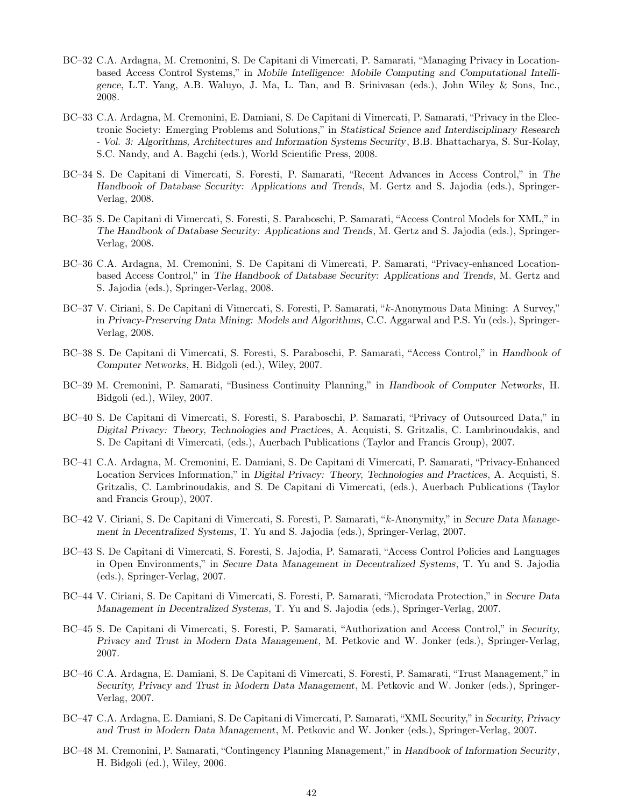- BC–32 C.A. Ardagna, M. Cremonini, S. De Capitani di Vimercati, P. Samarati, "Managing Privacy in Locationbased Access Control Systems," in *Mobile Intelligence: Mobile Computing and Computational Intelligence*, L.T. Yang, A.B. Waluyo, J. Ma, L. Tan, and B. Srinivasan (eds.), John Wiley & Sons, Inc., 2008.
- BC–33 C.A. Ardagna, M. Cremonini, E. Damiani, S. De Capitani di Vimercati, P. Samarati, "Privacy in the Electronic Society: Emerging Problems and Solutions," in *Statistical Science and Interdisciplinary Research - Vol. 3: Algorithms, Architectures and Information Systems Security*, B.B. Bhattacharya, S. Sur-Kolay, S.C. Nandy, and A. Bagchi (eds.), World Scientific Press, 2008.
- BC–34 S. De Capitani di Vimercati, S. Foresti, P. Samarati, "Recent Advances in Access Control," in *The Handbook of Database Security: Applications and Trends*, M. Gertz and S. Jajodia (eds.), Springer-Verlag, 2008.
- BC–35 S. De Capitani di Vimercati, S. Foresti, S. Paraboschi, P. Samarati, "Access Control Models for XML," in *The Handbook of Database Security: Applications and Trends*, M. Gertz and S. Jajodia (eds.), Springer-Verlag, 2008.
- BC–36 C.A. Ardagna, M. Cremonini, S. De Capitani di Vimercati, P. Samarati, "Privacy-enhanced Locationbased Access Control," in *The Handbook of Database Security: Applications and Trends*, M. Gertz and S. Jajodia (eds.), Springer-Verlag, 2008.
- BC–37 V. Ciriani, S. De Capitani di Vimercati, S. Foresti, P. Samarati, "k-Anonymous Data Mining: A Survey," in *Privacy-Preserving Data Mining: Models and Algorithms*, C.C. Aggarwal and P.S. Yu (eds.), Springer-Verlag, 2008.
- BC–38 S. De Capitani di Vimercati, S. Foresti, S. Paraboschi, P. Samarati, "Access Control," in *Handbook of Computer Networks*, H. Bidgoli (ed.), Wiley, 2007.
- BC–39 M. Cremonini, P. Samarati, "Business Continuity Planning," in *Handbook of Computer Networks*, H. Bidgoli (ed.), Wiley, 2007.
- BC–40 S. De Capitani di Vimercati, S. Foresti, S. Paraboschi, P. Samarati, "Privacy of Outsourced Data," in *Digital Privacy: Theory, Technologies and Practices*, A. Acquisti, S. Gritzalis, C. Lambrinoudakis, and S. De Capitani di Vimercati, (eds.), Auerbach Publications (Taylor and Francis Group), 2007.
- BC–41 C.A. Ardagna, M. Cremonini, E. Damiani, S. De Capitani di Vimercati, P. Samarati, "Privacy-Enhanced Location Services Information," in *Digital Privacy: Theory, Technologies and Practices*, A. Acquisti, S. Gritzalis, C. Lambrinoudakis, and S. De Capitani di Vimercati, (eds.), Auerbach Publications (Taylor and Francis Group), 2007.
- BC–42 V. Ciriani, S. De Capitani di Vimercati, S. Foresti, P. Samarati, "k-Anonymity," in *Secure Data Management in Decentralized Systems*, T. Yu and S. Jajodia (eds.), Springer-Verlag, 2007.
- BC–43 S. De Capitani di Vimercati, S. Foresti, S. Jajodia, P. Samarati, "Access Control Policies and Languages in Open Environments," in *Secure Data Management in Decentralized Systems*, T. Yu and S. Jajodia (eds.), Springer-Verlag, 2007.
- BC–44 V. Ciriani, S. De Capitani di Vimercati, S. Foresti, P. Samarati, "Microdata Protection," in *Secure Data Management in Decentralized Systems*, T. Yu and S. Jajodia (eds.), Springer-Verlag, 2007.
- BC–45 S. De Capitani di Vimercati, S. Foresti, P. Samarati, "Authorization and Access Control," in *Security, Privacy and Trust in Modern Data Management*, M. Petkovic and W. Jonker (eds.), Springer-Verlag, 2007.
- BC–46 C.A. Ardagna, E. Damiani, S. De Capitani di Vimercati, S. Foresti, P. Samarati, "Trust Management," in *Security, Privacy and Trust in Modern Data Management*, M. Petkovic and W. Jonker (eds.), Springer-Verlag, 2007.
- BC–47 C.A. Ardagna, E. Damiani, S. De Capitani di Vimercati, P. Samarati, "XML Security," in *Security, Privacy and Trust in Modern Data Management*, M. Petkovic and W. Jonker (eds.), Springer-Verlag, 2007.
- BC–48 M. Cremonini, P. Samarati, "Contingency Planning Management," in *Handbook of Information Security*, H. Bidgoli (ed.), Wiley, 2006.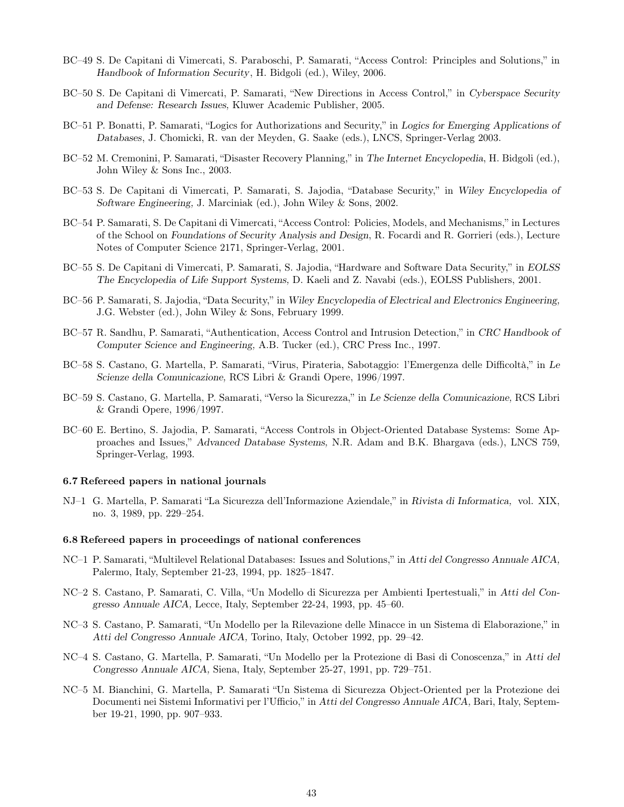- BC–49 S. De Capitani di Vimercati, S. Paraboschi, P. Samarati, "Access Control: Principles and Solutions," in *Handbook of Information Security*, H. Bidgoli (ed.), Wiley, 2006.
- BC–50 S. De Capitani di Vimercati, P. Samarati, "New Directions in Access Control," in *Cyberspace Security and Defense: Research Issues,* Kluwer Academic Publisher, 2005.
- BC–51 P. Bonatti, P. Samarati, "Logics for Authorizations and Security," in *Logics for Emerging Applications of Databases*, J. Chomicki, R. van der Meyden, G. Saake (eds.), LNCS, Springer-Verlag 2003.
- BC–52 M. Cremonini, P. Samarati, "Disaster Recovery Planning," in *The Internet Encyclopedia*, H. Bidgoli (ed.), John Wiley & Sons Inc., 2003.
- BC–53 S. De Capitani di Vimercati, P. Samarati, S. Jajodia, "Database Security," in *Wiley Encyclopedia of Software Engineering,* J. Marciniak (ed.), John Wiley & Sons, 2002.
- BC–54 P. Samarati, S. De Capitani di Vimercati, "Access Control: Policies, Models, and Mechanisms," in Lectures of the School on *Foundations of Security Analysis and Design*, R. Focardi and R. Gorrieri (eds.), Lecture Notes of Computer Science 2171, Springer-Verlag, 2001.
- BC–55 S. De Capitani di Vimercati, P. Samarati, S. Jajodia, "Hardware and Software Data Security," in *EOLSS The Encyclopedia of Life Support Systems,* D. Kaeli and Z. Navabi (eds.), EOLSS Publishers, 2001.
- BC–56 P. Samarati, S. Jajodia, "Data Security," in *Wiley Encyclopedia of Electrical and Electronics Engineering,* J.G. Webster (ed.), John Wiley & Sons, February 1999.
- BC–57 R. Sandhu, P. Samarati, "Authentication, Access Control and Intrusion Detection," in *CRC Handbook of Computer Science and Engineering,* A.B. Tucker (ed.), CRC Press Inc., 1997.
- BC–58 S. Castano, G. Martella, P. Samarati, "Virus, Pirateria, Sabotaggio: l'Emergenza delle Difficoltà," in *Le Scienze della Comunicazione,* RCS Libri & Grandi Opere, 1996/1997.
- BC–59 S. Castano, G. Martella, P. Samarati, "Verso la Sicurezza," in *Le Scienze della Comunicazione,* RCS Libri & Grandi Opere, 1996/1997.
- BC–60 E. Bertino, S. Jajodia, P. Samarati, "Access Controls in Object-Oriented Database Systems: Some Approaches and Issues," *Advanced Database Systems,* N.R. Adam and B.K. Bhargava (eds.), LNCS 759, Springer-Verlag, 1993.

#### 6.7 Refereed papers in national journals

NJ–1 G. Martella, P. Samarati "La Sicurezza dell'Informazione Aziendale," in *Rivista di Informatica,* vol. XIX, no. 3, 1989, pp. 229–254.

#### 6.8 Refereed papers in proceedings of national conferences

- NC–1 P. Samarati, "Multilevel Relational Databases: Issues and Solutions," in *Atti del Congresso Annuale AICA,* Palermo, Italy, September 21-23, 1994, pp. 1825–1847.
- NC–2 S. Castano, P. Samarati, C. Villa, "Un Modello di Sicurezza per Ambienti Ipertestuali," in *Atti del Congresso Annuale AICA,* Lecce, Italy, September 22-24, 1993, pp. 45–60.
- NC–3 S. Castano, P. Samarati, "Un Modello per la Rilevazione delle Minacce in un Sistema di Elaborazione," in *Atti del Congresso Annuale AICA,* Torino, Italy, October 1992, pp. 29–42.
- NC–4 S. Castano, G. Martella, P. Samarati, "Un Modello per la Protezione di Basi di Conoscenza," in *Atti del Congresso Annuale AICA,* Siena, Italy, September 25-27, 1991, pp. 729–751.
- NC–5 M. Bianchini, G. Martella, P. Samarati "Un Sistema di Sicurezza Object-Oriented per la Protezione dei Documenti nei Sistemi Informativi per l'Ufficio," in *Atti del Congresso Annuale AICA,* Bari, Italy, September 19-21, 1990, pp. 907–933.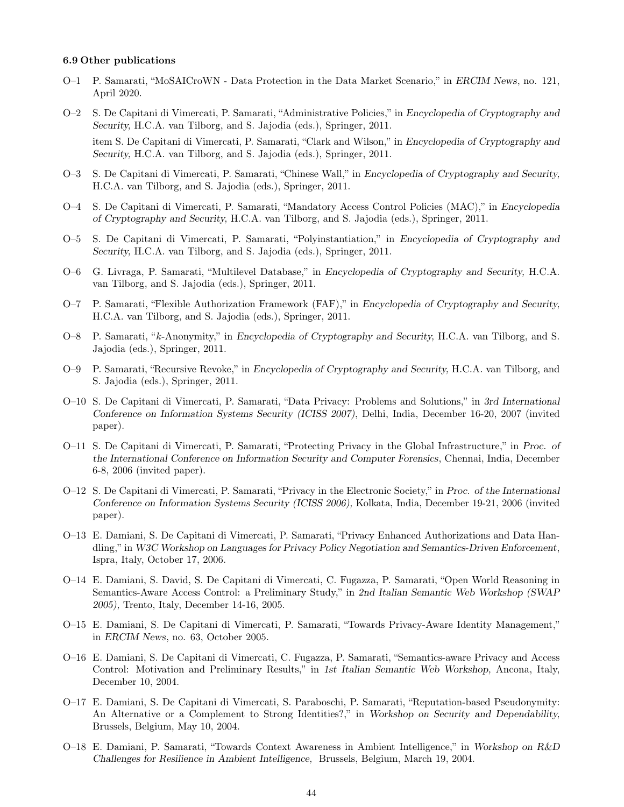#### 6.9 Other publications

- O–1 P. Samarati, "MoSAICroWN Data Protection in the Data Market Scenario," in *ERCIM News*, no. 121, April 2020.
- O–2 S. De Capitani di Vimercati, P. Samarati, "Administrative Policies," in *Encyclopedia of Cryptography and Security,* H.C.A. van Tilborg, and S. Jajodia (eds.), Springer, 2011. item S. De Capitani di Vimercati, P. Samarati, "Clark and Wilson," in *Encyclopedia of Cryptography and*
- O–3 S. De Capitani di Vimercati, P. Samarati, "Chinese Wall," in *Encyclopedia of Cryptography and Security,* H.C.A. van Tilborg, and S. Jajodia (eds.), Springer, 2011.

*Security,* H.C.A. van Tilborg, and S. Jajodia (eds.), Springer, 2011.

- O–4 S. De Capitani di Vimercati, P. Samarati, "Mandatory Access Control Policies (MAC)," in *Encyclopedia of Cryptography and Security,* H.C.A. van Tilborg, and S. Jajodia (eds.), Springer, 2011.
- O–5 S. De Capitani di Vimercati, P. Samarati, "Polyinstantiation," in *Encyclopedia of Cryptography and Security,* H.C.A. van Tilborg, and S. Jajodia (eds.), Springer, 2011.
- O–6 G. Livraga, P. Samarati, "Multilevel Database," in *Encyclopedia of Cryptography and Security,* H.C.A. van Tilborg, and S. Jajodia (eds.), Springer, 2011.
- O–7 P. Samarati, "Flexible Authorization Framework (FAF)," in *Encyclopedia of Cryptography and Security,* H.C.A. van Tilborg, and S. Jajodia (eds.), Springer, 2011.
- O–8 P. Samarati, "k-Anonymity," in *Encyclopedia of Cryptography and Security,* H.C.A. van Tilborg, and S. Jajodia (eds.), Springer, 2011.
- O–9 P. Samarati, "Recursive Revoke," in *Encyclopedia of Cryptography and Security,* H.C.A. van Tilborg, and S. Jajodia (eds.), Springer, 2011.
- O–10 S. De Capitani di Vimercati, P. Samarati, "Data Privacy: Problems and Solutions," in *3rd International Conference on Information Systems Security (ICISS 2007)*, Delhi, India, December 16-20, 2007 (invited paper).
- O–11 S. De Capitani di Vimercati, P. Samarati, "Protecting Privacy in the Global Infrastructure," in *Proc. of the International Conference on Information Security and Computer Forensics*, Chennai, India, December 6-8, 2006 (invited paper).
- O–12 S. De Capitani di Vimercati, P. Samarati, "Privacy in the Electronic Society," in *Proc. of the International Conference on Information Systems Security (ICISS 2006),* Kolkata, India, December 19-21, 2006 (invited paper).
- O–13 E. Damiani, S. De Capitani di Vimercati, P. Samarati, "Privacy Enhanced Authorizations and Data Handling," in *W3C Workshop on Languages for Privacy Policy Negotiation and Semantics-Driven Enforcement*, Ispra, Italy, October 17, 2006.
- O–14 E. Damiani, S. David, S. De Capitani di Vimercati, C. Fugazza, P. Samarati, "Open World Reasoning in Semantics-Aware Access Control: a Preliminary Study," in *2nd Italian Semantic Web Workshop (SWAP 2005),* Trento, Italy, December 14-16, 2005.
- O–15 E. Damiani, S. De Capitani di Vimercati, P. Samarati, "Towards Privacy-Aware Identity Management," in *ERCIM News*, no. 63, October 2005.
- O–16 E. Damiani, S. De Capitani di Vimercati, C. Fugazza, P. Samarati, "Semantics-aware Privacy and Access Control: Motivation and Preliminary Results," in *1st Italian Semantic Web Workshop,* Ancona, Italy, December 10, 2004.
- O–17 E. Damiani, S. De Capitani di Vimercati, S. Paraboschi, P. Samarati, "Reputation-based Pseudonymity: An Alternative or a Complement to Strong Identities?," in *Workshop on Security and Dependability,* Brussels, Belgium, May 10, 2004.
- O–18 E. Damiani, P. Samarati, "Towards Context Awareness in Ambient Intelligence," in *Workshop on R&D Challenges for Resilience in Ambient Intelligence,* Brussels, Belgium, March 19, 2004.